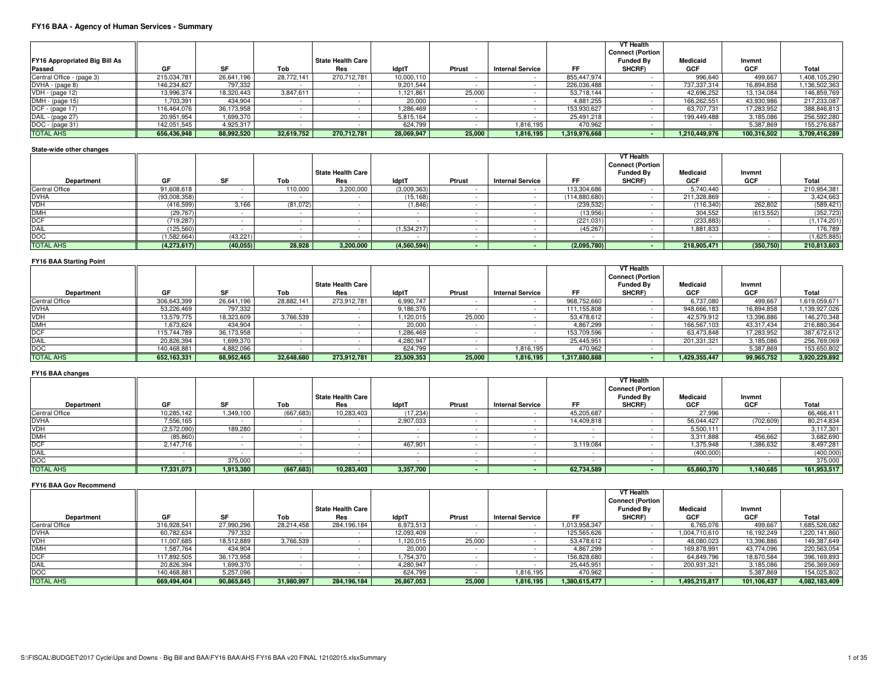# **FY16 BAA - Agency of Human Services - Summary**

|                               |             |            |            |                   |              |        |                         |               | VT Health<br><b>Connect (Portion</b> |               |             |               |
|-------------------------------|-------------|------------|------------|-------------------|--------------|--------|-------------------------|---------------|--------------------------------------|---------------|-------------|---------------|
| FY16 Appropriated Big Bill As |             |            |            | State Health Care |              |        |                         |               | <b>Funded By</b>                     | Medicaid      | Invmnt      |               |
| Passed                        | GF          | <b>SF</b>  | Tob        | Res               | <b>IdptT</b> | Ptrust | <b>Internal Service</b> | FF            | SHCRF)                               | GCF           | GCF         | Total         |
| Central Office - (page 3)     | 215,034,781 | 26.641.196 | 28.772.141 | 270,712,781       | 10,000,110   |        |                         | 855,447,974   |                                      | 996.640       | 499,667     | 1,408,105,290 |
| DVHA - (page 8)               | 146,234,827 | 797,332    |            |                   | 9,201,544    |        |                         | 226,036,488   |                                      | 737,337,314   | 16,894,858  | 1,136,502,363 |
| VDH - (page 12)               | 13,996,374  | 18.320.443 | 3.847.611  |                   | 1,121,861    | 25,000 |                         | 53,718,144    |                                      | 42.696.252    | 13,134,084  | 146,859,769   |
| DMH - (page 15)               | 1.703.391   | 434.904    |            |                   | 20,000       |        |                         | 4.881.255     |                                      | 166,262,551   | 43,930,986  | 217,233,087   |
| DCF - (page 17)               | 116.464.076 | 36,173,958 |            |                   | 1.286.469    |        |                         | 153,930,627   |                                      | 63,707,731    | 17,283,952  | 388,846,813   |
| DAIL - (page 27)              | 20,951,954  | 1,699,370  |            |                   | 5,815,164    |        |                         | 25.491.218    |                                      | 199,449,488   | 3,185,086   | 256,592,280   |
| DOC - (page 31)               | 142,051,545 | 4.925.317  |            |                   | 624.799      |        | 1,816,195               | 470,962       |                                      |               | 5.387.869   | 155,276,687   |
| <b>TOTAL AHS</b>              | 656,436,948 | 88,992,520 | 32,619,752 | 270,712,781       | 28,069,947   | 25,000 | 1,816,195               | 1,319,976,668 |                                      | 1,210,449,976 | 100,316,502 | 3,709,416,289 |

### **State-wide other changes**

|                  |              |           |          |                          |              |        |                         |               | VT Health               |             |            |               |
|------------------|--------------|-----------|----------|--------------------------|--------------|--------|-------------------------|---------------|-------------------------|-------------|------------|---------------|
|                  |              |           |          |                          |              |        |                         |               | <b>Connect (Portion</b> |             |            |               |
|                  |              |           |          | <b>State Health Care</b> |              |        |                         |               | <b>Funded By</b>        | Medicaid    | Invmnt     |               |
| Department       | GF           | <b>SF</b> | Tob      | Res                      | <b>IdptT</b> | Ptrust | <b>Internal Service</b> | FF            | SHCRF)                  | GCF         | GCF        | Total         |
| Central Office   | 91,608,618   |           | 110,000  | 3,200,000                | (3,009,363)  |        |                         | 113,304,686   |                         | 5.740.440   |            | 210,954,381   |
| <b>DVHA</b>      | (93,008,358) |           |          |                          | (15, 168)    |        |                         | (114,880,680) |                         | 211,328,869 |            | 3,424,663     |
| <b>VDH</b>       | (416, 599)   | 3,166     | (81,072) |                          | (1,846)      |        |                         | (239, 532)    |                         | (116, 340)  | 262,802    | (589, 421)    |
| <b>DMH</b>       | (29, 767)    |           |          |                          |              |        |                         | (13,956)      |                         | 304,552     | (613, 552) | (352, 723)    |
| DCF              | (719, 287)   |           |          |                          |              |        |                         | (221, 031)    |                         | (233, 883)  |            | (1, 174, 201) |
| DAIL             | (125, 560)   |           |          |                          | (1,534,217)  |        |                         | (45, 267)     |                         | 1,881,833   |            | 176,789       |
| DOC              | (1,582,664)  | (43, 221) |          |                          |              |        |                         |               |                         |             |            | (1,625,885)   |
| <b>TOTAL AHS</b> | (4,273,617)  | (40,055)  | 28,928   | 3,200,000                | (4,560,594)  |        |                         | (2,095,780)   |                         | 218,905,471 | (350, 750) | 210,813,603   |

## **FY16 BAA Starting Point**

|                       |             |            |            |                          |              |        |                         |               | <b>VT Health</b>        |                 |            |               |
|-----------------------|-------------|------------|------------|--------------------------|--------------|--------|-------------------------|---------------|-------------------------|-----------------|------------|---------------|
|                       |             |            |            |                          |              |        |                         |               | <b>Connect (Portion</b> |                 |            |               |
|                       |             |            |            | <b>State Health Care</b> |              |        |                         |               | <b>Funded Bv</b>        | <b>Medicaid</b> | Invmnt     |               |
| Department            | GF          | SE.        | Tob        | Res                      | <b>IdptT</b> | Ptrust | <b>Internal Service</b> | FF            | SHCRF)                  | GCF             | GCF        | Total         |
| <b>Central Office</b> | 306,643,399 | 26,641,196 | 28,882,141 | 273,912,781              | 6,990,747    |        |                         | 968,752,660   |                         | 6,737,080       | 499,667    | 1,619,059,671 |
| <b>DVHA</b>           | 53,226,469  | 797,332    |            |                          | 9,186,376    |        |                         | 111,155,808   |                         | 948,666,183     | 16,894,858 | 1,139,927,026 |
| <b>VDH</b>            | 13.579.775  | 18,323,609 | 3,766,539  |                          | 1.120.015    | 25,000 |                         | 53,478,612    |                         | 42.579.912      | 13,396,886 | 146,270,348   |
| <b>DMH</b>            | 1.673.624   | 434.904    |            |                          | 20,000       |        |                         | 4.867.299     |                         | 166,567,103     | 43.317.434 | 216,880,364   |
| <b>DCF</b>            | 115,744,789 | 36,173,958 |            |                          | 1.286.469    |        |                         | 153,709,596   |                         | 63.473.848      | 17,283,952 | 387,672,612   |
| DAIL                  | 20,826,394  | 1,699,370  |            |                          | 4,280,947    |        |                         | 25,445,951    |                         | 201,331,321     | 3,185,086  | 256,769,069   |
| DOC                   | 140.468.881 | 4,882,096  |            |                          | 624.799      |        | 1,816,195               | 470,962       |                         |                 | 5,387,869  | 153,650,802   |
| <b>TOTAL AHS</b>      | 652,163,331 | 88,952,465 | 32,648,680 | 273,912,781              | 23,509,353   | 25,000 | 1,816,195               | 1,317,880,888 |                         | 1,429,355,447   | 99,965,752 | 3,920,229,892 |

### **FY16 BAA changes**

|                       |             |           |            |                          |              |        |                         |            | <b>VT Health</b>        |                 |            |             |
|-----------------------|-------------|-----------|------------|--------------------------|--------------|--------|-------------------------|------------|-------------------------|-----------------|------------|-------------|
|                       |             |           |            |                          |              |        |                         |            | <b>Connect (Portion</b> |                 |            |             |
|                       |             |           |            | <b>State Health Care</b> |              |        |                         |            | <b>Funded By</b>        | <b>Medicaid</b> | Invmnt     |             |
| Department            | GF          | SF        | Tob        | Res                      | <b>IdptT</b> | Ptrust | <b>Internal Service</b> | FF         | SHCRF)                  | GCF             | GCF        | Total       |
| <b>Central Office</b> | 10,285,142  | 1,349,100 | (667, 683) | 10,283,403               | (17, 234)    |        |                         | 45,205,687 |                         | 27,996          |            | 66,466,411  |
| <b>DVHA</b>           | 7,556,165   |           |            |                          | 2,907,033    |        |                         | 14,409,818 |                         | 56,044,427      | (702, 609) | 80,214,834  |
| <b>VDH</b>            | (2,572,090) | 189,280   |            |                          |              |        |                         |            |                         | 5,500,111       |            | 3,117,301   |
| <b>DMH</b>            | (85, 860)   |           |            |                          |              |        |                         |            |                         | 3,311,888       | 456,662    | 3,682,690   |
| <b>DCF</b>            | 2,147,716   |           |            |                          | 467,901      |        |                         | 3,119,084  |                         | 1,375,948       | 1,386,632  | 8,497,281   |
| <b>DAIL</b>           |             |           |            |                          |              |        |                         |            |                         | (400,000)       |            | (400,000)   |
| <b>DOC</b>            |             | 375,000   |            |                          |              |        |                         |            |                         |                 |            | 375,000     |
| <b>TOTAL AHS</b>      | 17,331,073  | 1,913,380 | (667, 683) | 10,283,403               | 3,357,700    |        |                         | 62,734,589 |                         | 65,860,370      | 1,140,685  | 161,953,517 |

# **FY16 BAA Gov Recommend**

|                       |             |            |            |                   |              |        |                         |               | VT Health<br><b>Connect (Portion</b> |               |             |               |
|-----------------------|-------------|------------|------------|-------------------|--------------|--------|-------------------------|---------------|--------------------------------------|---------------|-------------|---------------|
|                       |             |            |            | State Health Care |              |        |                         |               | <b>Funded By</b>                     | Medicaid      | Invmnt      |               |
| Department            | GF          | SE.        | Tob        | Res               | <b>IdptT</b> | Ptrust | <b>Internal Service</b> | FF            | SHCRF)                               | GCF           | GCF         | Total         |
| <b>Central Office</b> | 316.928.541 | 27.990.296 | 28,214,458 | 284,196,184       | 6,973,513    |        |                         | 1,013,958,347 |                                      | 6,765,076     | 499,667     | 1,685,526,082 |
| <b>DVHA</b>           | 60.782.634  | 797,332    |            |                   | 12.093.409   |        |                         | 125,565,626   |                                      | 1.004.710.610 | 16,192,249  | 1,220,141,860 |
| <b>VDH</b>            | 11.007.685  | 18.512.889 | 3,766,539  |                   | 1.120.015    | 25,000 |                         | 53.478.612    |                                      | 48,080,023    | 13,396,886  | 149,387,649   |
| <b>DMH</b>            | 1.587.764   | 434.904    |            |                   | 20,000       |        |                         | 4.867.299     |                                      | 169,878,991   | 43,774,096  | 220,563,054   |
| <b>DCF</b>            | 117,892,505 | 36,173,958 |            |                   | 1.754.370    |        |                         | 156,828,680   |                                      | 64,849,796    | 18,670,584  | 396,169,893   |
| <b>DAIL</b>           | 20,826,394  | 1,699,370  |            |                   | 4.280.947    |        |                         | 25,445,951    |                                      | 200,931,321   | 3,185,086   | 256,369,069   |
| <b>DOC</b>            | 140,468,881 | 5,257,096  |            |                   | 624.799      |        | 1,816,195               | 470,962       |                                      |               | 5,387,869   | 154,025,802   |
| <b>TOTAL AHS</b>      | 669,494,404 | 90,865,845 | 31,980,997 | 284,196,184       | 26,867,053   | 25,000 | 1,816,195               | 1,380,615,477 |                                      | 1,495,215,817 | 101,106,437 | 4,082,183,409 |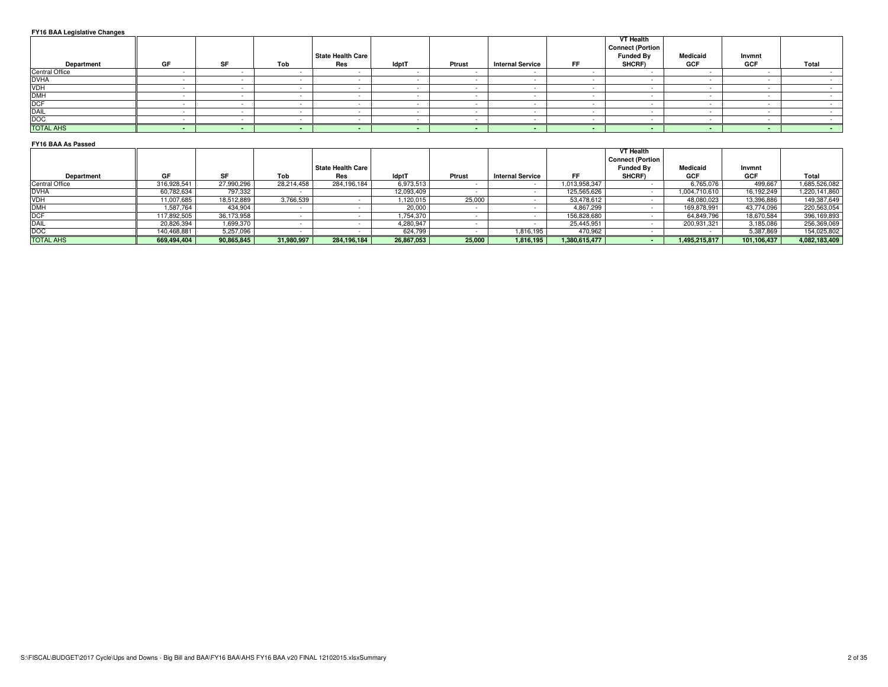### **FY16 BAA Legislative Changes**

| Department                       | GF | SF | Tob | <b>State Health Care</b><br>Res | ldptT | Ptrust | <b>Internal Service</b> | FF. | VT Health<br><b>Connect (Portion</b><br><b>Funded By</b><br>SHCRF) | Medicaid<br>GCF | Invmnt<br>GCF | Total |
|----------------------------------|----|----|-----|---------------------------------|-------|--------|-------------------------|-----|--------------------------------------------------------------------|-----------------|---------------|-------|
| Central Office                   |    |    |     |                                 |       |        |                         |     |                                                                    |                 |               |       |
|                                  |    |    |     |                                 |       |        |                         |     |                                                                    |                 |               |       |
|                                  |    |    |     |                                 |       |        |                         |     |                                                                    |                 |               |       |
| <b>DVHA</b><br><b>VDH</b><br>DMH |    |    |     |                                 |       |        |                         |     |                                                                    |                 |               |       |
| DCF                              |    |    |     |                                 |       |        |                         |     |                                                                    |                 |               |       |
| DAIL<br>DOC                      |    |    |     |                                 |       |        |                         |     |                                                                    |                 |               |       |
|                                  |    |    |     |                                 |       |        |                         |     |                                                                    |                 |               |       |
| <b>TOTAL AHS</b>                 |    |    |     |                                 |       |        | . .                     |     |                                                                    |                 |               |       |

## **FY16 BAA As Passed**

|                       |             |            |            |                   |              |        |                         |               | VT Health<br><b>Connect (Portion</b> |               |             |               |
|-----------------------|-------------|------------|------------|-------------------|--------------|--------|-------------------------|---------------|--------------------------------------|---------------|-------------|---------------|
|                       |             |            |            | State Health Care |              |        |                         |               | <b>Funded Bv</b>                     | Medicaid      | Invmnt      |               |
| Department            | GF          |            | Tob        | Res               | <b>IdptT</b> | Ptrust | <b>Internal Service</b> | FF            | SHCRF)                               | GCF           | GCF         | Total         |
| <b>Central Office</b> | 316,928,541 | 27,990,296 | 28,214,458 | 284,196,184       | 6,973,513    |        |                         | 1,013,958,347 |                                      | 6,765,076     | 499,667     | 1,685,526,082 |
| <b>DVHA</b>           | 60.782.634  | 797.332    |            |                   | 12.093.409   |        |                         | 125,565,626   |                                      | 1,004,710,610 | 16.192.249  | 1,220,141,860 |
| VDH                   | 11.007.685  | 18.512.889 | 3,766,539  |                   | 1,120,015    | 25,000 |                         | 53,478,612    |                                      | 48,080,023    | 13,396,886  | 149,387,649   |
| <b>DMH</b>            | .587.764    | 434,904    |            |                   | 20,000       |        |                         | 4,867,299     |                                      | 169,878,991   | 43,774,096  | 220,563,054   |
| DCF                   | 117,892,505 | 36,173,958 |            |                   | 1,754,370    |        |                         | 156,828,680   |                                      | 64,849,796    | 18,670,584  | 396,169,893   |
| DAIL                  | 20,826,394  | 1,699,370  |            |                   | 4,280,947    |        |                         | 25,445,951    |                                      | 200,931,321   | 3,185,086   | 256,369,069   |
| DOC                   | 140,468,881 | 5,257,096  |            |                   | 624,799      |        | 1,816,195               | 470,962       |                                      |               | 5,387,869   | 154,025,802   |
| <b>TOTAL AHS</b>      | 669,494,404 | 90,865,845 | 31,980,997 | 284,196,184       | 26,867,053   | 25,000 | 1,816,195               | 1,380,615,477 |                                      | 1,495,215,817 | 101,106,437 | 4,082,183,409 |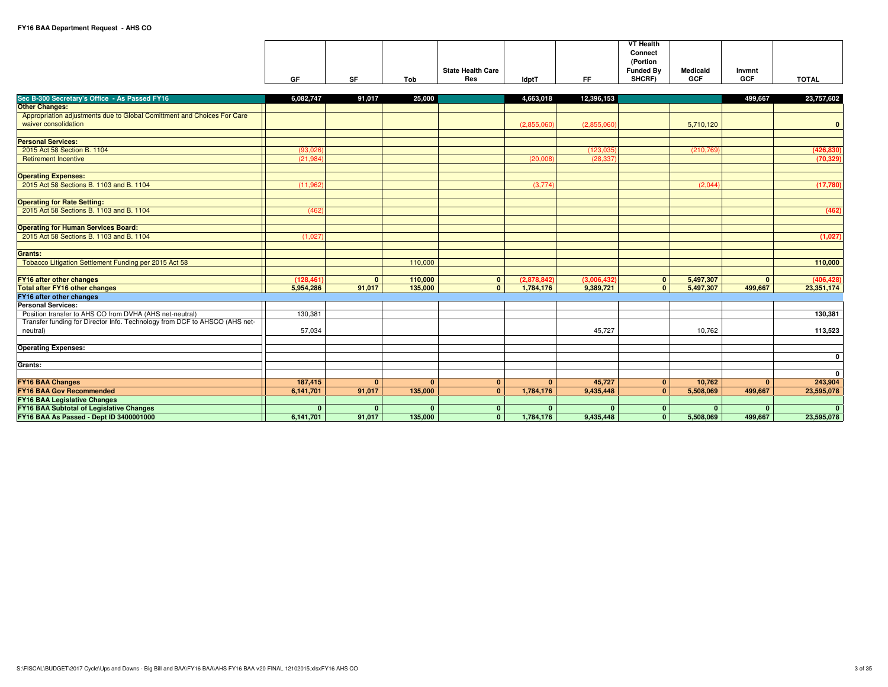|    |           |     |                          |              |    | <b>VT Health</b> |          |            |              |
|----|-----------|-----|--------------------------|--------------|----|------------------|----------|------------|--------------|
|    |           |     |                          |              |    | Connect          |          |            |              |
|    |           |     |                          |              |    | (Portion         |          |            |              |
|    |           |     | <b>State Health Care</b> |              |    | <b>Funded Bv</b> | Medicaid | Invmnt     |              |
| GF | <b>CE</b> | Tob | Res                      | <b>IdptT</b> | FF | SHCRF)           | GCF      | <b>GCF</b> | <b>TOTAL</b> |

| Sec B-300 Secretary's Office - As Passed FY16                                              | 6,082,747  | 91,017       | 25.000       |              | 4,663,018    | 12,396,153  |              |            | 499.667      | 23,757,602   |
|--------------------------------------------------------------------------------------------|------------|--------------|--------------|--------------|--------------|-------------|--------------|------------|--------------|--------------|
| <b>Other Changes:</b>                                                                      |            |              |              |              |              |             |              |            |              |              |
| Appropriation adjustments due to Global Comittment and Choices For Care                    |            |              |              |              |              |             |              |            |              |              |
| waiver consolidation                                                                       |            |              |              |              | (2,855,060)  | (2,855,060) |              | 5,710,120  |              | $\mathbf{0}$ |
|                                                                                            |            |              |              |              |              |             |              |            |              |              |
| <b>Personal Services:</b>                                                                  |            |              |              |              |              |             |              |            |              |              |
| 2015 Act 58 Section B, 1104                                                                | (93,026)   |              |              |              |              | (123.035)   |              | (210, 769) |              | (426, 830)   |
| <b>Retirement Incentive</b>                                                                | (21, 984)  |              |              |              | (20,008)     | (28, 337)   |              |            |              | (70, 329)    |
|                                                                                            |            |              |              |              |              |             |              |            |              |              |
| <b>Operating Expenses:</b>                                                                 |            |              |              |              |              |             |              |            |              |              |
| 2015 Act 58 Sections B. 1103 and B. 1104                                                   | (11, 962)  |              |              |              | (3,774)      |             |              | (2,044)    |              | (17,780)     |
|                                                                                            |            |              |              |              |              |             |              |            |              |              |
| <b>Operating for Rate Setting:</b>                                                         |            |              |              |              |              |             |              |            |              |              |
| 2015 Act 58 Sections B. 1103 and B. 1104                                                   | (462)      |              |              |              |              |             |              |            |              | (462)        |
|                                                                                            |            |              |              |              |              |             |              |            |              |              |
| <b>Operating for Human Services Board:</b><br>2015 Act 58 Sections B. 1103 and B. 1104     | (1.027)    |              |              |              |              |             |              |            |              | (1,027)      |
|                                                                                            |            |              |              |              |              |             |              |            |              |              |
| Grants:                                                                                    |            |              |              |              |              |             |              |            |              |              |
| Tobacco Litigation Settlement Funding per 2015 Act 58                                      |            |              | 110,000      |              |              |             |              |            |              | 110,000      |
|                                                                                            |            |              |              |              |              |             |              |            |              |              |
| <b>FY16 after other changes</b>                                                            | (128, 461) | $\mathbf{0}$ | 110,000      | $\mathbf{0}$ | (2.878.842)  | (3.006.432) | $\mathbf{0}$ | 5,497,307  | $\mathbf{0}$ | (406, 428)   |
| <b>Total after FY16 other changes</b>                                                      | 5,954,286  | 91,017       | 135,000      | $\mathbf{0}$ | 1,784,176    | 9,389,721   | $\mathbf{0}$ | 5.497.307  | 499,667      | 23,351,174   |
| FY16 after other changes                                                                   |            |              |              |              |              |             |              |            |              |              |
| <b>Personal Services:</b>                                                                  |            |              |              |              |              |             |              |            |              |              |
| Position transfer to AHS CO from DVHA (AHS net-neutral)                                    | 130,381    |              |              |              |              |             |              |            |              | 130,381      |
| Transfer funding for Director Info. Technology from DCF to AHSCO (AHS net-                 |            |              |              |              |              |             |              |            |              |              |
| neutral)                                                                                   | 57,034     |              |              |              |              | 45,727      |              | 10,762     |              | 113,523      |
|                                                                                            |            |              |              |              |              |             |              |            |              |              |
| <b>Operating Expenses:</b>                                                                 |            |              |              |              |              |             |              |            |              |              |
|                                                                                            |            |              |              |              |              |             |              |            |              | $\mathbf 0$  |
| Grants:                                                                                    |            |              |              |              |              |             |              |            |              |              |
|                                                                                            |            |              |              |              |              |             |              |            |              | $\mathbf{0}$ |
| <b>FY16 BAA Changes</b>                                                                    | 187,415    | $\mathbf{0}$ | $\mathbf{0}$ | $\mathbf{0}$ | $\mathbf{0}$ | 45,727      | $\mathbf{0}$ | 10.762     | $\Omega$     | 243,904      |
| <b>FY16 BAA Gov Recommended</b>                                                            | 6.141.701  | 91,017       | 135,000      | $\Omega$     | 1,784,176    | 9,435,448   | $\mathbf{0}$ | 5.508.069  | 499,667      | 23,595,078   |
| <b>FY16 BAA Legislative Changes</b>                                                        |            |              |              |              |              |             |              |            |              | $\Omega$     |
| <b>FY16 BAA Subtotal of Legislative Changes</b><br>FY16 BAA As Passed - Dept ID 3400001000 |            | $\Omega$     | $\Omega$     | $\Omega$     | $\mathbf{0}$ |             | $\mathbf{0}$ | $\Omega$   |              |              |
|                                                                                            | 6,141,701  | 91,017       | 135,000      | $\mathbf{0}$ | 1,784,176    | 9,435,448   | $\mathbf{0}$ | 5,508,069  | 499,667      | 23,595,078   |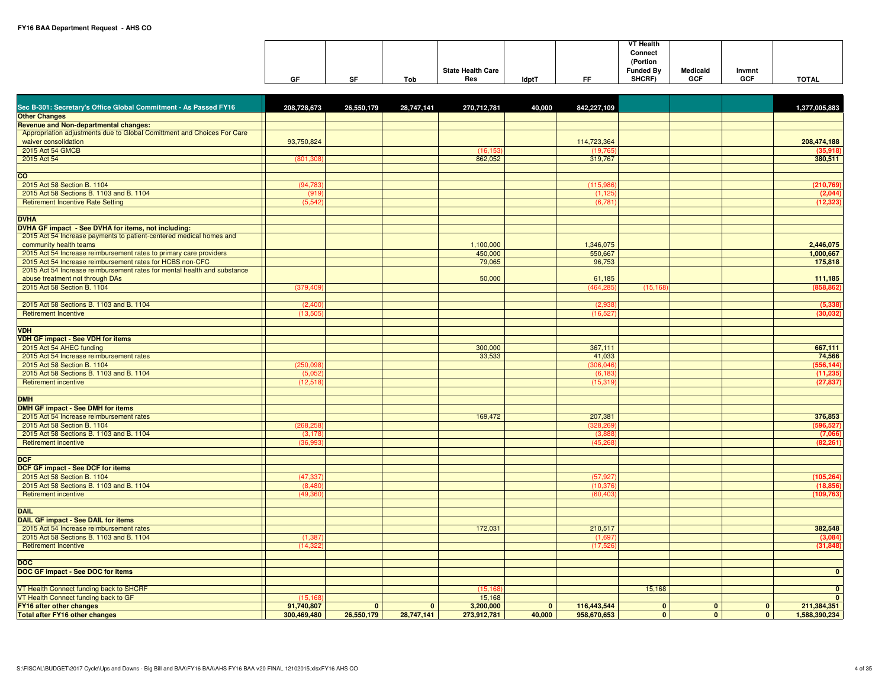|    |           |     |                          |              |    | VT Health        |            |            |              |
|----|-----------|-----|--------------------------|--------------|----|------------------|------------|------------|--------------|
|    |           |     |                          |              |    | Connect          |            |            |              |
|    |           |     |                          |              |    | (Portion         |            |            |              |
|    |           |     | <b>State Health Care</b> |              |    | <b>Funded By</b> | Medicaid   | Invmnt     |              |
| GF | <b>SF</b> | Tob | Res                      | <b>IdptT</b> | EE | SHCRF)           | <b>GCF</b> | <b>GCF</b> | <b>TOTAL</b> |

| Sec B-301: Secretary's Office Global Commitment - As Passed FY16         | 208,728,673 | 26,550,179   | 28,747,141   | 270,712,781 | 40,000       | 842,227,109 |                |                |                | 1,377,005,883 |
|--------------------------------------------------------------------------|-------------|--------------|--------------|-------------|--------------|-------------|----------------|----------------|----------------|---------------|
| <b>Other Changes</b>                                                     |             |              |              |             |              |             |                |                |                |               |
| <b>Revenue and Non-departmental changes:</b>                             |             |              |              |             |              |             |                |                |                |               |
| Appropriation adjustments due to Global Comittment and Choices For Care  |             |              |              |             |              |             |                |                |                |               |
| waiver consolidation                                                     | 93,750,824  |              |              |             |              | 114,723,364 |                |                |                | 208,474,188   |
| 2015 Act 54 GMCB                                                         |             |              |              | (16, 153)   |              | (19, 765)   |                |                |                | (35,918)      |
| 2015 Act 54                                                              | (801, 308)  |              |              | 862,052     |              | 319,767     |                |                |                | 380,511       |
|                                                                          |             |              |              |             |              |             |                |                |                |               |
| <b>CO</b>                                                                |             |              |              |             |              |             |                |                |                |               |
| 2015 Act 58 Section B. 1104                                              | (94, 783)   |              |              |             |              | (115,986)   |                |                |                | (210, 769)    |
| 2015 Act 58 Sections B. 1103 and B. 1104                                 | (919)       |              |              |             |              | (1.125)     |                |                |                | (2,044)       |
| <b>Retirement Incentive Rate Setting</b>                                 | (5, 542)    |              |              |             |              | (6,781)     |                |                |                | (12, 323)     |
|                                                                          |             |              |              |             |              |             |                |                |                |               |
|                                                                          |             |              |              |             |              |             |                |                |                |               |
| <b>DVHA</b>                                                              |             |              |              |             |              |             |                |                |                |               |
| DVHA GF impact - See DVHA for items, not including:                      |             |              |              |             |              |             |                |                |                |               |
| 2015 Act 54 Increase payments to patient-centered medical homes and      |             |              |              |             |              |             |                |                |                |               |
| community health teams                                                   |             |              |              | 1,100,000   |              | 1,346,075   |                |                |                | 2,446,075     |
| 2015 Act 54 Increase reimbursement rates to primary care providers       |             |              |              | 450,000     |              | 550,667     |                |                |                | 1,000,667     |
| 2015 Act 54 Increase reimbursement rates for HCBS non-CFC                |             |              |              | 79,065      |              | 96,753      |                |                |                | 175,818       |
| 2015 Act 54 Increase reimbursement rates for mental health and substance |             |              |              |             |              |             |                |                |                |               |
| abuse treatment not through DAs                                          |             |              |              | 50,000      |              | 61,185      |                |                |                | 111,185       |
| 2015 Act 58 Section B. 1104                                              | (379, 409)  |              |              |             |              | (464, 285)  | (15, 168)      |                |                | (858, 862)    |
|                                                                          |             |              |              |             |              |             |                |                |                |               |
| 2015 Act 58 Sections B. 1103 and B. 1104                                 | (2,400)     |              |              |             |              | (2,938)     |                |                |                | (5, 338)      |
| <b>Retirement Incentive</b>                                              | (13.505     |              |              |             |              | (16.527)    |                |                |                | (30,032)      |
|                                                                          |             |              |              |             |              |             |                |                |                |               |
|                                                                          |             |              |              |             |              |             |                |                |                |               |
| VDH                                                                      |             |              |              |             |              |             |                |                |                |               |
| <b>VDH GF impact - See VDH for items</b>                                 |             |              |              |             |              |             |                |                |                |               |
| 2015 Act 54 AHEC funding                                                 |             |              |              | 300,000     |              | 367,111     |                |                |                | 667,111       |
| 2015 Act 54 Increase reimbursement rates                                 |             |              |              | 33,533      |              | 41,033      |                |                |                | 74,566        |
| 2015 Act 58 Section B. 1104                                              | (250, 098)  |              |              |             |              | (306, 046)  |                |                |                | (556, 144)    |
| 2015 Act 58 Sections B. 1103 and B. 1104                                 | (5.052)     |              |              |             |              | (6, 183)    |                |                |                | (11, 235)     |
| <b>Retirement incentive</b>                                              | (12,518)    |              |              |             |              | (15, 319)   |                |                |                | (27, 837)     |
|                                                                          |             |              |              |             |              |             |                |                |                |               |
| <b>DMH</b>                                                               |             |              |              |             |              |             |                |                |                |               |
| <b>DMH GF impact - See DMH for items</b>                                 |             |              |              |             |              |             |                |                |                |               |
| 2015 Act 54 Increase reimbursement rates                                 |             |              |              | 169,472     |              | 207,381     |                |                |                | 376,853       |
| 2015 Act 58 Section B. 1104                                              | (268, 258)  |              |              |             |              | (328, 269)  |                |                |                | (596, 527)    |
|                                                                          |             |              |              |             |              |             |                |                |                |               |
| 2015 Act 58 Sections B. 1103 and B. 1104                                 | (3, 178)    |              |              |             |              | (3,888)     |                |                |                | (7,066)       |
| Retirement incentive                                                     | (36, 993)   |              |              |             |              | (45, 268)   |                |                |                | (82, 261)     |
|                                                                          |             |              |              |             |              |             |                |                |                |               |
| <b>DCF</b>                                                               |             |              |              |             |              |             |                |                |                |               |
| DCF GF impact - See DCF for items                                        |             |              |              |             |              |             |                |                |                |               |
| 2015 Act 58 Section B. 1104                                              | (47, 337)   |              |              |             |              | (57, 927)   |                |                |                | (105, 264)    |
| 2015 Act 58 Sections B. 1103 and B. 1104                                 | (8,480)     |              |              |             |              | (10, 376)   |                |                |                | (18, 856)     |
| <b>Retirement incentive</b>                                              | (49, 360)   |              |              |             |              | (60, 403)   |                |                |                | (109, 763)    |
|                                                                          |             |              |              |             |              |             |                |                |                |               |
| <b>DAIL</b>                                                              |             |              |              |             |              |             |                |                |                |               |
| DAIL GF impact - See DAIL for items                                      |             |              |              |             |              |             |                |                |                |               |
| 2015 Act 54 Increase reimbursement rates                                 |             |              |              | 172,031     |              | 210,517     |                |                |                | 382,548       |
| 2015 Act 58 Sections B. 1103 and B. 1104                                 | (1, 387)    |              |              |             |              | (1,697)     |                |                |                | (3,084)       |
|                                                                          |             |              |              |             |              |             |                |                |                |               |
| <b>Retirement Incentive</b>                                              | (14, 322)   |              |              |             |              | (17,526)    |                |                |                | (31, 848)     |
|                                                                          |             |              |              |             |              |             |                |                |                |               |
| <b>DOC</b>                                                               |             |              |              |             |              |             |                |                |                |               |
| DOC GF impact - See DOC for items                                        |             |              |              |             |              |             |                |                |                | $\mathbf{0}$  |
|                                                                          |             |              |              |             |              |             |                |                |                |               |
| VT Health Connect funding back to SHCRF                                  |             |              |              | (15, 168)   |              |             | 15,168         |                |                | $\mathbf{0}$  |
| VT Health Connect funding back to GF                                     | (15.168)    |              |              | 15,168      |              |             |                |                |                | $\mathbf{0}$  |
| <b>FY16 after other changes</b>                                          | 91,740,807  | $\mathbf{0}$ | $\mathbf{0}$ | 3,200,000   | $\mathbf{0}$ | 116,443,544 | $\mathbf{0}$   | $\overline{0}$ | $\mathbf{0}$   | 211,384,351   |
| <b>Total after FY16 other changes</b>                                    | 300,469,480 | 26,550,179   | 28,747,141   | 273,912,781 | 40,000       | 958,670,653 | $\overline{0}$ | $\overline{0}$ | $\overline{0}$ | 1,588,390,234 |
|                                                                          |             |              |              |             |              |             |                |                |                |               |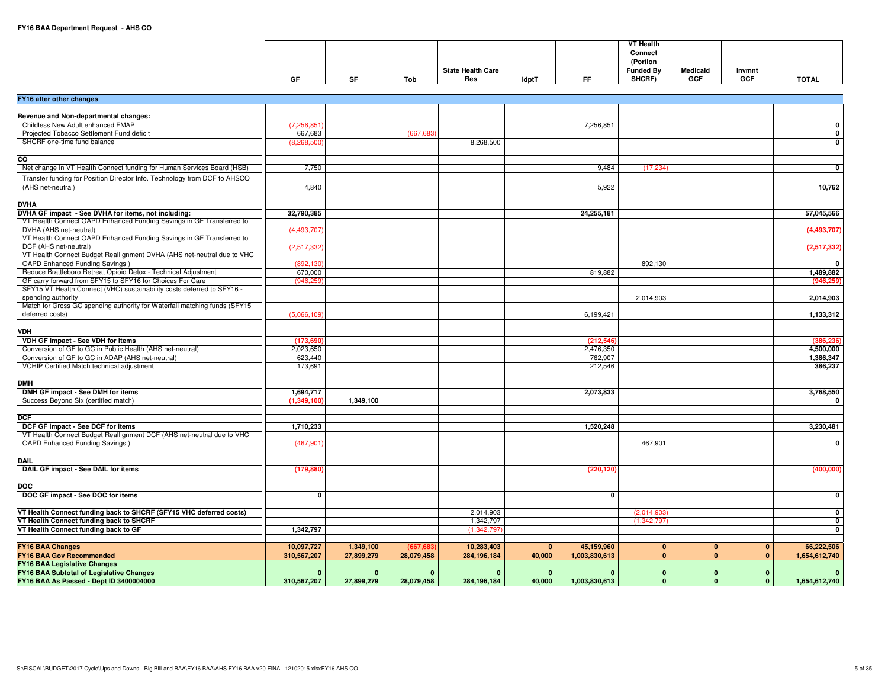|    |    |     |                          |              |           | <b>VT Health</b> |                 |            |              |
|----|----|-----|--------------------------|--------------|-----------|------------------|-----------------|------------|--------------|
|    |    |     |                          |              |           | Connect          |                 |            |              |
|    |    |     |                          |              |           | (Portion         |                 |            |              |
|    |    |     | <b>State Health Care</b> |              |           | <b>Funded By</b> | <b>Medicaid</b> | Invmnt     |              |
| GF | SF | Tob | <b>Res</b>               | <b>IdptT</b> | <b>FF</b> | SHCRF)           | <b>GCF</b>      | <b>GCF</b> | <b>TOTAL</b> |

| FY16 after other changes                                                                                                    |                       |              |              |              |              |               |               |                                  |               |
|-----------------------------------------------------------------------------------------------------------------------------|-----------------------|--------------|--------------|--------------|--------------|---------------|---------------|----------------------------------|---------------|
|                                                                                                                             |                       |              |              |              |              |               |               |                                  |               |
| Revenue and Non-departmental changes:                                                                                       |                       |              |              |              |              |               |               |                                  |               |
| Childless New Adult enhanced FMAP                                                                                           | (7, 256, 851)         |              |              |              |              | 7,256,851     |               |                                  | $\mathbf{0}$  |
| Projected Tobacco Settlement Fund deficit                                                                                   | 667,683               |              | (667, 683)   |              |              |               |               |                                  | $\mathbf{0}$  |
| SHCRF one-time fund balance                                                                                                 | (8, 268, 500)         |              |              | 8,268,500    |              |               |               |                                  | $\mathbf{0}$  |
|                                                                                                                             |                       |              |              |              |              |               |               |                                  |               |
| $\overline{\text{c}}$                                                                                                       |                       |              |              |              |              |               |               |                                  |               |
| Net change in VT Health Connect funding for Human Services Board (HSB)                                                      | 7,750                 |              |              |              |              | 9.484         | (17, 234)     |                                  | $\mathbf{0}$  |
| Transfer funding for Position Director Info. Technology from DCF to AHSCO                                                   |                       |              |              |              |              |               |               |                                  |               |
| (AHS net-neutral)                                                                                                           |                       |              |              |              |              |               |               |                                  |               |
|                                                                                                                             | 4,840                 |              |              |              |              | 5,922         |               |                                  | 10,762        |
|                                                                                                                             |                       |              |              |              |              |               |               |                                  |               |
| <b>DVHA</b>                                                                                                                 |                       |              |              |              |              |               |               |                                  |               |
| DVHA GF impact - See DVHA for items, not including:<br>VT Health Connect OAPD Enhanced Funding Savings in GF Transferred to | 32,790,385            |              |              |              |              | 24,255,181    |               |                                  | 57,045,566    |
| DVHA (AHS net-neutral)                                                                                                      |                       |              |              |              |              |               |               |                                  |               |
| VT Health Connect OAPD Enhanced Funding Savings in GF Transferred to                                                        | (4,493,707)           |              |              |              |              |               |               |                                  | (4,493,707)   |
| DCF (AHS net-neutral)                                                                                                       |                       |              |              |              |              |               |               |                                  |               |
| VT Health Connect Budget Reallignment DVHA (AHS net-neutral due to VHC                                                      | (2,517,332)           |              |              |              |              |               |               |                                  | (2,517,332)   |
| OAPD Enhanced Funding Savings)                                                                                              |                       |              |              |              |              |               | 892,130       |                                  | $\mathbf{0}$  |
| Reduce Brattleboro Retreat Opioid Detox - Technical Adjustment                                                              | (892, 130)<br>670,000 |              |              |              |              | 819,882       |               |                                  |               |
| GF carry forward from SFY15 to SFY16 for Choices For Care                                                                   |                       |              |              |              |              |               |               |                                  | 1,489,882     |
| SFY15 VT Health Connect (VHC) sustainability costs deferred to SFY16 -                                                      | (946, 259)            |              |              |              |              |               |               |                                  | (946, 259)    |
|                                                                                                                             |                       |              |              |              |              |               |               |                                  |               |
| spending authority<br>Match for Gross GC spending authority for Waterfall matching funds (SFY15)                            |                       |              |              |              |              |               | 2,014,903     |                                  | 2,014,903     |
| deferred costs)                                                                                                             |                       |              |              |              |              |               |               |                                  |               |
|                                                                                                                             | (5,066,109)           |              |              |              |              | 6,199,421     |               |                                  | 1,133,312     |
|                                                                                                                             |                       |              |              |              |              |               |               |                                  |               |
| VDH                                                                                                                         |                       |              |              |              |              |               |               |                                  |               |
| VDH GF impact - See VDH for items                                                                                           | (173, 690)            |              |              |              |              | (212, 546)    |               |                                  | (386, 236)    |
| Conversion of GF to GC in Public Health (AHS net-neutral)                                                                   | 2,023,650             |              |              |              |              | 2,476,350     |               |                                  | 4,500,000     |
| Conversion of GF to GC in ADAP (AHS net-neutral)                                                                            | 623,440               |              |              |              |              | 762,907       |               |                                  | 1,386,347     |
| VCHIP Certified Match technical adjustment                                                                                  | 173,691               |              |              |              |              | 212,546       |               |                                  | 386,237       |
|                                                                                                                             |                       |              |              |              |              |               |               |                                  |               |
| <b>DMH</b>                                                                                                                  |                       |              |              |              |              |               |               |                                  |               |
| DMH GF impact - See DMH for items                                                                                           | 1,694,717             |              |              |              |              | 2,073,833     |               |                                  | 3,768,550     |
| Success Beyond Six (certified match)                                                                                        | (1,349,100)           | 1,349,100    |              |              |              |               |               |                                  | $\mathbf{0}$  |
|                                                                                                                             |                       |              |              |              |              |               |               |                                  |               |
| <b>DCF</b>                                                                                                                  |                       |              |              |              |              |               |               |                                  |               |
| DCF GF impact - See DCF for items                                                                                           | 1,710,233             |              |              |              |              | 1,520,248     |               |                                  | 3,230,481     |
| VT Health Connect Budget Reallignment DCF (AHS net-neutral due to VHC                                                       |                       |              |              |              |              |               |               |                                  |               |
| OAPD Enhanced Funding Savings)                                                                                              | (467, 901)            |              |              |              |              |               | 467,901       |                                  | $\mathbf{0}$  |
|                                                                                                                             |                       |              |              |              |              |               |               |                                  |               |
| <b>DAIL</b>                                                                                                                 |                       |              |              |              |              |               |               |                                  |               |
| DAIL GF impact - See DAIL for items                                                                                         | (179, 880)            |              |              |              |              | (220, 120)    |               |                                  | (400,000)     |
|                                                                                                                             |                       |              |              |              |              |               |               |                                  |               |
| <b>DOC</b>                                                                                                                  |                       |              |              |              |              |               |               |                                  |               |
| DOC GF impact - See DOC for items                                                                                           | $\mathbf{0}$          |              |              |              |              | $\mathbf{0}$  |               |                                  | $\mathbf{0}$  |
|                                                                                                                             |                       |              |              |              |              |               |               |                                  |               |
| VT Health Connect funding back to SHCRF (SFY15 VHC deferred costs)                                                          |                       |              |              | 2,014,903    |              |               | (2,014,903)   |                                  | $\mathbf{0}$  |
| VT Health Connect funding back to SHCRF                                                                                     |                       |              |              | 1,342,797    |              |               | (1, 342, 797) |                                  | $\mathbf{0}$  |
| VT Health Connect funding back to GF                                                                                        | 1,342,797             |              |              | (1,342,797)  |              |               |               |                                  | $\mathbf{0}$  |
|                                                                                                                             |                       |              |              |              |              |               |               |                                  |               |
| <b>FY16 BAA Changes</b>                                                                                                     | 10,097,727            | 1,349,100    | (667, 683)   | 10,283,403   | $\mathbf{0}$ | 45,159,960    | $\mathbf{0}$  | $\overline{0}$<br>$\mathbf{0}$   | 66,222,506    |
| <b>FY16 BAA Gov Recommended</b>                                                                                             | 310,567,207           | 27,899,279   | 28,079,458   | 284,196,184  | 40,000       | 1,003,830,613 | $\mathbf{0}$  | $\overline{0}$<br>$\overline{0}$ | 1,654,612,740 |
| <b>FY16 BAA Legislative Changes</b>                                                                                         |                       |              |              |              |              |               |               |                                  |               |
| FY16 BAA Subtotal of Legislative Changes                                                                                    | $\mathbf{0}$          | $\mathbf{0}$ | $\mathbf{0}$ | $\mathbf{0}$ | $\mathbf{0}$ | $\mathbf{0}$  | $\mathbf{0}$  | $\bullet$<br>0 <sup>1</sup>      | $\bullet$     |
| FY16 BAA As Passed - Dept ID 3400004000                                                                                     | 310,567,207           | 27,899,279   | 28,079,458   | 284,196,184  | 40,000       | 1,003,830,613 | $\mathbf{0}$  | $\overline{0}$<br>$\mathbf{0}$   | 1,654,612,740 |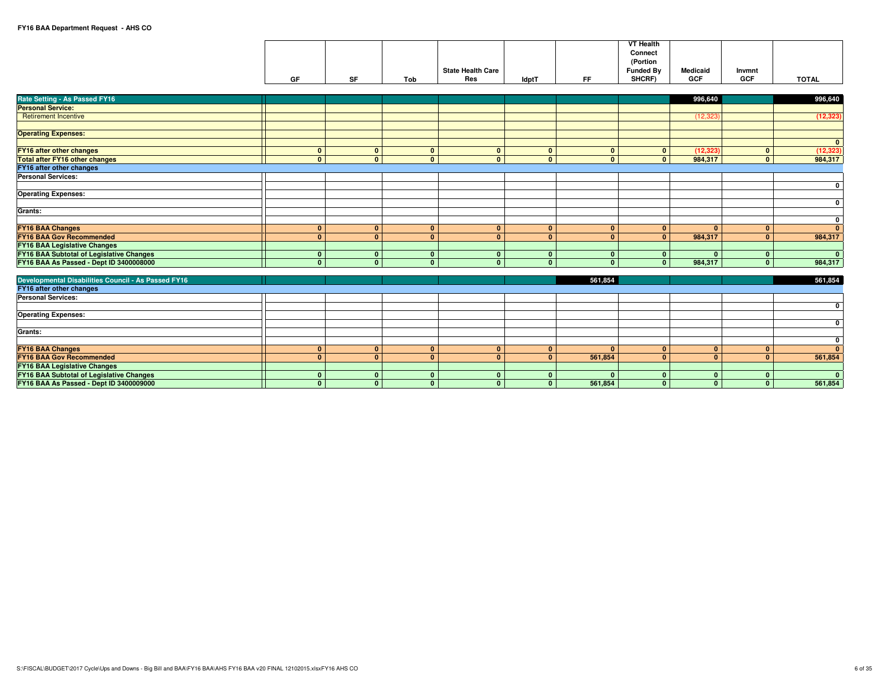|    |           |     |                          |              |    | <b>VT Health</b> |            |        |              |
|----|-----------|-----|--------------------------|--------------|----|------------------|------------|--------|--------------|
|    |           |     |                          |              |    | Connect          |            |        |              |
|    |           |     |                          |              |    | (Portion         |            |        |              |
|    |           |     | <b>State Health Care</b> |              |    | <b>Funded By</b> | Medicaid   | Invmnt |              |
| GF | <b>SF</b> | Tob | Res                      | <b>IdptT</b> | EE | <b>SHCRF</b>     | <b>GCF</b> | GCF    | <b>TOTAL</b> |

| Rate Setting - As Passed FY16                              |              |              |              |              |                         |              | 996,640                   |                                  | 996,640                 |
|------------------------------------------------------------|--------------|--------------|--------------|--------------|-------------------------|--------------|---------------------------|----------------------------------|-------------------------|
| <b>Personal Service:</b>                                   |              |              |              |              |                         |              |                           |                                  |                         |
| <b>Retirement Incentive</b>                                |              |              |              |              |                         |              | (12, 323)                 |                                  | (12, 323)               |
|                                                            |              |              |              |              |                         |              |                           |                                  |                         |
| <b>Operating Expenses:</b>                                 |              |              |              |              |                         |              |                           |                                  |                         |
|                                                            |              |              |              |              |                         |              |                           |                                  | $\overline{\mathbf{0}}$ |
| <b>FY16 after other changes</b>                            | $\mathbf{0}$ | $\mathbf{0}$ | $\mathbf{0}$ | $\mathbf{0}$ | $\mathbf{0}$            | $\mathbf{0}$ | (12, 323)<br>$\mathbf{0}$ | $\mathbf{0}$                     | (12, 323)               |
| <b>Total after FY16 other changes</b>                      | $\mathbf{0}$ | $\Omega$     | $\Omega$     | $\Omega$     | $\mathbf{0}$            | $\Omega$     | $\mathbf{0}$<br>984,317   | $\Omega$                         | 984,317                 |
| <b>FY16 after other changes</b>                            |              |              |              |              |                         |              |                           |                                  |                         |
| <b>Personal Services:</b>                                  |              |              |              |              |                         |              |                           |                                  |                         |
|                                                            |              |              |              |              |                         |              |                           |                                  | $\mathbf 0$             |
| <b>Operating Expenses:</b>                                 |              |              |              |              |                         |              |                           |                                  |                         |
|                                                            |              |              |              |              |                         |              |                           |                                  | 0                       |
| Grants:                                                    |              |              |              |              |                         |              |                           |                                  |                         |
|                                                            |              |              |              |              |                         |              |                           |                                  | 0                       |
| <b>FY16 BAA Changes</b>                                    | $\mathbf{0}$ | $\Omega$     | $\Omega$     | $\Omega$     | $\mathbf{0}$            | $\mathbf{0}$ | $\mathbf{0}$              | $\overline{0}$<br>$\Omega$       | $\overline{0}$          |
| <b>FY16 BAA Gov Recommended</b>                            | $\Omega$     | $\Omega$     | $\Omega$     | $\Omega$     | $\overline{0}$          | $\Omega$     | 984,317<br>$\mathbf{0}$   | $\overline{0}$                   | 984,317                 |
| <b>FY16 BAA Legislative Changes</b>                        |              |              |              |              |                         |              |                           |                                  |                         |
| <b>FY16 BAA Subtotal of Legislative Changes</b>            | $\mathbf{0}$ | $\mathbf{0}$ | $\mathbf{0}$ | $\mathbf{0}$ | $\mathbf{0}$            | $\mathbf{0}$ | $\mathbf{0}$              | $\mathbf{0}$<br>$\mathbf{0}$     | $\mathbf{0}$            |
| FY16 BAA As Passed - Dept ID 3400008000                    | $\Omega$     | $\Omega$     |              | $\Omega$     | $\mathbf{0}$            | $\Omega$     | $\mathbf{0}$<br>984,317   | $\Omega$                         | 984,317                 |
|                                                            |              |              |              |              |                         |              |                           |                                  |                         |
| <b>Developmental Disabilities Council - As Passed FY16</b> |              |              |              |              |                         | 561,854      |                           |                                  | 561,854                 |
| FY16 after other changes                                   |              |              |              |              |                         |              |                           |                                  |                         |
| <b>Personal Services:</b>                                  |              |              |              |              |                         |              |                           |                                  |                         |
|                                                            |              |              |              |              |                         |              |                           |                                  | $\mathbf 0$             |
| <b>Operating Expenses:</b>                                 |              |              |              |              |                         |              |                           |                                  |                         |
|                                                            |              |              |              |              |                         |              |                           |                                  | $\mathbf 0$             |
| Grants:                                                    |              |              |              |              |                         |              |                           |                                  |                         |
|                                                            |              |              |              |              |                         |              |                           |                                  | $\mathbf 0$             |
| <b>FY16 BAA Changes</b>                                    | $\mathbf{0}$ | $\mathbf{0}$ | $\mathbf{0}$ | $\mathbf{0}$ | $\mathbf{0}$            | $\mathbf{r}$ | $\mathbf{0}$              | $\mathbf{0}$<br>0 <sup>1</sup>   | $\Omega$                |
| <b>FY16 BAA Gov Recommended</b>                            | $\mathbf{0}$ | $\mathbf{0}$ | $\Omega$     | $\Omega$     | $\overline{0}$          | 561,854      | $\mathbf{0}$              | $\overline{0}$<br>0 <sup>1</sup> | 561,854                 |
| <b>FY16 BAA Legislative Changes</b>                        |              |              |              |              |                         |              |                           |                                  |                         |
| FY16 BAA Subtotal of Legislative Changes                   | $\bf{0}$     | $\mathbf{0}$ | $\Omega$     | $\Omega$     | $\mathbf{0}$            |              | $\mathbf{0}$              | $\mathbf{0}$<br>$\mathbf{0}$     | $\mathbf{0}$            |
| FY16 BAA As Passed - Dept ID 3400009000                    | $\mathbf{0}$ | $\mathbf{0}$ | $\mathbf{0}$ | $\mathbf{0}$ | $\overline{\mathbf{0}}$ | 561,854      | $\mathbf{0}$              | $\overline{0}$<br>$\mathbf{0}$   | 561,854                 |
|                                                            |              |              |              |              |                         |              |                           |                                  |                         |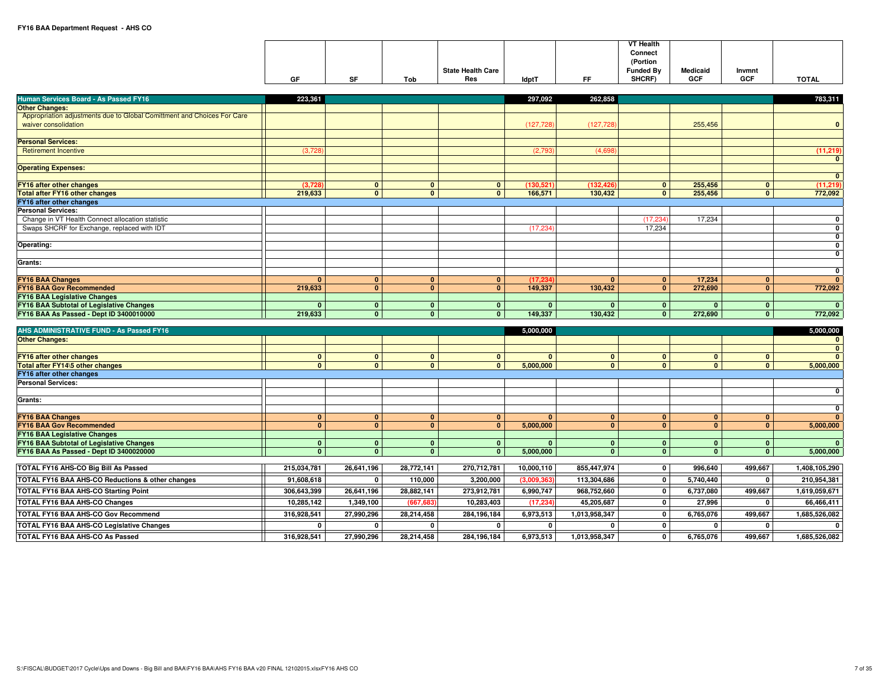|    |    |     |                          |              |              | <b>VT Health</b> |                 |            |              |
|----|----|-----|--------------------------|--------------|--------------|------------------|-----------------|------------|--------------|
|    |    |     |                          |              |              | Connect          |                 |            |              |
|    |    |     |                          |              |              | (Portion         |                 |            |              |
|    |    |     | <b>State Health Care</b> |              |              | <b>Funded Bv</b> | <b>Medicaid</b> | Invmnt     |              |
| GF | SF | Tob | Res                      | <b>IdptT</b> | $- -$<br>. . | SHCRF)           | <b>GCF</b>      | <b>GCF</b> | <b>TOTAL</b> |

| Human Services Board - As Passed FY16                                               | 223,361          |                         |                 |                         | 297,092        | 262,858        |                         |                |                | 783,311                      |
|-------------------------------------------------------------------------------------|------------------|-------------------------|-----------------|-------------------------|----------------|----------------|-------------------------|----------------|----------------|------------------------------|
| <b>Other Changes:</b>                                                               |                  |                         |                 |                         |                |                |                         |                |                |                              |
| Appropriation adjustments due to Global Comittment and Choices For Care             |                  |                         |                 |                         |                |                |                         |                |                |                              |
| waiver consolidation                                                                |                  |                         |                 |                         | (127, 728)     | (127, 728)     |                         | 255,456        |                | $\mathbf{0}$                 |
|                                                                                     |                  |                         |                 |                         |                |                |                         |                |                |                              |
| <b>Personal Services:</b>                                                           |                  |                         |                 |                         |                |                |                         |                |                |                              |
| <b>Retirement Incentive</b>                                                         | (3,728)          |                         |                 |                         | (2,793)        | (4.698)        |                         |                |                | (11, 219)                    |
|                                                                                     |                  |                         |                 |                         |                |                |                         |                |                | $\mathbf{0}$                 |
| <b>Operating Expenses:</b>                                                          |                  |                         |                 |                         |                |                |                         |                |                | $\mathbf{0}$                 |
| FY16 after other changes                                                            | (3,728)          | $\mathbf{0}$            | $\mathbf{0}$    | $\mathbf{0}$            | (130, 521)     | (132, 426)     | $\mathbf{0}$            | 255,456        | $\mathbf{0}$   | (11, 219)                    |
| <b>Total after FY16 other changes</b>                                               | 219,633          | $\mathbf{0}$            | $\mathbf{0}$    | $\mathbf{0}$            | 166,571        | 130,432        | $\overline{0}$          | 255,456        | $\mathbf{0}$   | 772,092                      |
| FY16 after other changes                                                            |                  |                         |                 |                         |                |                |                         |                |                |                              |
| <b>Personal Services:</b>                                                           |                  |                         |                 |                         |                |                |                         |                |                |                              |
| Change in VT Health Connect allocation statistic                                    |                  |                         |                 |                         |                |                | (17, 234)               | 17,234         |                | $\mathbf{0}$                 |
| Swaps SHCRF for Exchange, replaced with IDT                                         |                  |                         |                 |                         | (17, 234)      |                | 17.234                  |                |                | $\mathbf{0}$                 |
|                                                                                     |                  |                         |                 |                         |                |                |                         |                |                | $\mathbf{0}$                 |
| Operating:                                                                          |                  |                         |                 |                         |                |                |                         |                |                | $\mathbf 0$                  |
|                                                                                     |                  |                         |                 |                         |                |                |                         |                |                | $\mathbf{0}$                 |
| Grants:                                                                             |                  |                         |                 |                         |                |                |                         |                |                |                              |
| <b>FY16 BAA Changes</b>                                                             | $\mathbf{0}$     | $\mathbf{0}$            | $\mathbf{0}$    | $\mathbf{0}$            | (17, 234)      | $\mathbf{0}$   | $\overline{0}$          | 17,234         | $\mathbf{0}$   | $\mathbf{0}$<br>$\mathbf{0}$ |
| <b>FY16 BAA Gov Recommended</b>                                                     | 219,633          | $\overline{\mathbf{0}}$ | $\overline{0}$  | $\mathbf{0}$            | 149,337        | 130,432        | $\bullet$               | 272,690        | $\mathbf{0}$   | 772,092                      |
| <b>FY16 BAA Legislative Changes</b>                                                 |                  |                         |                 |                         |                |                |                         |                |                |                              |
| <b>FY16 BAA Subtotal of Legislative Changes</b>                                     | $\mathbf{0}$     | $\mathbf{0}$            | $\mathbf{0}$    | $\mathbf{0}$            | $\mathbf{0}$   | $\mathbf{0}$   | $\mathbf{0}$            | $\mathbf{0}$   | $\mathbf{0}$   | $\mathbf{0}$                 |
| FY16 BAA As Passed - Dept ID 3400010000                                             | 219,633          | $\mathbf{0}$            | $\mathbf{0}$    | $\mathbf{0}$            | 149,337        | 130,432        | $\mathbf{0}$            | 272,690        | $\mathbf{0}$   | 772,092                      |
|                                                                                     |                  |                         |                 |                         |                |                |                         |                |                |                              |
| AHS ADMINISTRATIVE FUND - As Passed FY16                                            |                  |                         |                 |                         | 5,000,000      |                |                         |                |                | 5,000,000                    |
|                                                                                     |                  |                         |                 |                         |                |                |                         |                |                |                              |
| <b>Other Changes:</b>                                                               |                  |                         |                 |                         |                |                |                         |                |                | $\mathbf{0}$                 |
|                                                                                     |                  |                         |                 |                         |                |                |                         |                |                | $\mathbf{0}$                 |
| FY16 after other changes                                                            | $\mathbf{0}$     | $\mathbf{0}$            | $\mathbf{0}$    | $\mathbf{0}$            | $\overline{0}$ | $\mathbf{0}$   | $\mathbf{0}$            | $\overline{0}$ | $\mathbf{0}$   | $\mathbf{0}$                 |
| Total after FY14\5 other changes                                                    | $\mathbf{0}$     | $\mathbf{0}$            | $\mathbf{0}$    | $\mathbf{0}$            | 5,000,000      | $\mathbf{0}$   | $\mathbf{0}$            | $\mathbf{0}$   | $\overline{0}$ | 5,000,000                    |
| FY16 after other changes                                                            |                  |                         |                 |                         |                |                |                         |                |                |                              |
| <b>Personal Services:</b>                                                           |                  |                         |                 |                         |                |                |                         |                |                | $\mathbf{0}$                 |
| Grants:                                                                             |                  |                         |                 |                         |                |                |                         |                |                |                              |
|                                                                                     |                  |                         |                 |                         |                |                |                         |                |                | $\mathbf{0}$                 |
| <b>FY16 BAA Changes</b>                                                             | $\mathbf{0}$     | $\mathbf{0}$            | $\mathbf{0}$    | $\mathbf{0}$            | 0 <sup>1</sup> | $\mathbf{0}$   | $\mathbf{0}$            | $\mathbf{0}$   | $\mathbf{0}$   | $\mathbf{0}$                 |
| <b>FY16 BAA Gov Recommended</b>                                                     | $\mathbf{0}$     | $\mathbf{0}$            | $\overline{0}$  | $\mathbf{0}$            | 5,000,000      | $\mathbf{0}$   | $\overline{\mathbf{0}}$ | $\mathbf{0}$   | $\mathbf{0}$   | 5,000,000                    |
| <b>FY16 BAA Legislative Changes</b>                                                 |                  |                         |                 |                         |                |                |                         |                |                |                              |
| <b>FY16 BAA Subtotal of Legislative Changes</b>                                     | $\mathbf{0}$     | $\mathbf{0}$            | $\mathbf{0}$    | $\mathbf{0}$            | $\mathbf{0}$   | $\mathbf{0}$   | $\mathbf{0}$            | $\overline{0}$ | $\mathbf{0}$   | $\mathbf{0}$                 |
| FY16 BAA As Passed - Dept ID 3400020000                                             | $\bullet$        | $\overline{\mathbf{0}}$ | $\overline{0}$  | $\overline{\mathbf{0}}$ | 5,000,000      | $\overline{0}$ | $\bullet$               | $\overline{0}$ | $\overline{0}$ | 5,000,000                    |
|                                                                                     | 215,034,781      |                         | 28,772,141      | 270,712,781             |                | 855,447,974    | •                       | 996,640        | 499,667        | 1,408,105,290                |
| TOTAL FY16 AHS-CO Big Bill As Passed                                                |                  | 26,641,196              |                 |                         | 10,000,110     |                |                         |                |                |                              |
| TOTAL FY16 BAA AHS-CO Reductions & other changes                                    | 91,608,618       | 0                       | 110,000         | 3,200,000               | (3,009,36)     | 113,304,686    | $\mathbf 0$             | 5,740,440      | 0              | 210,954,381                  |
| <b>TOTAL FY16 BAA AHS-CO Starting Point</b>                                         | 306,643,399      | 26,641,196              | 28,882,141      | 273,912,781             | 6,990,747      | 968,752,660    | $\mathbf 0$             | 6,737,080      | 499,667        | 1,619,059,671                |
| TOTAL FY16 BAA AHS-CO Changes                                                       | 10,285,142       | 1,349,100               | (667, 683)      | 10,283,403              | (17, 234)      | 45,205,687     | $\mathbf{0}$            | 27,996         | 0              | 66,466,411                   |
| TOTAL FY16 BAA AHS-CO Gov Recommend                                                 | 316,928,541      | 27,990,296              | 28,214,458      | 284,196,184             | 6,973,513      | 1,013,958,347  | $\mathbf 0$             | 6,765,076      | 499,667        | 1,685,526,082                |
| <b>TOTAL FY16 BAA AHS-CO Legislative Changes</b><br>TOTAL FY16 BAA AHS-CO As Passed | n<br>316,928,541 | 0<br>27.990.296         | 0<br>28,214,458 | 0<br>284,196,184        | 0<br>6,973,513 | 1,013,958,347  | 0<br>$\mathbf 0$        | 0<br>6,765,076 | 499.667        | 0<br>1,685,526,082           |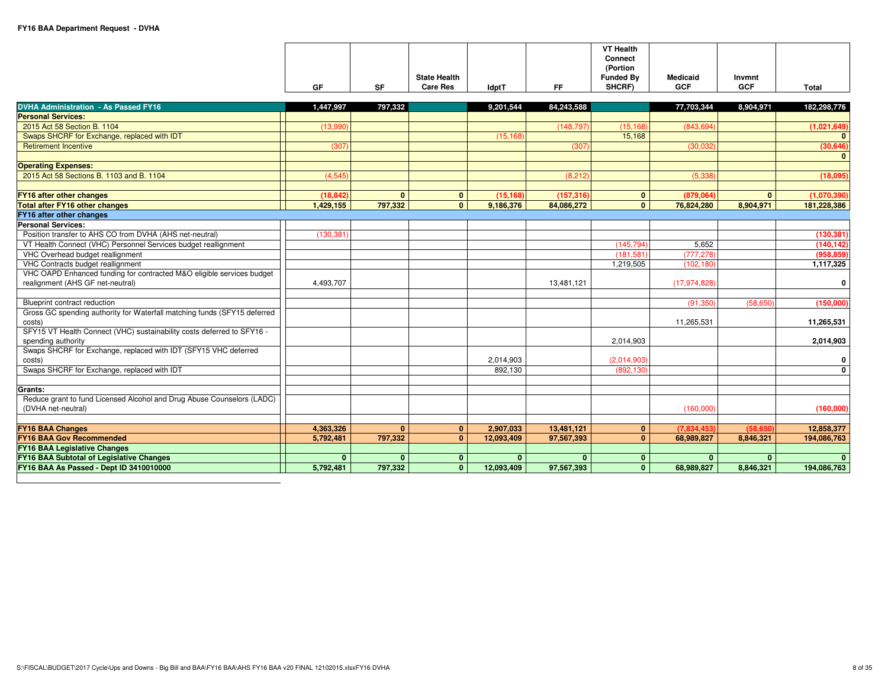|    |    | <b>State Health</b> |              |    | <b>VT Health</b><br>Connect<br>(Portion<br><b>Funded By</b> | Medicaid   | Invmnt     |       |
|----|----|---------------------|--------------|----|-------------------------------------------------------------|------------|------------|-------|
| GF | SF | Care Res            | <b>IdptT</b> | FF | SHCRF)                                                      | <b>GCF</b> | <b>GCF</b> | Total |

| <b>DVHA Administration - As Passed FY16</b>                                                              | 1,447,997    | 797,332      |                | 9,201,544    | 84.243.588 |              | 77,703,344     | 8,904,971    | 182,298,776  |
|----------------------------------------------------------------------------------------------------------|--------------|--------------|----------------|--------------|------------|--------------|----------------|--------------|--------------|
| <b>Personal Services:</b>                                                                                |              |              |                |              |            |              |                |              |              |
| 2015 Act 58 Section B. 1104                                                                              | (13,990)     |              |                |              | (148, 797) | (15, 168)    | (843,694       |              | (1,021,649)  |
| Swaps SHCRF for Exchange, replaced with IDT                                                              |              |              |                | (15, 168)    |            | 15,168       |                |              | $\Omega$     |
| <b>Retirement Incentive</b>                                                                              | (307)        |              |                |              | (307)      |              | (30,032)       |              | (30, 646)    |
|                                                                                                          |              |              |                |              |            |              |                |              | $\mathbf{0}$ |
| <b>Operating Expenses:</b>                                                                               |              |              |                |              |            |              |                |              |              |
| 2015 Act 58 Sections B, 1103 and B, 1104                                                                 | (4,545)      |              |                |              | (8, 212)   |              | (5, 338)       |              | (18,095)     |
|                                                                                                          |              |              |                |              |            |              |                |              |              |
| FY16 after other changes                                                                                 | (18.842)     | $\mathbf{0}$ | $\mathbf{0}$   | (15.168)     | (157.316)  | $\mathbf{0}$ | (879.064)      | $\mathbf{0}$ | (1,070,390)  |
| <b>Total after FY16 other changes</b>                                                                    | 1,429,155    | 797.332      | $\overline{0}$ | 9,186,376    | 84,086,272 | $\mathbf{0}$ | 76,824,280     | 8,904,971    | 181,228,386  |
| FY16 after other changes                                                                                 |              |              |                |              |            |              |                |              |              |
| <b>Personal Services:</b>                                                                                |              |              |                |              |            |              |                |              |              |
| Position transfer to AHS CO from DVHA (AHS net-neutral)                                                  | (130, 381)   |              |                |              |            |              |                |              | (130, 381)   |
| VT Health Connect (VHC) Personnel Services budget reallignment                                           |              |              |                |              |            | (145, 794)   | 5,652          |              | (140, 142)   |
| VHC Overhead budget reallignment                                                                         |              |              |                |              |            | (181, 581)   | (777, 278)     |              | (958, 859)   |
| VHC Contracts budget reallignment                                                                        |              |              |                |              |            | 1,219,505    | (102, 180)     |              | 1,117,325    |
| VHC OAPD Enhanced funding for contracted M&O eligible services budget                                    |              |              |                |              |            |              |                |              |              |
| realignment (AHS GF net-neutral)                                                                         | 4,493,707    |              |                |              | 13,481,121 |              | (17, 974, 828) |              | 0            |
|                                                                                                          |              |              |                |              |            |              |                |              |              |
| Blueprint contract reduction<br>Gross GC spending authority for Waterfall matching funds (SFY15 deferred |              |              |                |              |            |              | (91, 350)      | (58, 650)    | (150,000)    |
| costs)                                                                                                   |              |              |                |              |            |              | 11,265,531     |              | 11,265,531   |
| SFY15 VT Health Connect (VHC) sustainability costs deferred to SFY16 -                                   |              |              |                |              |            |              |                |              |              |
| spending authority                                                                                       |              |              |                |              |            | 2.014.903    |                |              | 2,014,903    |
| Swaps SHCRF for Exchange, replaced with IDT (SFY15 VHC deferred                                          |              |              |                |              |            |              |                |              |              |
| costs)                                                                                                   |              |              |                | 2,014,903    |            | (2,014,903)  |                |              | 0            |
| Swaps SHCRF for Exchange, replaced with IDT                                                              |              |              |                | 892.130      |            | (892, 130)   |                |              | $\mathbf{0}$ |
|                                                                                                          |              |              |                |              |            |              |                |              |              |
| Grants:                                                                                                  |              |              |                |              |            |              |                |              |              |
| Reduce grant to fund Licensed Alcohol and Drug Abuse Counselors (LADC)                                   |              |              |                |              |            |              |                |              |              |
| (DVHA net-neutral)                                                                                       |              |              |                |              |            |              | (160,000)      |              | (160,000)    |
|                                                                                                          |              |              |                |              |            |              |                |              |              |
| <b>FY16 BAA Changes</b>                                                                                  | 4,363,326    | $\mathbf{0}$ | $\mathbf{0}$   | 2,907,033    | 13,481,121 | $\mathbf{0}$ | (7.834.453)    | (58.650)     | 12,858,377   |
| <b>FY16 BAA Gov Recommended</b>                                                                          | 5,792,481    | 797.332      | $\Omega$       | 12,093,409   | 97,567,393 | $\mathbf{0}$ | 68,989,827     | 8,846,321    | 194,086,763  |
| <b>FY16 BAA Legislative Changes</b>                                                                      |              |              |                |              |            |              |                |              |              |
| <b>FY16 BAA Subtotal of Legislative Changes</b>                                                          | $\mathbf{0}$ | $\mathbf{0}$ | $\mathbf{0}$   | $\mathbf{0}$ |            | $\mathbf{0}$ | $\mathbf{0}$   | $\mathbf{0}$ | $\Omega$     |
| FY16 BAA As Passed - Dept ID 3410010000                                                                  | 5,792,481    | 797,332      | $\Omega$       | 12,093,409   | 97,567,393 | $\mathbf{0}$ | 68,989,827     | 8,846,321    | 194,086,763  |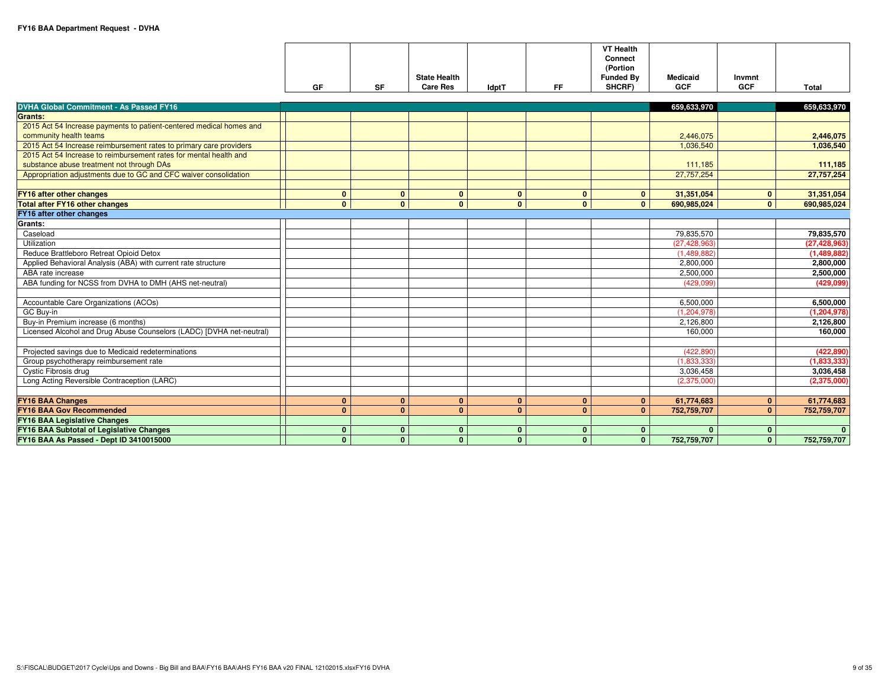|                                                                                               | GF           | SF           | <b>State Health</b><br><b>Care Res</b> | <b>IdptT</b>   | FF.            | <b>VT Health</b><br>Connect<br>(Portion<br><b>Funded By</b><br>SHCRF) | <b>Medicaid</b><br><b>GCF</b> | Invmnt<br><b>GCF</b> | Total          |
|-----------------------------------------------------------------------------------------------|--------------|--------------|----------------------------------------|----------------|----------------|-----------------------------------------------------------------------|-------------------------------|----------------------|----------------|
|                                                                                               |              |              |                                        |                |                |                                                                       |                               |                      |                |
| <b>DVHA Global Commitment - As Passed FY16</b>                                                |              |              |                                        |                |                |                                                                       | 659,633,970                   |                      | 659,633,970    |
| <b>Grants:</b>                                                                                |              |              |                                        |                |                |                                                                       |                               |                      |                |
| 2015 Act 54 Increase payments to patient-centered medical homes and<br>community health teams |              |              |                                        |                |                |                                                                       | 2,446,075                     |                      | 2,446,075      |
| 2015 Act 54 Increase reimbursement rates to primary care providers                            |              |              |                                        |                |                |                                                                       | 1,036,540                     |                      | 1,036,540      |
| 2015 Act 54 Increase to reimbursement rates for mental health and                             |              |              |                                        |                |                |                                                                       |                               |                      |                |
| substance abuse treatment not through DAs                                                     |              |              |                                        |                |                |                                                                       | 111,185                       |                      | 111,185        |
| Appropriation adjustments due to GC and CFC waiver consolidation                              |              |              |                                        |                |                |                                                                       | 27,757,254                    |                      | 27,757,254     |
|                                                                                               |              |              |                                        |                |                |                                                                       |                               |                      |                |
| FY16 after other changes                                                                      | $\mathbf{0}$ | $\mathbf{0}$ | $\bf{0}$                               | $\mathbf{0}$   | $\mathbf{0}$   | $\mathbf{0}$                                                          | 31,351,054                    | $\mathbf{0}$         | 31,351,054     |
| <b>Total after FY16 other changes</b>                                                         | $\mathbf{0}$ | $\mathbf{0}$ | $\overline{0}$                         | $\overline{0}$ | $\overline{0}$ | $\overline{0}$                                                        | 690,985,024                   | $\mathbf{0}$         | 690,985,024    |
| FY16 after other changes                                                                      |              |              |                                        |                |                |                                                                       |                               |                      |                |
| Grants:                                                                                       |              |              |                                        |                |                |                                                                       |                               |                      |                |
| Caseload                                                                                      |              |              |                                        |                |                |                                                                       | 79.835.570                    |                      | 79.835.570     |
| Utilization                                                                                   |              |              |                                        |                |                |                                                                       | (27, 428, 963)                |                      | (27, 428, 963) |
| Reduce Brattleboro Retreat Opioid Detox                                                       |              |              |                                        |                |                |                                                                       | (1,489,882)                   |                      | (1,489,882)    |
| Applied Behavioral Analysis (ABA) with current rate structure                                 |              |              |                                        |                |                |                                                                       | 2,800,000                     |                      | 2,800,000      |
| ABA rate increase                                                                             |              |              |                                        |                |                |                                                                       | 2,500,000                     |                      | 2,500,000      |
| ABA funding for NCSS from DVHA to DMH (AHS net-neutral)                                       |              |              |                                        |                |                |                                                                       | (429,099)                     |                      | (429,099)      |
| Accountable Care Organizations (ACOs)                                                         |              |              |                                        |                |                |                                                                       | 6,500,000                     |                      | 6,500,000      |
| GC Buy-in                                                                                     |              |              |                                        |                |                |                                                                       | (1, 204, 978)                 |                      | (1, 204, 978)  |
| Buy-in Premium increase (6 months)                                                            |              |              |                                        |                |                |                                                                       | 2,126,800                     |                      | 2,126,800      |
| Licensed Alcohol and Drug Abuse Counselors (LADC) [DVHA net-neutral)                          |              |              |                                        |                |                |                                                                       | 160,000                       |                      | 160,000        |
|                                                                                               |              |              |                                        |                |                |                                                                       |                               |                      |                |
| Projected savings due to Medicaid redeterminations                                            |              |              |                                        |                |                |                                                                       | (422, 890)                    |                      | (422, 890)     |
| Group psychotherapy reimbursement rate                                                        |              |              |                                        |                |                |                                                                       | (1,833,333)                   |                      | (1,833,333)    |
| Cystic Fibrosis drug                                                                          |              |              |                                        |                |                |                                                                       | 3,036,458                     |                      | 3,036,458      |
| Long Acting Reversible Contraception (LARC)                                                   |              |              |                                        |                |                |                                                                       | (2,375,000)                   |                      | (2,375,000)    |
|                                                                                               |              |              |                                        |                |                |                                                                       |                               |                      |                |
| <b>FY16 BAA Changes</b>                                                                       | $\mathbf{0}$ | $\mathbf{0}$ | $\mathbf{0}$                           | $\mathbf{0}$   | $\mathbf{0}$   | $\mathbf{0}$                                                          | 61,774,683                    | $\mathbf{0}$         | 61,774,683     |
| <b>FY16 BAA Gov Recommended</b>                                                               | $\mathbf{0}$ | $\mathbf{0}$ | $\mathbf{0}$                           | $\mathbf{0}$   | $\mathbf{0}$   | $\mathbf{0}$                                                          | 752,759,707                   | $\mathbf{0}$         | 752,759,707    |
| <b>FY16 BAA Legislative Changes</b>                                                           |              |              |                                        |                |                |                                                                       |                               |                      |                |
| FY16 BAA Subtotal of Legislative Changes                                                      | $\mathbf{0}$ | $\mathbf{0}$ | $\mathbf{0}$                           | $\bf{0}$       | $\mathbf{0}$   | $\mathbf{0}$                                                          | $\mathbf{0}$                  | $\mathbf{0}$         | $\mathbf{0}$   |
| FY16 BAA As Passed - Dept ID 3410015000                                                       | $\mathbf{0}$ | $\mathbf{0}$ | $\mathbf{0}$                           | $\mathbf{0}$   | $\mathbf{0}$   | $\mathbf{0}$                                                          | 752,759,707                   | $\mathbf{0}$         | 752,759,707    |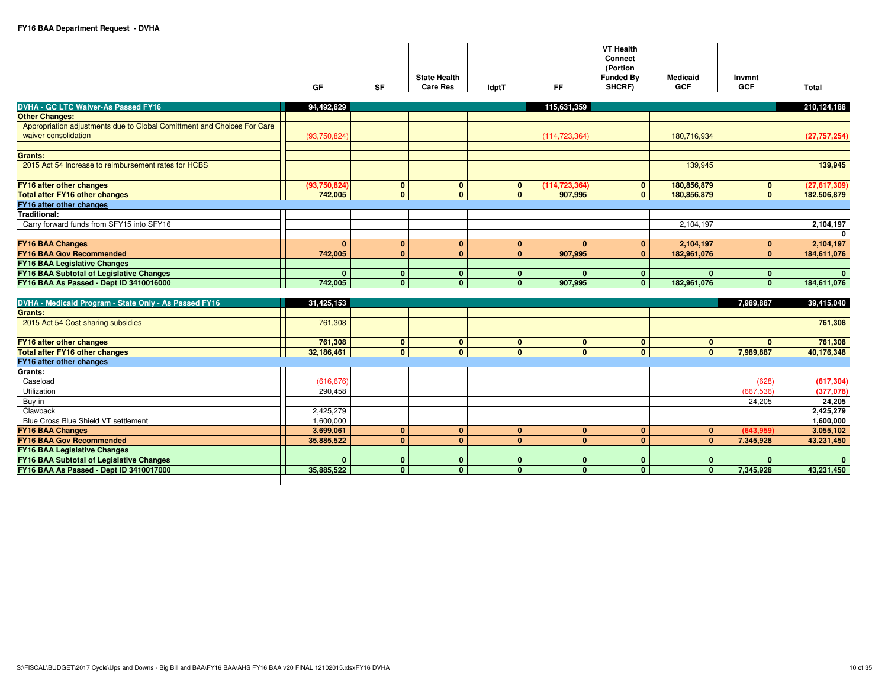|    |           | <b>State Health</b> |              |    | <b>VT Health</b><br>Connect<br>(Portion<br><b>Funded By</b> | <b>Medicaid</b> | Invmnt |       |
|----|-----------|---------------------|--------------|----|-------------------------------------------------------------|-----------------|--------|-------|
| GF | <b>SF</b> | <b>Care Res</b>     | <b>IdptT</b> | FF | SHCRF)                                                      | <b>GCF</b>      | GCF    | Total |

| <b>DVHA - GC LTC Waiver-As Passed FY16</b>                              | 94,492,829   |              |              |              | 115,631,359     |                |             |              | 210,124,188    |
|-------------------------------------------------------------------------|--------------|--------------|--------------|--------------|-----------------|----------------|-------------|--------------|----------------|
| <b>Other Changes:</b>                                                   |              |              |              |              |                 |                |             |              |                |
| Appropriation adjustments due to Global Comittment and Choices For Care |              |              |              |              |                 |                |             |              |                |
| waiver consolidation                                                    | (93,750,824) |              |              |              | (114, 723, 364) |                | 180,716,934 |              | (27, 757, 254) |
|                                                                         |              |              |              |              |                 |                |             |              |                |
| Grants:                                                                 |              |              |              |              |                 |                |             |              |                |
| 2015 Act 54 Increase to reimbursement rates for HCBS                    |              |              |              |              |                 |                | 139,945     |              | 139,945        |
|                                                                         |              |              |              |              |                 |                |             |              |                |
| <b>FY16 after other changes</b>                                         | (93,750,824) | $\mathbf{0}$ | $\mathbf{0}$ | $\mathbf{0}$ | (114, 723, 364) | $\overline{0}$ | 180,856,879 | $\mathbf{0}$ | (27,617,309)   |
| <b>Total after FY16 other changes</b>                                   | 742,005      | $\mathbf{0}$ | $\mathbf{0}$ | $\mathbf{0}$ | 907,995         | 0 <sup>1</sup> | 180,856,879 | $\mathbf{0}$ | 182,506,879    |
| FY16 after other changes                                                |              |              |              |              |                 |                |             |              |                |
| Traditional:                                                            |              |              |              |              |                 |                |             |              |                |
| Carry forward funds from SFY15 into SFY16                               |              |              |              |              |                 |                | 2,104,197   |              | 2,104,197      |
|                                                                         |              |              |              |              |                 |                |             |              | $\mathbf{0}$   |
| <b>FY16 BAA Changes</b>                                                 |              | $\mathbf{0}$ | $\Omega$     | $\Omega$     |                 | $\mathbf{0}$   | 2,104,197   | $\bf{0}$     | 2,104,197      |
| <b>FY16 BAA Gov Recommended</b>                                         | 742,005      | $\mathbf{0}$ | $\Omega$     | $\Omega$     | 907,995         | $\mathbf{0}$   | 182,961,076 | $\Omega$     | 184,611,076    |
| <b>FY16 BAA Legislative Changes</b>                                     |              |              |              |              |                 |                |             |              |                |
| FY16 BAA Subtotal of Legislative Changes                                |              | $\bf{0}$     | n.           | $\Omega$     |                 | $\Omega$       |             | $\Omega$     | $\mathbf{0}$   |
| FY16 BAA As Passed - Dept ID 3410016000                                 | 742.005      | $\mathbf{0}$ | $\Omega$     | $\Omega$     | 907.995         | 0 <sup>1</sup> | 182,961,076 | $\mathbf{0}$ | 184,611,076    |
|                                                                         |              |              |              |              |                 |                |             |              |                |

| DVHA - Medicaid Program - State Only - As Passed FY16 | 31,425,153 |  |          |          |          | 7,989,887  | 39,415,040   |
|-------------------------------------------------------|------------|--|----------|----------|----------|------------|--------------|
| Grants:                                               |            |  |          |          |          |            |              |
| 2015 Act 54 Cost-sharing subsidies                    | 761,308    |  |          |          |          |            | 761,308      |
|                                                       |            |  |          |          |          |            |              |
| <b>FY16 after other changes</b>                       | 761,308    |  |          |          |          |            | 761,308      |
| <b>Total after FY16 other changes</b>                 | 32,186,461 |  |          | $\Omega$ |          | 7,989,887  | 40,176,348   |
| FY16 after other changes                              |            |  |          |          |          |            |              |
| <b>Grants:</b>                                        |            |  |          |          |          |            |              |
| Caseload                                              | (616, 676) |  |          |          |          | (628)      | (617, 304)   |
| Utilization                                           | 290,458    |  |          |          |          | (667, 536) | (377,078)    |
| Buy-in                                                |            |  |          |          |          | 24,205     | 24,205       |
| Clawback                                              | 2,425,279  |  |          |          |          |            | 2,425,279    |
| Blue Cross Blue Shield VT settlement                  | 1,600,000  |  |          |          |          |            | 1,600,000    |
| <b>FY16 BAA Changes</b>                               | 3,699,061  |  | $\Omega$ | $\bf{0}$ |          | (643,959)  | 3,055,102    |
| <b>FY16 BAA Gov Recommended</b>                       | 35,885,522 |  | $\Omega$ | $\bf{0}$ | $\bf{0}$ | 7,345,928  | 43,231,450   |
| <b>FY16 BAA Legislative Changes</b>                   |            |  |          |          |          |            |              |
| FY16 BAA Subtotal of Legislative Changes              |            |  |          |          |          |            | $\mathbf{0}$ |
| FY16 BAA As Passed - Dept ID 3410017000               | 35,885,522 |  |          |          |          | 7,345,928  | 43,231,450   |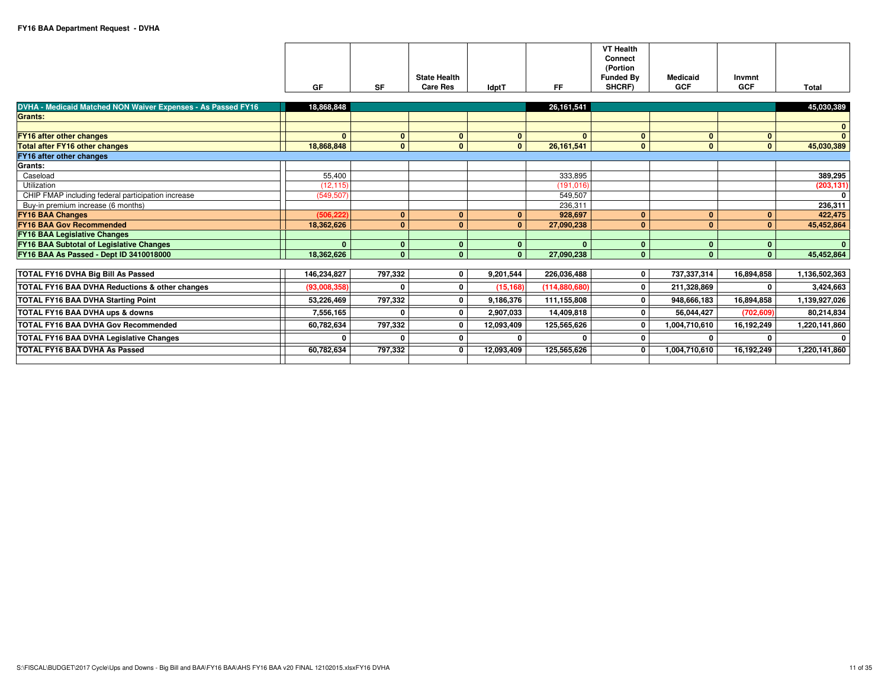|                                                              |              |              |                     |              |                 | <b>VT Health</b><br><b>Connect</b><br>(Portion |                 |              |               |
|--------------------------------------------------------------|--------------|--------------|---------------------|--------------|-----------------|------------------------------------------------|-----------------|--------------|---------------|
|                                                              |              |              | <b>State Health</b> |              |                 | <b>Funded By</b>                               | <b>Medicaid</b> | Invmnt       |               |
|                                                              | <b>GF</b>    | <b>SF</b>    | <b>Care Res</b>     | <b>IdptT</b> | FF.             | SHCRF)                                         | <b>GCF</b>      | <b>GCF</b>   | Total         |
|                                                              |              |              |                     |              |                 |                                                |                 |              |               |
| DVHA - Medicaid Matched NON Waiver Expenses - As Passed FY16 | 18,868,848   |              |                     |              | 26,161,541      |                                                |                 |              | 45,030,389    |
| Grants:                                                      |              |              |                     |              |                 |                                                |                 |              |               |
|                                                              |              |              |                     |              |                 |                                                |                 |              | $\mathbf{0}$  |
| <b>FY16 after other changes</b>                              | $\mathbf{0}$ | $\mathbf{0}$ | $\mathbf{0}$        | $\mathbf{0}$ | $\Omega$        | $\mathbf{0}$                                   | $\mathbf{0}$    | $\mathbf{0}$ | $\Omega$      |
| Total after FY16 other changes                               | 18,868,848   | $\mathbf{0}$ | $\mathbf{0}$        | $\mathbf{0}$ | 26,161,541      | $\mathbf{0}$                                   | $\mathbf{0}$    | $\mathbf{0}$ | 45,030,389    |
| FY16 after other changes                                     |              |              |                     |              |                 |                                                |                 |              |               |
| Grants:                                                      |              |              |                     |              |                 |                                                |                 |              |               |
| Caseload                                                     | 55,400       |              |                     |              | 333,895         |                                                |                 |              | 389,295       |
| Utilization                                                  | (12, 115)    |              |                     |              | (191, 016)      |                                                |                 |              | (203, 131)    |
| CHIP FMAP including federal participation increase           | (549, 507)   |              |                     |              | 549,507         |                                                |                 |              | $\mathbf{0}$  |
| Buy-in premium increase (6 months)                           |              |              |                     |              | 236.311         |                                                |                 |              | 236,311       |
| <b>FY16 BAA Changes</b>                                      | (506.222)    | $\mathbf{0}$ | $\mathbf{0}$        | $\mathbf{0}$ | 928.697         | $\mathbf{0}$                                   | $\mathbf{0}$    | $\mathbf{0}$ | 422,475       |
| <b>FY16 BAA Gov Recommended</b>                              | 18,362,626   | $\mathbf{0}$ | $\mathbf{0}$        | $\mathbf{0}$ | 27,090,238      | $\mathbf{0}$                                   | $\mathbf{0}$    | $\mathbf{0}$ | 45.452.864    |
| <b>FY16 BAA Legislative Changes</b>                          |              |              |                     |              |                 |                                                |                 |              |               |
| <b>FY16 BAA Subtotal of Legislative Changes</b>              | $\mathbf{0}$ | $\mathbf{0}$ | $\mathbf{0}$        | $\mathbf{0}$ | $\mathbf{0}$    | $\mathbf{0}$                                   | $\mathbf{0}$    | $\mathbf{0}$ | $\mathbf{0}$  |
| FY16 BAA As Passed - Dept ID 3410018000                      | 18,362,626   | $\mathbf{0}$ | $\mathbf{0}$        | $\Omega$     | 27.090.238      | $\mathbf{0}$                                   | $\Omega$        | $\Omega$     | 45,452,864    |
|                                                              |              |              |                     |              |                 |                                                |                 |              |               |
| TOTAL FY16 DVHA Big Bill As Passed                           | 146,234,827  | 797,332      | $\overline{0}$      | 9,201,544    | 226,036,488     | 0                                              | 737,337,314     | 16,894,858   | 1,136,502,363 |
| TOTAL FY16 BAA DVHA Reductions & other changes               | (93.008.358) |              | 0                   | (15, 168)    | (114, 880, 680) | 0                                              | 211,328,869     |              | 3,424,663     |
| TOTAL FY16 BAA DVHA Starting Point                           | 53,226,469   | 797,332      | 0                   | 9,186,376    | 111,155,808     | 0                                              | 948,666,183     | 16,894,858   | 1,139,927,026 |
| TOTAL FY16 BAA DVHA ups & downs                              | 7,556,165    |              | 0                   | 2,907,033    | 14,409,818      | 0                                              | 56,044,427      | (702, 609)   | 80,214,834    |
| TOTAL FY16 BAA DVHA Gov Recommended                          | 60,782,634   | 797,332      | 0                   | 12,093,409   | 125,565,626     | 0                                              | 1,004,710,610   | 16,192,249   | 1,220,141,860 |
| TOTAL FY16 BAA DVHA Legislative Changes                      |              |              | 0                   |              |                 | 0                                              |                 |              | 0             |
| <b>TOTAL FY16 BAA DVHA As Passed</b>                         | 60,782,634   | 797.332      | 0                   | 12,093,409   | 125,565,626     | $\overline{\mathbf{0}}$                        | 1,004,710,610   | 16,192,249   | 1,220,141,860 |
|                                                              |              |              |                     |              |                 |                                                |                 |              |               |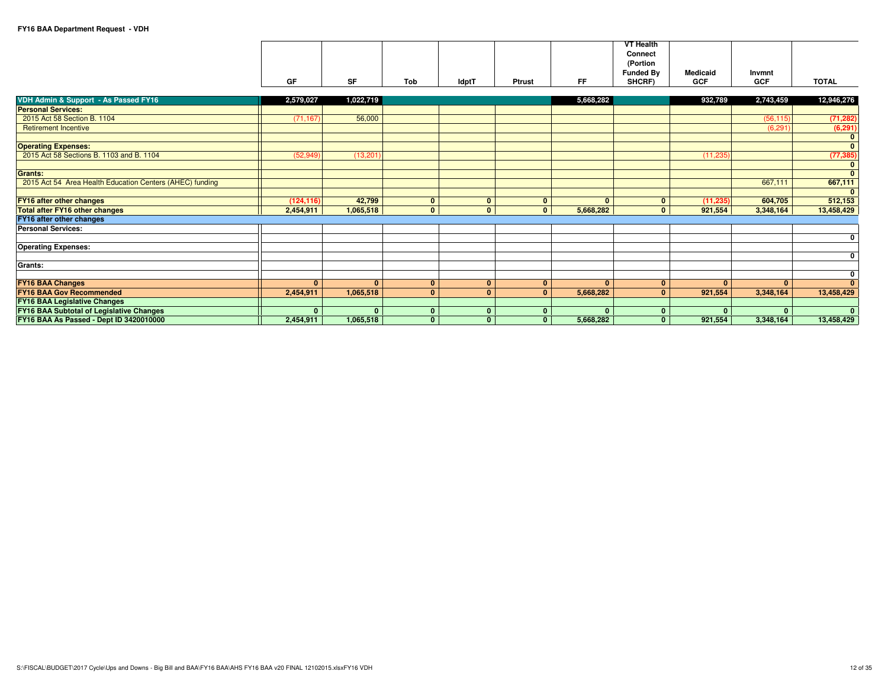|                                                          |              |              |              |                |              |              | <b>VT Health</b> |                 |              |                |
|----------------------------------------------------------|--------------|--------------|--------------|----------------|--------------|--------------|------------------|-----------------|--------------|----------------|
|                                                          |              |              |              |                |              |              | Connect          |                 |              |                |
|                                                          |              |              |              |                |              |              | (Portion         |                 |              |                |
|                                                          |              |              |              |                |              |              | <b>Funded By</b> | <b>Medicaid</b> | Invmnt       |                |
|                                                          | GF           | <b>SF</b>    | Tob          | <b>IdptT</b>   | Ptrust       | FF.          | SHCRF)           | <b>GCF</b>      | <b>GCF</b>   | <b>TOTAL</b>   |
|                                                          |              |              |              |                |              |              |                  |                 |              |                |
| VDH Admin & Support - As Passed FY16                     | 2,579,027    | 1,022,719    |              |                |              | 5,668,282    |                  | 932,789         | 2,743,459    | 12,946,276     |
| <b>Personal Services:</b>                                |              |              |              |                |              |              |                  |                 |              |                |
| 2015 Act 58 Section B, 1104                              | (71, 167)    | 56,000       |              |                |              |              |                  |                 | (56, 115)    | (71, 282)      |
| <b>Retirement Incentive</b>                              |              |              |              |                |              |              |                  |                 | (6, 291)     | (6, 291)       |
|                                                          |              |              |              |                |              |              |                  |                 |              | $\mathbf{0}$   |
| <b>Operating Expenses:</b>                               |              |              |              |                |              |              |                  |                 |              | $\overline{0}$ |
| 2015 Act 58 Sections B. 1103 and B. 1104                 | (52, 949)    | (13, 201)    |              |                |              |              |                  | (11, 235)       |              | (77, 385)      |
|                                                          |              |              |              |                |              |              |                  |                 |              | $\mathbf{0}$   |
| <b>Grants:</b>                                           |              |              |              |                |              |              |                  |                 |              | $\mathbf{0}$   |
| 2015 Act 54 Area Health Education Centers (AHEC) funding |              |              |              |                |              |              |                  |                 | 667,111      | 667,111        |
|                                                          |              |              |              |                |              |              |                  |                 |              | $\mathbf{0}$   |
| <b>FY16 after other changes</b>                          | (124.116)    | 42.799       | $\mathbf{0}$ | $\mathbf{0}$   | $\mathbf{0}$ | $\mathbf{0}$ | $\mathbf{0}$     | (11.235)        | 604,705      | 512,153        |
| <b>Total after FY16 other changes</b>                    | 2,454,911    | 1,065,518    | $\mathbf{0}$ | $\Omega$       | $\Omega$     | 5,668,282    | $\mathbf{0}$     | 921,554         | 3,348,164    | 13,458,429     |
| FY16 after other changes                                 |              |              |              |                |              |              |                  |                 |              |                |
| <b>Personal Services:</b>                                |              |              |              |                |              |              |                  |                 |              |                |
|                                                          |              |              |              |                |              |              |                  |                 |              | 0              |
| <b>Operating Expenses:</b>                               |              |              |              |                |              |              |                  |                 |              |                |
|                                                          |              |              |              |                |              |              |                  |                 |              | $\mathbf 0$    |
| Grants:                                                  |              |              |              |                |              |              |                  |                 |              |                |
|                                                          |              |              |              |                |              |              |                  |                 |              | $\mathbf 0$    |
| <b>FY16 BAA Changes</b>                                  | $\mathbf{0}$ | $\mathbf{0}$ | $\mathbf{0}$ | $\mathbf{0}$   | $\mathbf{0}$ | $\mathbf{0}$ | $\mathbf{0}$     | $\mathbf{0}$    | $\mathbf{0}$ | $\Omega$       |
| <b>FY16 BAA Gov Recommended</b>                          | 2,454,911    | 1,065,518    | $\mathbf{0}$ | 0 <sup>1</sup> | $\mathbf{0}$ | 5,668,282    | $\mathbf{0}$     | 921,554         | 3,348,164    | 13,458,429     |
| <b>FY16 BAA Legislative Changes</b>                      |              |              |              |                |              |              |                  |                 |              |                |
| <b>FY16 BAA Subtotal of Legislative Changes</b>          | $\mathbf{0}$ | $\mathbf{0}$ | 0            | $\mathbf{0}$   | $\bf{0}$     | $\Omega$     | $\mathbf{0}$     | $\mathbf{0}$    | $\bf{0}$     | $\mathbf{0}$   |
| FY16 BAA As Passed - Dept ID 3420010000                  | 2,454,911    | 1,065,518    | $\mathbf{0}$ | $\mathbf{0}$   | $\Omega$     | 5,668,282    | $\mathbf{0}$     | 921,554         | 3,348,164    | 13,458,429     |
|                                                          |              |              |              |                |              |              |                  |                 |              |                |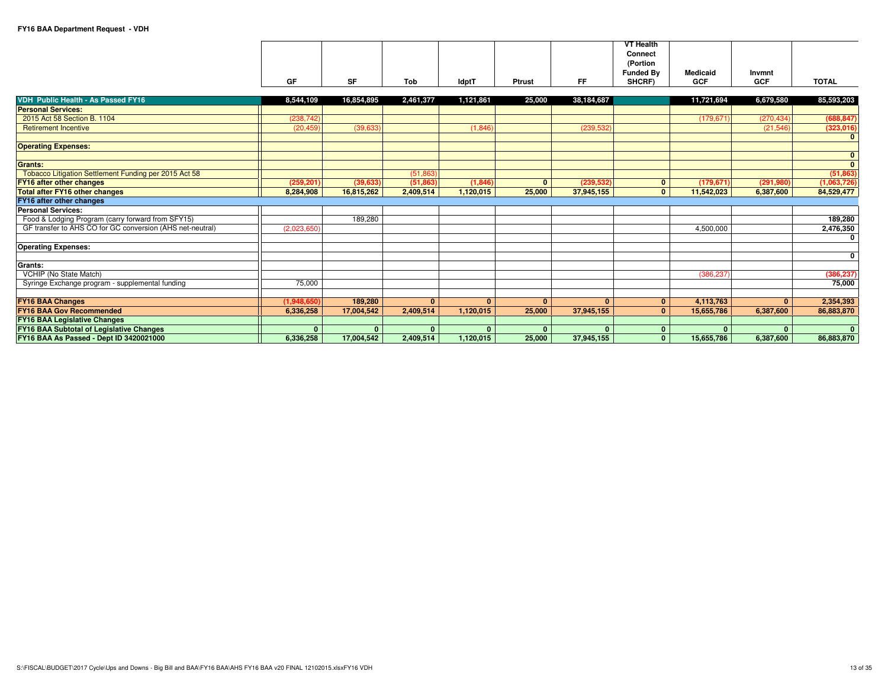|                                                           |              |            |              |           |              |            | <b>VT Health</b> |                 |              |                         |
|-----------------------------------------------------------|--------------|------------|--------------|-----------|--------------|------------|------------------|-----------------|--------------|-------------------------|
|                                                           |              |            |              |           |              |            | Connect          |                 |              |                         |
|                                                           |              |            |              |           |              |            | (Portion         |                 |              |                         |
|                                                           |              |            |              |           |              |            | <b>Funded By</b> | <b>Medicaid</b> | Invmnt       |                         |
|                                                           | GF           | <b>SF</b>  | Tob          | IdptT     | Ptrust       | <b>FF</b>  | SHCRF)           | <b>GCF</b>      | <b>GCF</b>   | <b>TOTAL</b>            |
|                                                           |              |            |              |           |              |            |                  |                 |              |                         |
| VDH Public Health - As Passed FY16                        | 8,544,109    | 16,854,895 | 2,461,377    | 1,121,861 | 25,000       | 38,184,687 |                  | 11,721,694      | 6,679,580    | 85,593,203              |
| <b>Personal Services:</b>                                 |              |            |              |           |              |            |                  |                 |              |                         |
| 2015 Act 58 Section B. 1104                               | (238, 742)   |            |              |           |              |            |                  | (179, 671)      | (270, 434)   | (688, 847)              |
| <b>Retirement Incentive</b>                               | (20, 459)    | (39, 633)  |              | (1,846)   |              | (239, 532) |                  |                 | (21, 546)    | (323, 016)              |
|                                                           |              |            |              |           |              |            |                  |                 |              | $\mathbf{0}$            |
| <b>Operating Expenses:</b>                                |              |            |              |           |              |            |                  |                 |              |                         |
|                                                           |              |            |              |           |              |            |                  |                 |              | $\mathbf{0}$            |
| Grants:                                                   |              |            |              |           |              |            |                  |                 |              | $\overline{\mathbf{0}}$ |
| Tobacco Litigation Settlement Funding per 2015 Act 58     |              |            | (51.863)     |           |              |            |                  |                 |              | (51, 863)               |
| <b>FY16 after other changes</b>                           | (259.201)    | (39.633)   | (51.863)     | (1,846)   | $\mathbf{0}$ | (239.532)  | $\mathbf{0}$     | (179.671)       | (291.980)    | (1,063,726)             |
| <b>Total after FY16 other changes</b>                     | 8,284,908    | 16,815,262 | 2.409.514    | 1,120,015 | 25,000       | 37,945,155 | $\mathbf{0}$     | 11,542,023      | 6,387,600    | 84,529,477              |
| FY16 after other changes                                  |              |            |              |           |              |            |                  |                 |              |                         |
| <b>Personal Services:</b>                                 |              |            |              |           |              |            |                  |                 |              |                         |
| Food & Lodging Program (carry forward from SFY15)         |              | 189,280    |              |           |              |            |                  |                 |              | 189,280                 |
| GF transfer to AHS CO for GC conversion (AHS net-neutral) | (2,023,650)  |            |              |           |              |            |                  | 4,500,000       |              | 2,476,350               |
|                                                           |              |            |              |           |              |            |                  |                 |              | $\mathbf 0$             |
| <b>Operating Expenses:</b>                                |              |            |              |           |              |            |                  |                 |              |                         |
|                                                           |              |            |              |           |              |            |                  |                 |              | $\mathbf 0$             |
| Grants:                                                   |              |            |              |           |              |            |                  |                 |              |                         |
| VCHIP (No State Match)                                    |              |            |              |           |              |            |                  | (386,237        |              | (386, 237)              |
| Syringe Exchange program - supplemental funding           | 75,000       |            |              |           |              |            |                  |                 |              | 75,000                  |
|                                                           |              |            |              |           |              |            |                  |                 |              |                         |
| <b>FY16 BAA Changes</b>                                   | (1,948,650)  | 189,280    | $\mathbf{0}$ | $\Omega$  | $\Omega$     | $\Omega$   | $\mathbf{0}$     | 4,113,763       | $\mathbf{0}$ | 2,354,393               |
| <b>FY16 BAA Gov Recommended</b>                           | 6,336,258    | 17.004.542 | 2.409.514    | 1.120.015 | 25,000       | 37,945,155 | $\Omega$         | 15,655,786      | 6,387,600    | 86,883,870              |
| <b>FY16 BAA Legislative Changes</b>                       |              |            |              |           |              |            |                  |                 |              |                         |
| <b>FY16 BAA Subtotal of Legislative Changes</b>           | $\mathbf{0}$ |            | $\Omega$     | $\Omega$  |              | $\Omega$   | $\bf{0}$         |                 |              | $\mathbf{0}$            |
| FY16 BAA As Passed - Dept ID 3420021000                   | 6,336,258    | 17,004,542 | 2,409,514    | 1,120,015 | 25,000       | 37,945,155 | $\mathbf{0}$     | 15,655,786      | 6,387,600    | 86,883,870              |
|                                                           |              |            |              |           |              |            |                  |                 |              |                         |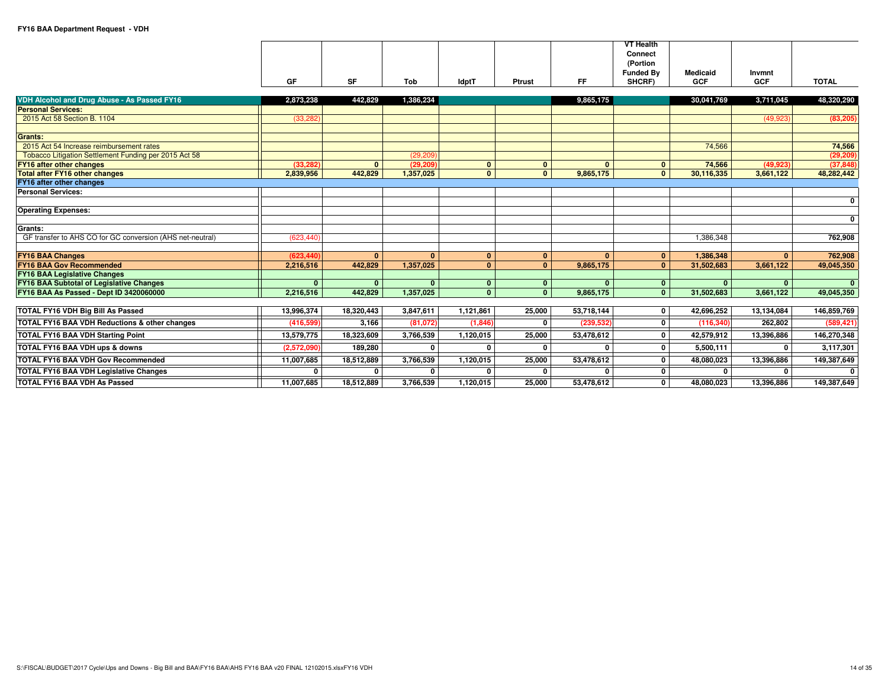|                                                                          | GF           | <b>SF</b>    | Tob       | <b>IdptT</b>   | Ptrust       | <b>FF</b>    | <b>VT Health</b><br>Connect<br>(Portion<br><b>Funded By</b><br>SHCRF) | <b>Medicaid</b><br><b>GCF</b> | Invmnt<br><b>GCF</b> | <b>TOTAL</b> |
|--------------------------------------------------------------------------|--------------|--------------|-----------|----------------|--------------|--------------|-----------------------------------------------------------------------|-------------------------------|----------------------|--------------|
|                                                                          |              |              |           |                |              |              |                                                                       |                               |                      |              |
| VDH Alcohol and Drug Abuse - As Passed FY16<br><b>Personal Services:</b> | 2.873.238    | 442.829      | 1.386.234 |                |              | 9,865,175    |                                                                       | 30,041,769                    | 3,711,045            | 48,320,290   |
| 2015 Act 58 Section B. 1104                                              | (33, 282)    |              |           |                |              |              |                                                                       |                               | (49, 923)            | (83, 205)    |
|                                                                          |              |              |           |                |              |              |                                                                       |                               |                      |              |
| Grants:                                                                  |              |              |           |                |              |              |                                                                       |                               |                      |              |
| 2015 Act 54 Increase reimbursement rates                                 |              |              |           |                |              |              |                                                                       | 74,566                        |                      | 74,566       |
| Tobacco Litigation Settlement Funding per 2015 Act 58                    |              |              | (29, 209) |                |              |              |                                                                       |                               |                      | (29, 209)    |
| FY16 after other changes                                                 | (33.282)     | $\mathbf{0}$ | (29, 209) | $\mathbf{0}$   | $\mathbf{0}$ | $\mathbf{0}$ | $\mathbf{0}$                                                          | 74,566                        | (49, 923)            | (37, 848)    |
| <b>Total after FY16 other changes</b>                                    | 2,839,956    | 442,829      | 1,357,025 | $\overline{0}$ | $\mathbf{0}$ | 9,865,175    | $\mathbf{0}$                                                          | 30,116,335                    | 3,661,122            | 48,282,442   |
| FY16 after other changes                                                 |              |              |           |                |              |              |                                                                       |                               |                      |              |
| <b>Personal Services:</b>                                                |              |              |           |                |              |              |                                                                       |                               |                      |              |
|                                                                          |              |              |           |                |              |              |                                                                       |                               |                      | $\mathbf{0}$ |
| <b>Operating Expenses:</b>                                               |              |              |           |                |              |              |                                                                       |                               |                      |              |
| Grants:                                                                  |              |              |           |                |              |              |                                                                       |                               |                      | $\mathbf{0}$ |
| GF transfer to AHS CO for GC conversion (AHS net-neutral)                | (623.440)    |              |           |                |              |              |                                                                       | 1.386.348                     |                      | 762,908      |
|                                                                          |              |              |           |                |              |              |                                                                       |                               |                      |              |
| <b>FY16 BAA Changes</b>                                                  | (623.440)    | $\Omega$     | $\Omega$  | $\mathbf{0}$   | $\mathbf{0}$ | $\Omega$     | $\mathbf{0}$                                                          | 1.386.348                     | 0 <sup>1</sup>       | 762,908      |
| <b>FY16 BAA Gov Recommended</b>                                          | 2.216.516    | 442.829      | 1.357.025 | $\mathbf{0}$   | $\Omega$     | 9,865,175    | $\mathbf{0}$                                                          | 31.502.683                    | 3.661.122            | 49,045,350   |
| <b>FY16 BAA Legislative Changes</b>                                      |              |              |           |                |              |              |                                                                       |                               |                      |              |
| <b>FY16 BAA Subtotal of Legislative Changes</b>                          | $\mathbf{0}$ | $\mathbf{0}$ | $\Omega$  | 0 <sup>1</sup> | $\mathbf{0}$ | $\mathbf{0}$ | $\mathbf{0}$                                                          | $\Omega$                      | $\mathbf{0}$         | $\mathbf{0}$ |
| FY16 BAA As Passed - Dept ID 3420060000                                  | 2,216,516    | 442,829      | 1,357,025 | $\overline{0}$ | $\mathbf{0}$ | 9,865,175    | $\mathbf{0}$                                                          | 31,502,683                    | 3,661,122            | 49,045,350   |
|                                                                          |              |              |           |                |              |              |                                                                       |                               |                      |              |
| <b>TOTAL FY16 VDH Big Bill As Passed</b>                                 | 13,996,374   | 18,320,443   | 3,847,611 | 1,121,861      | 25,000       | 53,718,144   | $\mathbf{0}$                                                          | 42,696,252                    | 13,134,084           | 146,859,769  |
| <b>TOTAL FY16 BAA VDH Reductions &amp; other changes</b>                 | (416.599)    | 3.166        | (81.072)  | (1,846)        | $\Omega$     | (239.532)    | $\mathbf{0}$                                                          | (116, 340)                    | 262,802              | (589, 421)   |
| <b>TOTAL FY16 BAA VDH Starting Point</b>                                 | 13,579,775   | 18,323,609   | 3,766,539 | 1,120,015      | 25,000       | 53,478,612   | $\mathbf{0}$                                                          | 42,579,912                    | 13,396,886           | 146,270,348  |
| TOTAL FY16 BAA VDH ups & downs                                           | (2.572.090)  | 189.280      | U         |                | U            | $\Omega$     | $\mathbf{0}$                                                          | 5.500.111                     | 0                    | 3,117,301    |
| <b>TOTAL FY16 BAA VDH Gov Recommended</b>                                | 11,007,685   | 18,512,889   | 3,766,539 | 1,120,015      | 25,000       | 53,478,612   | $\mathbf 0$                                                           | 48,080,023                    | 13,396,886           | 149,387,649  |
| <b>TOTAL FY16 BAA VDH Legislative Changes</b>                            | 0            |              |           |                | 0            |              | $\mathbf 0$                                                           |                               | 0                    | $\mathbf{0}$ |
| <b>TOTAL FY16 BAA VDH As Passed</b>                                      | 11,007,685   | 18,512,889   | 3,766,539 | 1,120,015      | 25,000       | 53,478,612   | 0                                                                     | 48,080,023                    | 13,396,886           | 149,387,649  |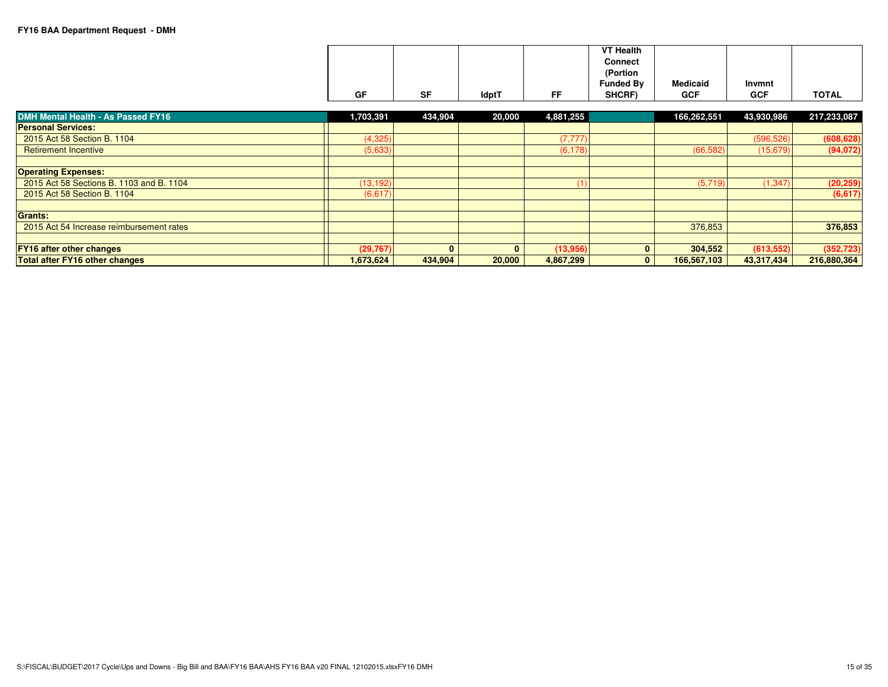|    |           |              |    | <b>VT Health</b><br><b>Connect</b><br>(Portion<br><b>Funded By</b> | <b>Medicaid</b> | Invmnt     |              |
|----|-----------|--------------|----|--------------------------------------------------------------------|-----------------|------------|--------------|
| GF | <b>SF</b> | <b>IdptT</b> | FF | SHCRF)                                                             | <b>GCF</b>      | <b>GCF</b> | <b>TOTAL</b> |

| DMH Mental Health - As Passed FY16       | 1,703,391 | 434,904  | 20,000       | 4,881,255 | 166,262,551 | 43,930,986 | 217,233,087 |
|------------------------------------------|-----------|----------|--------------|-----------|-------------|------------|-------------|
| <b>Personal Services:</b>                |           |          |              |           |             |            |             |
| 2015 Act 58 Section B. 1104              | (4,325)   |          |              | (7, 777)  |             | (596, 526) | (608, 628)  |
| <b>Retirement Incentive</b>              | (5,633)   |          |              | (6, 178)  | (66, 582)   | (15,679)   | (94,072)    |
| <b>Operating Expenses:</b>               |           |          |              |           |             |            |             |
| 2015 Act 58 Sections B, 1103 and B, 1104 | (13, 192) |          |              |           | (5,719)     | (1, 347)   | (20, 259)   |
| 2015 Act 58 Section B, 1104              | (6,617)   |          |              |           |             |            | (6,617)     |
| <b>Grants:</b>                           |           |          |              |           |             |            |             |
| 2015 Act 54 Increase reimbursement rates |           |          |              |           | 376,853     |            | 376,853     |
|                                          |           |          |              |           |             |            |             |
| <b>FY16 after other changes</b>          | (29, 767) | $\Omega$ | $\mathbf{0}$ | (13,956)  | 304,552     | (613, 552) | (352, 723)  |
| Total after FY16 other changes           | 1.673.624 | 434.904  | 20,000       | 4,867,299 | 166,567,103 | 43.317,434 | 216,880,364 |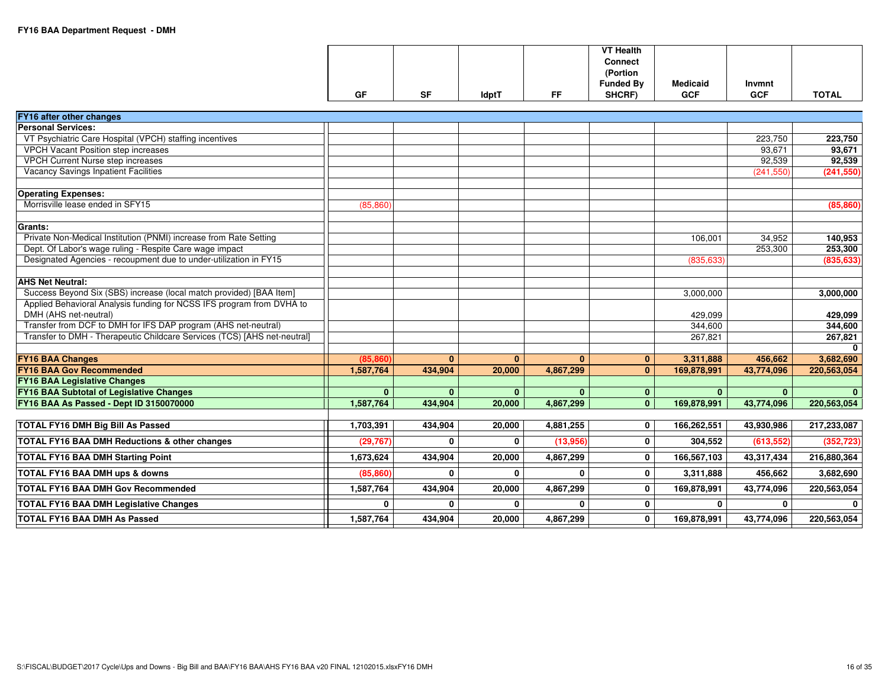| FY16 after other changes                                                 |              |              |              |           |              |              |              |              |
|--------------------------------------------------------------------------|--------------|--------------|--------------|-----------|--------------|--------------|--------------|--------------|
| <b>Personal Services:</b>                                                |              |              |              |           |              |              |              |              |
| VT Psychiatric Care Hospital (VPCH) staffing incentives                  |              |              |              |           |              |              | 223,750      | 223,750      |
| <b>VPCH Vacant Position step increases</b>                               |              |              |              |           |              |              | 93,671       | 93,671       |
| <b>VPCH Current Nurse step increases</b>                                 |              |              |              |           |              |              | 92,539       | 92,539       |
| Vacancy Savings Inpatient Facilities                                     |              |              |              |           |              |              | (241, 550)   | (241, 550)   |
|                                                                          |              |              |              |           |              |              |              |              |
| <b>Operating Expenses:</b>                                               |              |              |              |           |              |              |              |              |
| Morrisville lease ended in SFY15                                         | (85, 860)    |              |              |           |              |              |              | (85, 860)    |
|                                                                          |              |              |              |           |              |              |              |              |
| <b>Grants:</b>                                                           |              |              |              |           |              |              |              |              |
| Private Non-Medical Institution (PNMI) increase from Rate Setting        |              |              |              |           |              | 106,001      | 34,952       | 140,953      |
| Dept. Of Labor's wage ruling - Respite Care wage impact                  |              |              |              |           |              |              | 253,300      | 253,300      |
| Designated Agencies - recoupment due to under-utilization in FY15        |              |              |              |           |              | (835, 633)   |              | (835, 633)   |
| <b>AHS Net Neutral:</b>                                                  |              |              |              |           |              |              |              |              |
| Success Beyond Six (SBS) increase (local match provided) [BAA Item]      |              |              |              |           |              | 3,000,000    |              | 3,000,000    |
| Applied Behavioral Analysis funding for NCSS IFS program from DVHA to    |              |              |              |           |              |              |              |              |
| DMH (AHS net-neutral)                                                    |              |              |              |           |              | 429.099      |              | 429,099      |
| Transfer from DCF to DMH for IFS DAP program (AHS net-neutral)           |              |              |              |           |              | 344,600      |              | 344,600      |
| Transfer to DMH - Therapeutic Childcare Services (TCS) [AHS net-neutral] |              |              |              |           |              | 267,821      |              | 267,821      |
|                                                                          |              |              |              |           |              |              |              |              |
| <b>FY16 BAA Changes</b>                                                  | (85, 860)    | $\mathbf{0}$ | $\mathbf{0}$ | $\Omega$  | $\mathbf{0}$ | 3,311,888    | 456,662      | 3,682,690    |
| <b>FY16 BAA Gov Recommended</b>                                          | 1,587,764    | 434,904      | 20,000       | 4,867,299 | $\Omega$     | 169,878,991  | 43,774,096   | 220,563,054  |
| <b>FY16 BAA Legislative Changes</b>                                      |              |              |              |           |              |              |              |              |
| <b>FY16 BAA Subtotal of Legislative Changes</b>                          | $\mathbf{0}$ | $\mathbf{0}$ | $\mathbf{0}$ | $\Omega$  | $\mathbf{0}$ | $\mathbf{0}$ | $\mathbf{0}$ | $\mathbf{0}$ |
| FY16 BAA As Passed - Dept ID 3150070000                                  | 1,587,764    | 434,904      | 20,000       | 4,867,299 | $\Omega$     | 169,878,991  | 43,774,096   | 220,563,054  |
|                                                                          |              |              |              |           |              |              |              |              |
| <b>TOTAL FY16 DMH Big Bill As Passed</b>                                 | 1,703,391    | 434,904      | 20,000       | 4,881,255 | $\mathbf{0}$ | 166,262,551  | 43,930,986   | 217,233,087  |
| TOTAL FY16 BAA DMH Reductions & other changes                            | (29, 767)    | $\mathbf{0}$ | $\mathbf{0}$ | (13,956)  | 0            | 304,552      | (613, 552)   | (352, 723)   |
| <b>TOTAL FY16 BAA DMH Starting Point</b>                                 | 1.673.624    | 434,904      | 20,000       | 4,867,299 | $\mathbf{0}$ | 166,567,103  | 43,317,434   | 216,880,364  |
| TOTAL FY16 BAA DMH ups & downs                                           | (85.860)     | 0            | $\mathbf{0}$ | $\Omega$  | $\mathbf{0}$ | 3,311,888    | 456,662      | 3.682,690    |
| <b>TOTAL FY16 BAA DMH Gov Recommended</b>                                | 1,587,764    | 434,904      | 20,000       | 4,867,299 | 0            | 169,878,991  | 43,774,096   | 220,563,054  |
| <b>TOTAL FY16 BAA DMH Legislative Changes</b>                            | $\Omega$     | $\Omega$     | $\Omega$     | $\Omega$  | $\mathbf{0}$ | $\mathbf{0}$ | $\Omega$     | $\Omega$     |
| <b>TOTAL FY16 BAA DMH As Passed</b>                                      | 1,587,764    | 434,904      | 20,000       | 4,867,299 | $\mathbf{0}$ | 169,878,991  | 43,774,096   | 220,563,054  |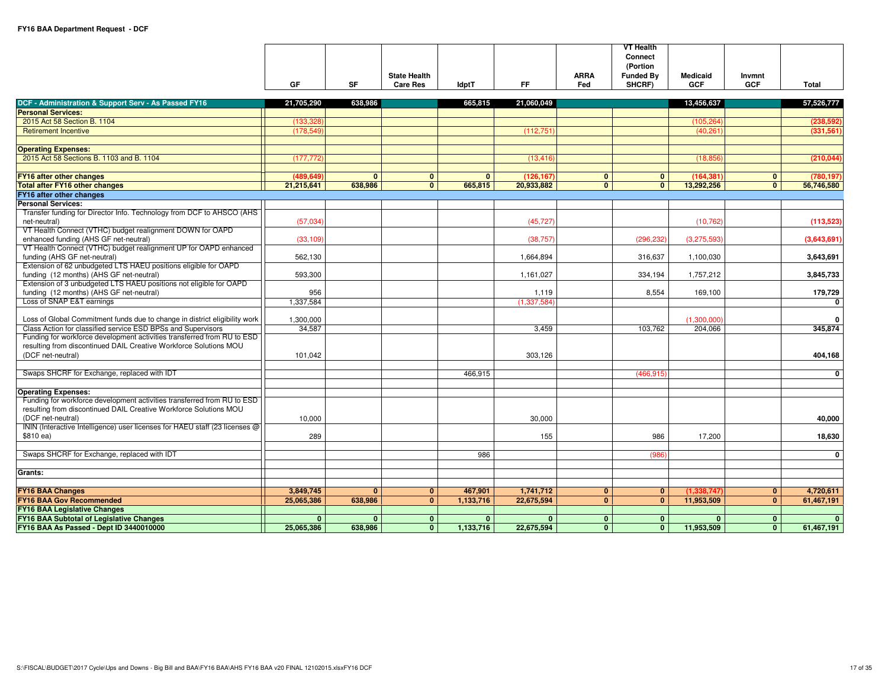|                                                                                        |              |              |                                        |              |                      |                    | <b>VT Health</b><br>Connect<br>(Portion |                               |                      |              |
|----------------------------------------------------------------------------------------|--------------|--------------|----------------------------------------|--------------|----------------------|--------------------|-----------------------------------------|-------------------------------|----------------------|--------------|
|                                                                                        | GF           | <b>SF</b>    | <b>State Health</b><br><b>Care Res</b> | <b>IdptT</b> | <b>FF</b>            | <b>ARRA</b><br>Fed | <b>Funded By</b><br>SHCRF)              | <b>Medicaid</b><br><b>GCF</b> | Invmnt<br><b>GCF</b> | Total        |
|                                                                                        |              |              |                                        |              |                      |                    |                                         |                               |                      |              |
| DCF - Administration & Support Serv - As Passed FY16                                   | 21,705,290   | 638,986      |                                        | 665,815      | 21,060,049           |                    |                                         | 13,456,637                    |                      | 57,526,777   |
| <b>Personal Services:</b>                                                              |              |              |                                        |              |                      |                    |                                         |                               |                      |              |
| 2015 Act 58 Section B. 1104                                                            | (133, 328)   |              |                                        |              |                      |                    |                                         | (105, 264)                    |                      | (238, 592)   |
| <b>Retirement Incentive</b>                                                            | (178, 549)   |              |                                        |              | (112, 751)           |                    |                                         | (40, 261)                     |                      | (331, 561)   |
| <b>Operating Expenses:</b>                                                             |              |              |                                        |              |                      |                    |                                         |                               |                      |              |
| 2015 Act 58 Sections B, 1103 and B, 1104                                               | (177, 772)   |              |                                        |              | (13, 416)            |                    |                                         | (18, 856)                     |                      | (210, 044)   |
| <b>FY16 after other changes</b>                                                        | (489, 649)   | $\mathbf{0}$ | $\mathbf{0}$                           | $\mathbf{0}$ | (126, 167)           | $\mathbf{0}$       | $\mathbf{0}$                            | (164, 381)                    | $\mathbf{0}$         | (780, 197)   |
| <b>Total after FY16 other changes</b>                                                  | 21,215,641   | 638,986      | $\mathbf{0}$                           | 665,815      | 20,933,882           | $\mathbf{0}$       | $\mathbf{0}$                            | 13,292,256                    | $\mathbf{0}$         | 56,746,580   |
| FY16 after other changes                                                               |              |              |                                        |              |                      |                    |                                         |                               |                      |              |
| <b>Personal Services:</b>                                                              |              |              |                                        |              |                      |                    |                                         |                               |                      |              |
| Transfer funding for Director Info. Technology from DCF to AHSCO (AHS                  |              |              |                                        |              |                      |                    |                                         |                               |                      |              |
| net-neutral)                                                                           | (57,034)     |              |                                        |              | (45, 727)            |                    |                                         | (10, 762)                     |                      | (113, 523)   |
| VT Health Connect (VTHC) budget realignment DOWN for OAPD                              |              |              |                                        |              |                      |                    |                                         |                               |                      |              |
| enhanced funding (AHS GF net-neutral)                                                  | (33, 109)    |              |                                        |              | (38, 757)            |                    | (296, 232)                              | (3,275,593)                   |                      | (3,643,691)  |
| VT Health Connect (VTHC) budget realignment UP for OAPD enhanced                       |              |              |                                        |              |                      |                    |                                         |                               |                      |              |
| funding (AHS GF net-neutral)                                                           | 562,130      |              |                                        |              | 1,664,894            |                    | 316,637                                 | 1,100,030                     |                      | 3,643,691    |
| Extension of 62 unbudgeted LTS HAEU positions eligible for OAPD                        |              |              |                                        |              |                      |                    |                                         |                               |                      |              |
| funding (12 months) (AHS GF net-neutral)                                               | 593,300      |              |                                        |              | 1,161,027            |                    | 334,194                                 | 1,757,212                     |                      | 3,845,733    |
| Extension of 3 unbudgeted LTS HAEU positions not eligible for OAPD                     | 956          |              |                                        |              |                      |                    | 8,554                                   |                               |                      |              |
| funding (12 months) (AHS GF net-neutral)<br>Loss of SNAP E&T earnings                  | 1,337,584    |              |                                        |              | 1,119<br>(1,337,584) |                    |                                         | 169,100                       |                      | 179,729<br>0 |
|                                                                                        |              |              |                                        |              |                      |                    |                                         |                               |                      |              |
| Loss of Global Commitment funds due to change in district eligibility work             | 1,300,000    |              |                                        |              |                      |                    |                                         | (1,300,000)                   |                      | $\mathbf{0}$ |
| Class Action for classified service ESD BPSs and Supervisors                           | 34,587       |              |                                        |              | 3.459                |                    | 103,762                                 | 204,066                       |                      | 345,874      |
| Funding for workforce development activities transferred from RU to ESD                |              |              |                                        |              |                      |                    |                                         |                               |                      |              |
| resulting from discontinued DAIL Creative Workforce Solutions MOU                      |              |              |                                        |              |                      |                    |                                         |                               |                      |              |
| (DCF net-neutral)                                                                      | 101,042      |              |                                        |              | 303,126              |                    |                                         |                               |                      | 404,168      |
|                                                                                        |              |              |                                        |              |                      |                    |                                         |                               |                      |              |
| Swaps SHCRF for Exchange, replaced with IDT                                            |              |              |                                        | 466,915      |                      |                    | (466, 915)                              |                               |                      | $\mathbf{0}$ |
|                                                                                        |              |              |                                        |              |                      |                    |                                         |                               |                      |              |
| <b>Operating Expenses:</b>                                                             |              |              |                                        |              |                      |                    |                                         |                               |                      |              |
| Funding for workforce development activities transferred from RU to ESD                |              |              |                                        |              |                      |                    |                                         |                               |                      |              |
| resulting from discontinued DAIL Creative Workforce Solutions MOU<br>(DCF net-neutral) |              |              |                                        |              |                      |                    |                                         |                               |                      |              |
| ININ (Interactive Intelligence) user licenses for HAEU staff (23 licenses @            | 10,000       |              |                                        |              | 30.000               |                    |                                         |                               |                      | 40,000       |
| \$810 ea)                                                                              | 289          |              |                                        |              | 155                  |                    | 986                                     | 17,200                        |                      | 18,630       |
|                                                                                        |              |              |                                        |              |                      |                    |                                         |                               |                      |              |
| Swaps SHCRF for Exchange, replaced with IDT                                            |              |              |                                        | 986          |                      |                    | (986)                                   |                               |                      | $\mathbf 0$  |
|                                                                                        |              |              |                                        |              |                      |                    |                                         |                               |                      |              |
| Grants:                                                                                |              |              |                                        |              |                      |                    |                                         |                               |                      |              |
|                                                                                        |              |              |                                        |              |                      |                    |                                         |                               |                      |              |
| <b>FY16 BAA Changes</b>                                                                | 3,849,745    | $\mathbf{0}$ | $\mathbf{0}$                           | 467,901      | 1,741,712            | $\mathbf{0}$       | $\mathbf{0}$                            | (1,338,747)                   | $\mathbf{0}$         | 4,720,611    |
| <b>FY16 BAA Gov Recommended</b>                                                        | 25,065,386   | 638.986      | $\mathbf{0}$                           | 1,133,716    | 22,675,594           | $\Omega$           | $\mathbf{0}$                            | 11,953,509                    | $\mathbf{0}$         | 61,467,191   |
| <b>FY16 BAA Legislative Changes</b>                                                    |              |              |                                        |              |                      |                    |                                         |                               |                      |              |
| <b>FY16 BAA Subtotal of Legislative Changes</b>                                        | $\mathbf{0}$ | $\mathbf{0}$ | $\mathbf{0}$                           | $\mathbf{0}$ | $\mathbf{0}$         | $\mathbf{0}$       | $\mathbf{0}$                            | $\mathbf{0}$                  | $\mathbf{0}$         | $\mathbf{0}$ |
| FY16 BAA As Passed - Dept ID 3440010000                                                | 25,065,386   | 638,986      | $\mathbf{0}$                           | 1,133,716    | 22,675,594           | $\mathbf{0}$       | $\mathbf{0}$                            | 11,953,509                    | $\mathbf{0}$         | 61,467,191   |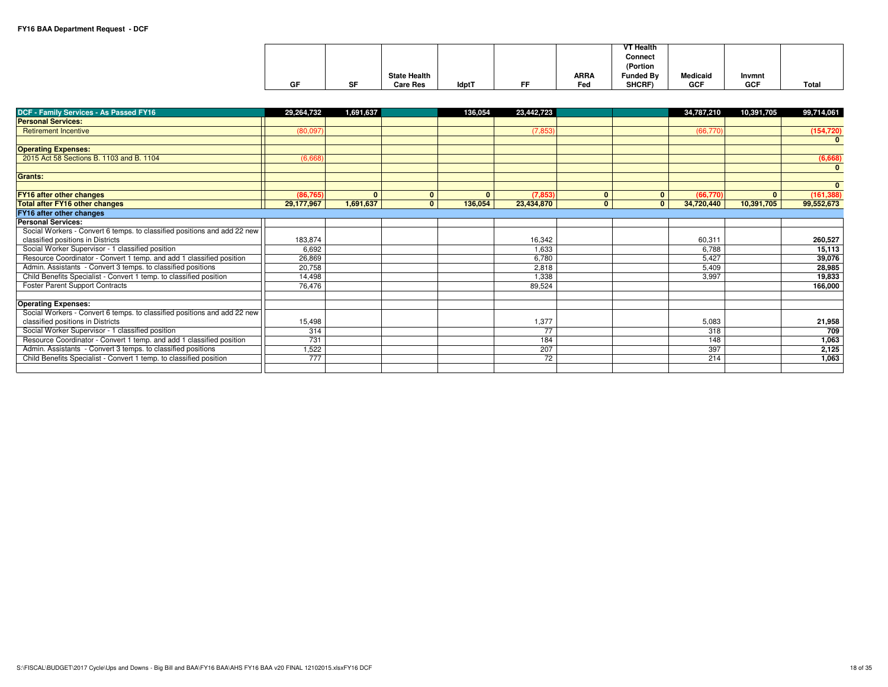|    |    |                     |              |    |             | <b>VT Health</b> |                 |            |              |
|----|----|---------------------|--------------|----|-------------|------------------|-----------------|------------|--------------|
|    |    |                     |              |    |             | Connect          |                 |            |              |
|    |    |                     |              |    |             | (Portion         |                 |            |              |
|    |    | <b>State Health</b> |              |    | <b>ARRA</b> | Funded By        | <b>Medicaid</b> | Invmnt     |              |
| GF | SF | <b>Care Res</b>     | <b>IdptT</b> | FF | Fed         | SHCRF)           | <b>GCF</b>      | <b>GCF</b> | <b>Total</b> |

| DCF - Family Services - As Passed FY16                                   | 29,264,732 | 1,691,637    |              | 136,054      | 23,442,723 |              |              | 34,787,210 | 10,391,705   | 99,714,061   |
|--------------------------------------------------------------------------|------------|--------------|--------------|--------------|------------|--------------|--------------|------------|--------------|--------------|
| <b>Personal Services:</b>                                                |            |              |              |              |            |              |              |            |              |              |
| <b>Retirement Incentive</b>                                              | (80,097)   |              |              |              | (7, 853)   |              |              | (66, 770)  |              | (154, 720)   |
|                                                                          |            |              |              |              |            |              |              |            |              | $\mathbf{0}$ |
| <b>Operating Expenses:</b>                                               |            |              |              |              |            |              |              |            |              |              |
| 2015 Act 58 Sections B, 1103 and B, 1104                                 | (6,668)    |              |              |              |            |              |              |            |              | (6,668)      |
|                                                                          |            |              |              |              |            |              |              |            |              | $\mathbf{0}$ |
| <b>Grants:</b>                                                           |            |              |              |              |            |              |              |            |              |              |
|                                                                          |            |              |              |              |            |              |              |            |              | $\mathbf{0}$ |
| <b>FY16 after other changes</b>                                          | (86, 765)  | $\mathbf{0}$ | $\mathbf{0}$ | $\mathbf{0}$ | (7, 853)   | $\mathbf{0}$ | $\mathbf{0}$ | (66, 770)  | $\mathbf{0}$ | (161, 388)   |
| <b>Total after FY16 other changes</b>                                    | 29,177,967 | 1,691,637    | $\mathbf{0}$ | 136,054      | 23,434,870 | $\mathbf{0}$ | $\mathbf{0}$ | 34,720,440 | 10,391,705   | 99,552,673   |
| FY16 after other changes                                                 |            |              |              |              |            |              |              |            |              |              |
| <b>Personal Services:</b>                                                |            |              |              |              |            |              |              |            |              |              |
| Social Workers - Convert 6 temps. to classified positions and add 22 new |            |              |              |              |            |              |              |            |              |              |
| classified positions in Districts                                        | 183,874    |              |              |              | 16,342     |              |              | 60,311     |              | 260,527      |
| Social Worker Supervisor - 1 classified position                         | 6,692      |              |              |              | 1,633      |              |              | 6.788      |              | 15,113       |
| Resource Coordinator - Convert 1 temp. and add 1 classified position     | 26,869     |              |              |              | 6,780      |              |              | 5,427      |              | 39,076       |
| Admin. Assistants - Convert 3 temps. to classified positions             | 20,758     |              |              |              | 2,818      |              |              | 5,409      |              | 28,985       |
| Child Benefits Specialist - Convert 1 temp. to classified position       | 14,498     |              |              |              | 1,338      |              |              | 3,997      |              | 19,833       |
| <b>Foster Parent Support Contracts</b>                                   | 76.476     |              |              |              | 89,524     |              |              |            |              | 166,000      |
|                                                                          |            |              |              |              |            |              |              |            |              |              |
| <b>Operating Expenses:</b>                                               |            |              |              |              |            |              |              |            |              |              |
| Social Workers - Convert 6 temps. to classified positions and add 22 new |            |              |              |              |            |              |              |            |              |              |
| classified positions in Districts                                        | 15,498     |              |              |              | 1,377      |              |              | 5,083      |              | 21,958       |
| Social Worker Supervisor - 1 classified position                         | 314        |              |              |              | 77         |              |              | 318        |              | 709          |
| Resource Coordinator - Convert 1 temp. and add 1 classified position     | 731        |              |              |              | 184        |              |              | 148        |              | 1,063        |
| Admin. Assistants - Convert 3 temps. to classified positions             | .522       |              |              |              | 207        |              |              | 397        |              | 2,125        |
| Child Benefits Specialist - Convert 1 temp. to classified position       | 777        |              |              |              | 72         |              |              | 214        |              | 1,063        |
|                                                                          |            |              |              |              |            |              |              |            |              |              |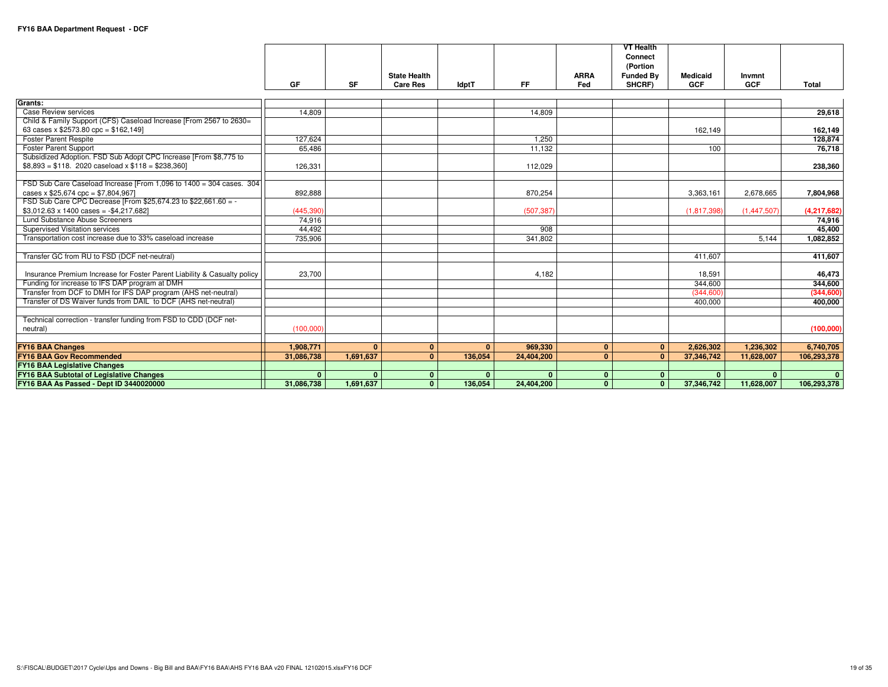|                                                                                                                |              |              |                     |              |              |              | <b>VT Health</b>    |                 |              |              |
|----------------------------------------------------------------------------------------------------------------|--------------|--------------|---------------------|--------------|--------------|--------------|---------------------|-----------------|--------------|--------------|
|                                                                                                                |              |              |                     |              |              |              | Connect<br>(Portion |                 |              |              |
|                                                                                                                |              |              | <b>State Health</b> |              |              | <b>ARRA</b>  | <b>Funded Bv</b>    | <b>Medicaid</b> | Invmnt       |              |
|                                                                                                                | GF           | <b>SF</b>    | <b>Care Res</b>     | <b>IdptT</b> | <b>FF</b>    | Fed          | SHCRF)              | <b>GCF</b>      | <b>GCF</b>   | <b>Total</b> |
| Grants:                                                                                                        |              |              |                     |              |              |              |                     |                 |              |              |
| <b>Case Review services</b>                                                                                    | 14.809       |              |                     |              | 14.809       |              |                     |                 |              | 29,618       |
| Child & Family Support (CFS) Caseload Increase [From 2567 to 2630=<br>63 cases x $$2573.80$ cpc = $$162,149$ ] |              |              |                     |              |              |              |                     | 162,149         |              | 162,149      |
| <b>Foster Parent Respite</b>                                                                                   | 127.624      |              |                     |              | 1.250        |              |                     |                 |              | 128,874      |
| <b>Foster Parent Support</b>                                                                                   | 65,486       |              |                     |              | 11,132       |              |                     | 100             |              | 76,718       |
| Subsidized Adoption. FSD Sub Adopt CPC Increase [From \$8,775 to                                               |              |              |                     |              |              |              |                     |                 |              |              |
| $$8,893 = $118$ . 2020 caseload x $$118 = $238,360$                                                            | 126,331      |              |                     |              | 112,029      |              |                     |                 |              | 238,360      |
|                                                                                                                |              |              |                     |              |              |              |                     |                 |              |              |
| FSD Sub Care Caseload Increase [From 1,096 to 1400 = 304 cases. 304                                            |              |              |                     |              |              |              |                     |                 |              |              |
| cases x $$25,674$ cpc = \$7,804,967]                                                                           | 892.888      |              |                     |              | 870.254      |              |                     | 3.363.161       | 2.678.665    | 7.804.968    |
| FSD Sub Care CPC Decrease [From \$25,674.23 to \$22,661.60 = -                                                 |              |              |                     |              |              |              |                     |                 |              |              |
| $$3,012.63 \times 1400 \text{ cases} = -$4,217,682]$                                                           | (445, 390)   |              |                     |              | (507, 387)   |              |                     | (1,817,398)     | (1,447,507)  | (4,217,682)  |
| Lund Substance Abuse Screeners                                                                                 | 74.916       |              |                     |              |              |              |                     |                 |              | 74.916       |
| Supervised Visitation services                                                                                 | 44,492       |              |                     |              | 908          |              |                     |                 |              | 45,400       |
| Transportation cost increase due to 33% caseload increase                                                      | 735,906      |              |                     |              | 341,802      |              |                     |                 | 5,144        | 1.082.852    |
|                                                                                                                |              |              |                     |              |              |              |                     |                 |              |              |
| Transfer GC from RU to FSD (DCF net-neutral)                                                                   |              |              |                     |              |              |              |                     | 411,607         |              | 411,607      |
| Insurance Premium Increase for Foster Parent Liability & Casualty policy                                       | 23,700       |              |                     |              | 4.182        |              |                     | 18,591          |              | 46,473       |
| Funding for increase to IFS DAP program at DMH                                                                 |              |              |                     |              |              |              |                     | 344,600         |              | 344,600      |
| Transfer from DCF to DMH for IFS DAP program (AHS net-neutral)                                                 |              |              |                     |              |              |              |                     | (344, 600)      |              | (344, 600)   |
| Transfer of DS Waiver funds from DAIL to DCF (AHS net-neutral)                                                 |              |              |                     |              |              |              |                     | 400,000         |              | 400,000      |
|                                                                                                                |              |              |                     |              |              |              |                     |                 |              |              |
| Technical correction - transfer funding from FSD to CDD (DCF net-                                              |              |              |                     |              |              |              |                     |                 |              |              |
| neutral)                                                                                                       | (100,000)    |              |                     |              |              |              |                     |                 |              | (100,000)    |
|                                                                                                                |              |              |                     |              |              |              |                     |                 |              |              |
| <b>FY16 BAA Changes</b>                                                                                        | 1,908,771    | $\Omega$     | $\mathbf{0}$        | $\mathbf{0}$ | 969,330      | $\mathbf{0}$ | $\mathbf{0}$        | 2,626,302       | 1,236,302    | 6,740,705    |
| <b>FY16 BAA Gov Recommended</b>                                                                                | 31,086,738   | 1.691.637    | $\Omega$            | 136.054      | 24,404,200   | $\mathbf{0}$ | $\mathbf{0}$        | 37,346,742      | 11,628,007   | 106,293,378  |
| <b>FY16 BAA Legislative Changes</b>                                                                            |              |              |                     |              |              |              |                     |                 |              |              |
| <b>FY16 BAA Subtotal of Legislative Changes</b>                                                                | $\mathbf{0}$ | $\mathbf{0}$ | 0                   | $\mathbf{0}$ | $\mathbf{0}$ | $\mathbf{0}$ | $\mathbf{0}$        | $\mathbf{0}$    | $\mathbf{0}$ | $\Omega$     |
| FY16 BAA As Passed - Dept ID 3440020000                                                                        | 31,086,738   | 1,691,637    | $\mathbf{0}$        | 136,054      | 24,404,200   | $\mathbf{0}$ | $\mathbf{0}$        | 37,346,742      | 11,628,007   | 106,293,378  |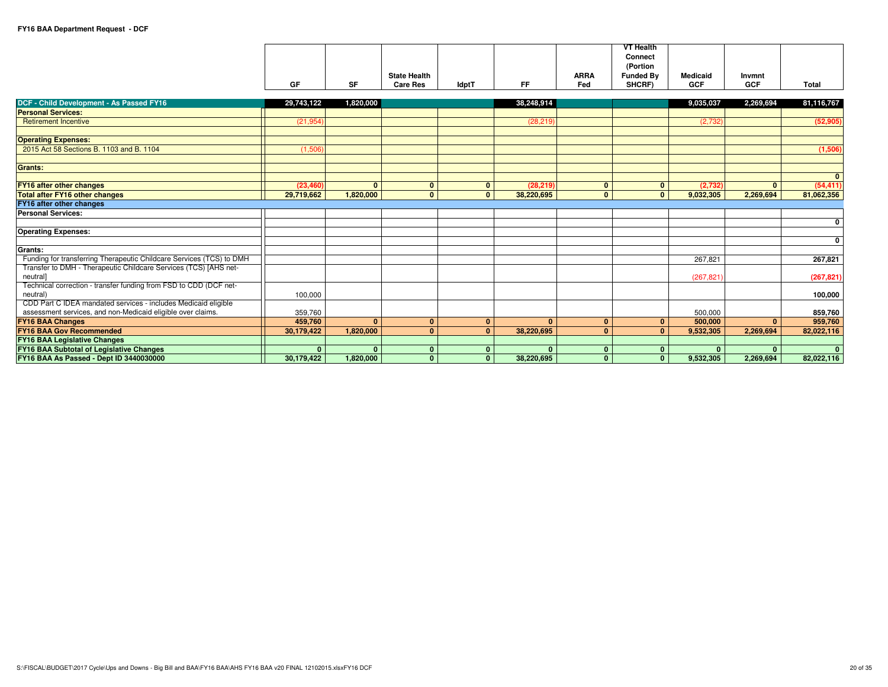|                                                                      |              |              |                     |              |              |              | <b>VT Health</b><br>Connect |                 |              |                |
|----------------------------------------------------------------------|--------------|--------------|---------------------|--------------|--------------|--------------|-----------------------------|-----------------|--------------|----------------|
|                                                                      |              |              |                     |              |              |              | (Portion                    |                 |              |                |
|                                                                      |              |              | <b>State Health</b> |              |              | <b>ARRA</b>  | <b>Funded By</b>            | <b>Medicaid</b> | Invmnt       |                |
|                                                                      | GF           | <b>SF</b>    | <b>Care Res</b>     | <b>IdptT</b> | <b>FF</b>    | Fed          | SHCRF)                      | <b>GCF</b>      | <b>GCF</b>   | <b>Total</b>   |
|                                                                      |              |              |                     |              |              |              |                             |                 |              |                |
| DCF - Child Development - As Passed FY16                             | 29,743,122   | 1,820,000    |                     |              | 38,248,914   |              |                             | 9,035,037       | 2,269,694    | 81,116,767     |
| <b>Personal Services:</b>                                            |              |              |                     |              |              |              |                             |                 |              |                |
| <b>Retirement Incentive</b>                                          | (21, 954)    |              |                     |              | (28, 219)    |              |                             | (2,732)         |              | (52, 905)      |
| <b>Operating Expenses:</b>                                           |              |              |                     |              |              |              |                             |                 |              |                |
| 2015 Act 58 Sections B, 1103 and B, 1104                             | (1,506)      |              |                     |              |              |              |                             |                 |              | (1,506)        |
|                                                                      |              |              |                     |              |              |              |                             |                 |              |                |
| <b>Grants:</b>                                                       |              |              |                     |              |              |              |                             |                 |              |                |
|                                                                      |              |              |                     |              |              |              |                             |                 |              | $\mathbf{0}$   |
| <b>FY16 after other changes</b>                                      | (23, 460)    | $\mathbf{0}$ | $\mathbf{0}$        | $\mathbf{0}$ | (28.219)     | $\mathbf{0}$ | $\mathbf{0}$                | (2.732)         | $\mathbf{0}$ | (54, 411)      |
| <b>Total after FY16 other changes</b>                                | 29,719,662   | 1.820,000    | $\mathbf{0}$        | $\mathbf{0}$ | 38,220,695   | $\mathbf{0}$ | $\mathbf{0}$                | 9,032,305       | 2,269,694    | 81,062,356     |
| <b>FY16 after other changes</b>                                      |              |              |                     |              |              |              |                             |                 |              |                |
| <b>Personal Services:</b>                                            |              |              |                     |              |              |              |                             |                 |              |                |
|                                                                      |              |              |                     |              |              |              |                             |                 |              | $\mathbf{0}$   |
| <b>Operating Expenses:</b>                                           |              |              |                     |              |              |              |                             |                 |              |                |
|                                                                      |              |              |                     |              |              |              |                             |                 |              | $\mathbf{0}$   |
| Grants:                                                              |              |              |                     |              |              |              |                             |                 |              |                |
| Funding for transferring Therapeutic Childcare Services (TCS) to DMH |              |              |                     |              |              |              |                             | 267.821         |              | 267,821        |
| Transfer to DMH - Therapeutic Childcare Services (TCS) [AHS net-     |              |              |                     |              |              |              |                             |                 |              |                |
| neutral]                                                             |              |              |                     |              |              |              |                             | (267, 821)      |              | (267, 821)     |
| Technical correction - transfer funding from FSD to CDD (DCF net-    |              |              |                     |              |              |              |                             |                 |              |                |
| neutral)                                                             | 100,000      |              |                     |              |              |              |                             |                 |              | 100,000        |
| CDD Part C IDEA mandated services - includes Medicaid eligible       |              |              |                     |              |              |              |                             |                 |              |                |
| assessment services, and non-Medicaid eligible over claims.          | 359,760      |              |                     |              |              |              |                             | 500,000         |              | 859,760        |
| <b>FY16 BAA Changes</b>                                              | 459.760      | $\mathbf{0}$ | $\mathbf{0}$        | $\mathbf{0}$ | $\mathbf{0}$ | $\mathbf{0}$ | $\mathbf{0}$                | 500,000         | $\mathbf{0}$ | 959,760        |
| <b>FY16 BAA Gov Recommended</b>                                      | 30,179,422   | 1,820,000    | $\Omega$            | $\mathbf{0}$ | 38,220,695   | $\mathbf{0}$ | $\mathbf{0}$                | 9,532,305       | 2,269,694    | 82,022,116     |
| <b>FY16 BAA Legislative Changes</b>                                  |              |              |                     |              |              |              |                             |                 |              |                |
| <b>FY16 BAA Subtotal of Legislative Changes</b>                      | $\mathbf{0}$ | $\mathbf{0}$ | $\mathbf{0}$        | $\mathbf{0}$ | $\mathbf{0}$ | $\mathbf{0}$ | $\mathbf{0}$                | $\Omega$        | $\mathbf{0}$ | $\overline{0}$ |
| FY16 BAA As Passed - Dept ID 3440030000                              | 30,179,422   | 1.820.000    | $\mathbf{0}$        | $\mathbf{0}$ | 38,220,695   | $\mathbf{0}$ | $\mathbf{0}$                | 9,532,305       | 2,269,694    | 82,022,116     |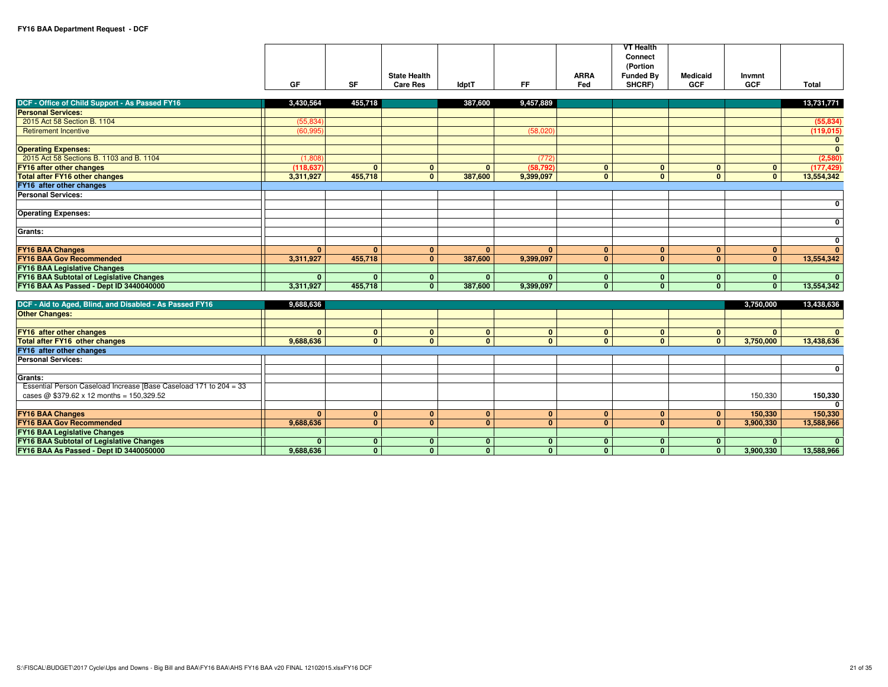**FY16 BAA As Passed - Dept ID 3440050000**

|                                                                                                                      | GF             | <b>SF</b>    | <b>State Health</b><br><b>Care Res</b> | <b>IdptT</b>   | <b>FF</b>      | <b>ARRA</b><br>Fed | <b>VT Health</b><br>Connect<br>(Portion<br><b>Funded By</b><br>SHCRF) | <b>Medicaid</b><br><b>GCF</b> | Invmnt<br><b>GCF</b> | <b>Total</b>                            |
|----------------------------------------------------------------------------------------------------------------------|----------------|--------------|----------------------------------------|----------------|----------------|--------------------|-----------------------------------------------------------------------|-------------------------------|----------------------|-----------------------------------------|
|                                                                                                                      |                |              |                                        |                |                |                    |                                                                       |                               |                      |                                         |
| DCF - Office of Child Support - As Passed FY16                                                                       | 3,430,564      | 455,718      |                                        | 387,600        | 9,457,889      |                    |                                                                       |                               |                      | 13,731,771                              |
| <b>Personal Services:</b>                                                                                            |                |              |                                        |                |                |                    |                                                                       |                               |                      |                                         |
| 2015 Act 58 Section B. 1104                                                                                          | (55, 834)      |              |                                        |                |                |                    |                                                                       |                               |                      | (55, 834)                               |
| <b>Retirement Incentive</b>                                                                                          | (60, 995)      |              |                                        |                | (58,020)       |                    |                                                                       |                               |                      | (119,015)                               |
| <b>Operating Expenses:</b>                                                                                           |                |              |                                        |                |                |                    |                                                                       |                               |                      | $\mathbf{0}$<br>$\overline{\mathbf{0}}$ |
| 2015 Act 58 Sections B. 1103 and B. 1104                                                                             | (1,808)        |              |                                        |                | (772)          |                    |                                                                       |                               |                      | (2,580)                                 |
| <b>FY16 after other changes</b>                                                                                      | (118.637)      | $\mathbf{0}$ | $\mathbf{0}$                           | $\mathbf{0}$   | (58, 792)      | $\mathbf{0}$       | $\mathbf{0}$                                                          | $\mathbf{0}$                  | $\mathbf{0}$         | (177, 429)                              |
| <b>Total after FY16 other changes</b>                                                                                | 3,311,927      | 455,718      | $\mathbf{0}$                           | 387,600        | 9,399,097      | $\mathbf{0}$       | $\mathbf{0}$                                                          | $\mathbf{0}$                  | $\mathbf{0}$         | 13,554,342                              |
| FY16 after other changes                                                                                             |                |              |                                        |                |                |                    |                                                                       |                               |                      |                                         |
| <b>Personal Services:</b>                                                                                            |                |              |                                        |                |                |                    |                                                                       |                               |                      |                                         |
|                                                                                                                      |                |              |                                        |                |                |                    |                                                                       |                               |                      | $\mathbf 0$                             |
| <b>Operating Expenses:</b>                                                                                           |                |              |                                        |                |                |                    |                                                                       |                               |                      |                                         |
|                                                                                                                      |                |              |                                        |                |                |                    |                                                                       |                               |                      | $\mathbf 0$                             |
| Grants:                                                                                                              |                |              |                                        |                |                |                    |                                                                       |                               |                      |                                         |
|                                                                                                                      |                |              |                                        |                |                |                    |                                                                       |                               |                      | $\mathbf 0$                             |
| <b>FY16 BAA Changes</b>                                                                                              | $\mathbf{0}$   | $\mathbf{0}$ | $\mathbf{0}$                           | $\mathbf{0}$   | $\mathbf{0}$   | $\mathbf{0}$       | $\mathbf{0}$                                                          | $\mathbf{0}$                  | $\mathbf{0}$         | $\mathbf{0}$                            |
| <b>FY16 BAA Gov Recommended</b>                                                                                      | 3,311,927      | 455,718      | $\mathbf{0}$                           | 387,600        | 9,399,097      | $\mathbf{0}$       | $\mathbf{0}$                                                          | $\mathbf{0}$                  | $\mathbf{0}$         | 13,554,342                              |
| <b>FY16 BAA Legislative Changes</b>                                                                                  |                |              |                                        |                |                |                    |                                                                       |                               |                      |                                         |
| <b>FY16 BAA Subtotal of Legislative Changes</b>                                                                      | $\mathbf{0}$   | $\mathbf{0}$ | $\mathbf{0}$                           | 0 <sup>1</sup> | $\mathbf{0}$   | $\mathbf{0}$       | $\mathbf{0}$                                                          | $\mathbf{0}$                  | $\mathbf{0}$         | $\mathbf{0}$                            |
| FY16 BAA As Passed - Dept ID 3440040000                                                                              | 3,311,927      | 455,718      | $\mathbf{0}$                           | 387,600        | 9,399,097      | $\mathbf{0}$       | $\mathbf{0}$                                                          | $\mathbf{0}$                  | $\mathbf{0}$         | 13,554,342                              |
|                                                                                                                      |                |              |                                        |                |                |                    |                                                                       |                               |                      |                                         |
| DCF - Aid to Aged, Blind, and Disabled - As Passed FY16                                                              | 9,688,636      |              |                                        |                |                |                    |                                                                       |                               | 3,750,000            | 13,438,636                              |
| <b>Other Changes:</b>                                                                                                |                |              |                                        |                |                |                    |                                                                       |                               |                      |                                         |
|                                                                                                                      |                |              |                                        |                |                |                    |                                                                       |                               |                      |                                         |
| FY16 after other changes                                                                                             | $\mathbf{0}$   | $\mathbf{0}$ | $\mathbf{0}$                           | $\overline{0}$ | $\mathbf{0}$   | $\mathbf{0}$       | $\mathbf{0}$                                                          | $\mathbf{0}$                  | $\mathbf{0}$         | $\mathbf{0}$                            |
| <b>Total after FY16 other changes</b>                                                                                | 9,688,636      | $\mathbf{0}$ | $\mathbf{0}$                           | $\mathbf{0}$   | $\mathbf{0}$   | $\mathbf{0}$       | $\mathbf{0}$                                                          | $\mathbf{0}$                  | 3,750,000            | 13,438,636                              |
| FY16 after other changes                                                                                             |                |              |                                        |                |                |                    |                                                                       |                               |                      |                                         |
| <b>Personal Services:</b>                                                                                            |                |              |                                        |                |                |                    |                                                                       |                               |                      |                                         |
|                                                                                                                      |                |              |                                        |                |                |                    |                                                                       |                               |                      | $\mathbf 0$                             |
| Grants:                                                                                                              |                |              |                                        |                |                |                    |                                                                       |                               |                      |                                         |
| Essential Person Caseload Increase [Base Caseload 171 to 204 = 33<br>cases @ $$379.62 \times 12$ months = 150,329.52 |                |              |                                        |                |                |                    |                                                                       |                               |                      |                                         |
|                                                                                                                      |                |              |                                        |                |                |                    |                                                                       |                               | 150,330              | 150,330<br>$\Omega$                     |
| <b>FY16 BAA Changes</b>                                                                                              | $\overline{0}$ | $\mathbf{0}$ | $\mathbf{0}$                           | $\mathbf{0}$   | $\overline{0}$ | $\mathbf{0}$       | $\mathbf{0}$                                                          | $\mathbf{0}$                  | 150,330              | 150,330                                 |
| <b>FY16 BAA Gov Recommended</b>                                                                                      | 9,688,636      | $\mathbf{0}$ | $\mathbf{0}$                           | $\overline{0}$ | $\mathbf{0}$   | $\mathbf{0}$       | $\mathbf{0}$                                                          | $\mathbf{0}$                  | 3,900,330            | 13,588,966                              |
| <b>FY16 BAA Legislative Changes</b>                                                                                  |                |              |                                        |                |                |                    |                                                                       |                               |                      |                                         |
| FY16 BAA Subtotal of Legislative Changes                                                                             | $\mathbf{0}$   | $\mathbf{0}$ | $\mathbf{0}$                           | $\mathbf{0}$   | $\mathbf{0}$   | $\mathbf{0}$       | $\mathbf{0}$                                                          | $\mathbf{0}$                  | $\mathbf{0}$         | $\mathbf{0}$                            |
|                                                                                                                      |                |              |                                        |                |                |                    |                                                                       |                               |                      |                                         |

**9,688,636 <sup>0</sup> <sup>0</sup> <sup>0</sup> <sup>0</sup> <sup>0</sup> <sup>0</sup> <sup>0</sup> 3,900,330 13,588,966**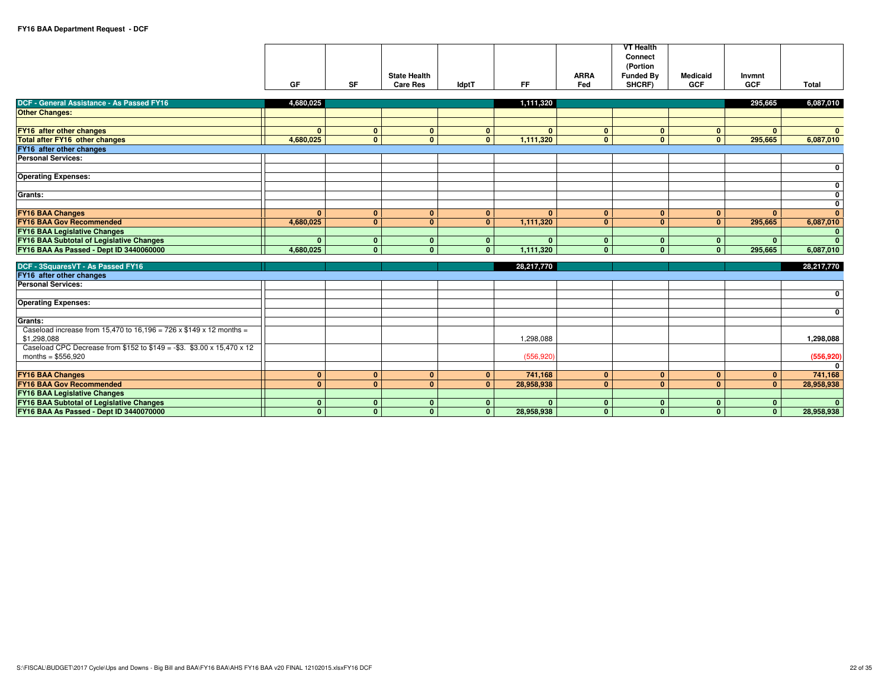|                                                                           | GF           | <b>SF</b>      | <b>State Health</b><br><b>Care Res</b> | <b>IdptT</b> | <b>FF</b>    | <b>ARRA</b><br>Fed | <b>VT Health</b><br>Connect<br>(Portion<br><b>Funded By</b><br>SHCRF) | <b>Medicaid</b><br><b>GCF</b> | Invmnt<br><b>GCF</b> | <b>Total</b>   |
|---------------------------------------------------------------------------|--------------|----------------|----------------------------------------|--------------|--------------|--------------------|-----------------------------------------------------------------------|-------------------------------|----------------------|----------------|
| DCF - General Assistance - As Passed FY16                                 | 4,680,025    |                |                                        |              | 1,111,320    |                    |                                                                       |                               | 295,665              | 6,087,010      |
| <b>Other Changes:</b>                                                     |              |                |                                        |              |              |                    |                                                                       |                               |                      |                |
|                                                                           |              |                |                                        |              |              |                    |                                                                       |                               |                      |                |
| FY16 after other changes                                                  | $\mathbf{0}$ | $\mathbf{0}$   | $\mathbf{0}$                           | $\mathbf{0}$ | $\mathbf{0}$ | $\mathbf{0}$       | $\mathbf{0}$                                                          | $\mathbf{0}$                  | $\mathbf{0}$         | $\mathbf{0}$   |
| <b>Total after FY16 other changes</b>                                     | 4,680,025    | $\mathbf{0}$   | $\overline{0}$                         | $\mathbf{0}$ | 1,111,320    | $\overline{0}$     | $\mathbf{0}$                                                          | $\mathbf{0}$                  | 295,665              | 6,087,010      |
| FY16 after other changes                                                  |              |                |                                        |              |              |                    |                                                                       |                               |                      |                |
| <b>Personal Services:</b>                                                 |              |                |                                        |              |              |                    |                                                                       |                               |                      |                |
|                                                                           |              |                |                                        |              |              |                    |                                                                       |                               |                      | $\mathbf 0$    |
| <b>Operating Expenses:</b>                                                |              |                |                                        |              |              |                    |                                                                       |                               |                      |                |
|                                                                           |              |                |                                        |              |              |                    |                                                                       |                               |                      | 0              |
| Grants:                                                                   |              |                |                                        |              |              |                    |                                                                       |                               |                      | 0              |
|                                                                           |              |                |                                        |              |              |                    |                                                                       |                               |                      | 0              |
| <b>FY16 BAA Changes</b>                                                   | $\mathbf{0}$ | $\mathbf{0}$   | $\mathbf{0}$                           | $\mathbf{0}$ | $\mathbf{0}$ | $\mathbf{0}$       | $\mathbf{0}$                                                          | $\mathbf{0}$                  | $\Omega$             | $\mathbf{0}$   |
| <b>FY16 BAA Gov Recommended</b>                                           | 4,680,025    | $\mathbf{0}$   | $\mathbf{0}$                           | $\mathbf{0}$ | 1,111,320    | $\mathbf{0}$       | $\mathbf{0}$                                                          | $\mathbf{0}$                  | 295,665              | 6,087,010      |
| <b>FY16 BAA Legislative Changes</b>                                       |              |                |                                        |              |              |                    |                                                                       |                               |                      | $\mathbf{0}$   |
| <b>FY16 BAA Subtotal of Legislative Changes</b>                           | $\mathbf{0}$ | $\mathbf{0}$   | $\mathbf{0}$                           | $\mathbf{0}$ | $\mathbf{0}$ | $\mathbf{0}$       | $\mathbf{0}$                                                          | $\mathbf{0}$                  | $\mathbf{0}$         | $\mathbf{0}$   |
| FY16 BAA As Passed - Dept ID 3440060000                                   | 4,680,025    | $\mathbf{0}$   | $\mathbf{0}$                           | $\mathbf{0}$ | 1,111,320    | $\mathbf{0}$       | $\mathbf{0}$                                                          | $\mathbf{0}$                  | 295,665              | 6,087,010      |
| DCF - 3SquaresVT - As Passed FY16                                         |              |                |                                        |              | 28,217,770   |                    |                                                                       |                               |                      | 28,217,770     |
| FY16 after other changes                                                  |              |                |                                        |              |              |                    |                                                                       |                               |                      |                |
| <b>Personal Services:</b>                                                 |              |                |                                        |              |              |                    |                                                                       |                               |                      |                |
|                                                                           |              |                |                                        |              |              |                    |                                                                       |                               |                      | 0              |
| <b>Operating Expenses:</b>                                                |              |                |                                        |              |              |                    |                                                                       |                               |                      |                |
|                                                                           |              |                |                                        |              |              |                    |                                                                       |                               |                      | 0              |
| Grants:                                                                   |              |                |                                        |              |              |                    |                                                                       |                               |                      |                |
| Caseload increase from 15,470 to 16,196 = 726 x $$149 \times 12$ months = |              |                |                                        |              |              |                    |                                                                       |                               |                      |                |
| \$1,298,088                                                               |              |                |                                        |              | 1,298,088    |                    |                                                                       |                               |                      | 1,298,088      |
| Caseload CPC Decrease from \$152 to $$149 = -$3.$ \$3.00 x 15,470 x 12    |              |                |                                        |              |              |                    |                                                                       |                               |                      |                |
| months = $$556,920$                                                       |              |                |                                        |              | (556, 920)   |                    |                                                                       |                               |                      | (556, 920)     |
|                                                                           |              |                |                                        |              |              |                    |                                                                       |                               |                      | $\Omega$       |
| <b>FY16 BAA Changes</b>                                                   | $\mathbf{0}$ | $\mathbf{0}$   | $\mathbf{0}$                           | $\mathbf{0}$ | 741,168      | $\mathbf{0}$       | $\mathbf{0}$                                                          | $\mathbf{0}$                  | $\mathbf{0}$         | 741,168        |
| <b>FY16 BAA Gov Recommended</b>                                           | $\mathbf{0}$ | $\overline{0}$ | $\overline{0}$                         | $\mathbf{0}$ | 28,958,938   | $\Omega$           | $\mathbf{0}$                                                          | $\overline{0}$                | $\mathbf{0}$         | 28,958,938     |
| <b>FY16 BAA Legislative Changes</b>                                       |              |                |                                        |              |              |                    |                                                                       |                               |                      |                |
| <b>FY16 BAA Subtotal of Legislative Changes</b>                           | $\mathbf{0}$ | $\mathbf{0}$   | $\mathbf{0}$                           | $\mathbf{0}$ | $\Omega$     | $\mathbf{0}$       | $\mathbf{0}$                                                          | $\mathbf{0}$                  | $\mathbf{0}$         | $\overline{0}$ |
| FY16 BAA As Passed - Dept ID 3440070000                                   | $\mathbf{0}$ | $\mathbf{0}$   | $\mathbf{0}$                           | $\mathbf{0}$ | 28,958,938   | $\mathbf{0}$       | $\mathbf{0}$                                                          | $\mathbf{0}$                  | $\mathbf{0}$         | 28,958,938     |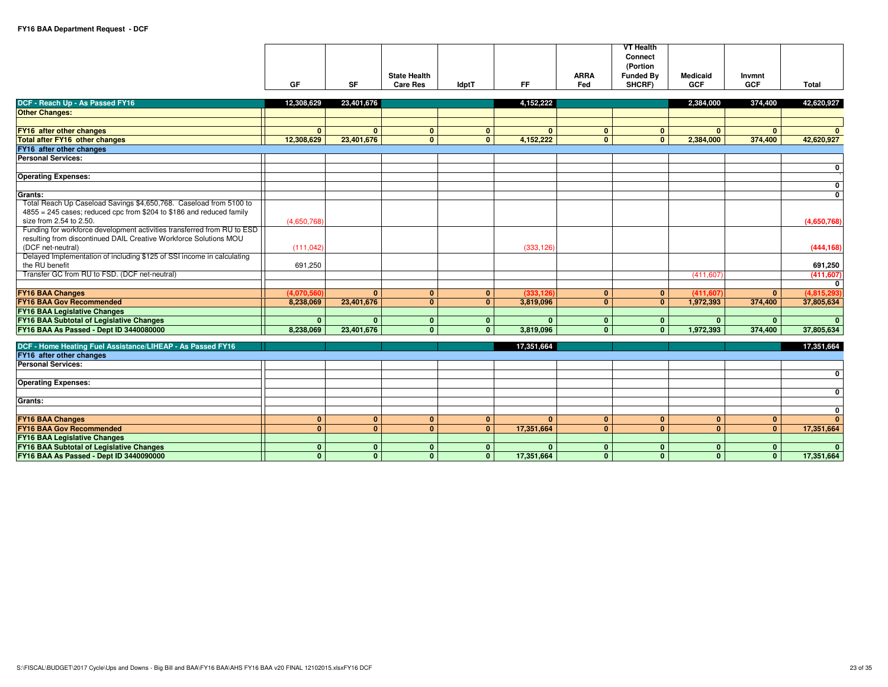|                                                                         |              |              |                     |                |              |              | <b>VT Health</b>           |                 |              |                 |
|-------------------------------------------------------------------------|--------------|--------------|---------------------|----------------|--------------|--------------|----------------------------|-----------------|--------------|-----------------|
|                                                                         |              |              |                     |                |              |              | <b>Connect</b><br>(Portion |                 |              |                 |
|                                                                         |              |              | <b>State Health</b> |                |              | <b>ARRA</b>  | <b>Funded By</b>           | <b>Medicaid</b> | Invmnt       |                 |
|                                                                         | GF           | <b>SF</b>    | <b>Care Res</b>     | <b>IdptT</b>   | <b>FF</b>    | Fed          | SHCRF)                     | <b>GCF</b>      | <b>GCF</b>   | Total           |
| DCF - Reach Up - As Passed FY16                                         | 12.308.629   | 23,401,676   |                     |                | 4,152,222    |              |                            | 2.384.000       | 374,400      | 42,620,927      |
| <b>Other Changes:</b>                                                   |              |              |                     |                |              |              |                            |                 |              |                 |
|                                                                         |              |              |                     |                |              |              |                            |                 |              |                 |
| FY16 after other changes                                                | $\mathbf{0}$ | $\mathbf{0}$ | $\mathbf{0}$        | $\mathbf{0}$   | $\mathbf{0}$ | $\mathbf{0}$ | $\mathbf{0}$               | $\mathbf{0}$    | $\mathbf{0}$ |                 |
| <b>Total after FY16 other changes</b>                                   | 12,308,629   | 23,401,676   | $\mathbf{0}$        | $\overline{0}$ | 4,152,222    | $\mathbf{0}$ | $\mathbf{0}$               | 2,384,000       | 374,400      | 42,620,927      |
| FY16 after other changes                                                |              |              |                     |                |              |              |                            |                 |              |                 |
| <b>Personal Services:</b>                                               |              |              |                     |                |              |              |                            |                 |              |                 |
|                                                                         |              |              |                     |                |              |              |                            |                 |              | 0               |
| <b>Operating Expenses:</b>                                              |              |              |                     |                |              |              |                            |                 |              | 0               |
| Grants:                                                                 |              |              |                     |                |              |              |                            |                 |              | $\mathbf 0$     |
| Total Reach Up Caseload Savings \$4,650,768. Caseload from 5100 to      |              |              |                     |                |              |              |                            |                 |              |                 |
| 4855 = 245 cases; reduced cpc from \$204 to \$186 and reduced family    |              |              |                     |                |              |              |                            |                 |              |                 |
| size from 2.54 to 2.50.                                                 | (4,650,768)  |              |                     |                |              |              |                            |                 |              | (4,650,768)     |
| Funding for workforce development activities transferred from RU to ESD |              |              |                     |                |              |              |                            |                 |              |                 |
| resulting from discontinued DAIL Creative Workforce Solutions MOU       |              |              |                     |                |              |              |                            |                 |              |                 |
| (DCF net-neutral)                                                       | (111, 042)   |              |                     |                | (333, 126)   |              |                            |                 |              | (444, 168)      |
| Delayed Implementation of including \$125 of SSI income in calculating  |              |              |                     |                |              |              |                            |                 |              |                 |
| the RU benefit                                                          | 691,250      |              |                     |                |              |              |                            |                 |              | 691,250         |
| Transfer GC from RU to FSD. (DCF net-neutral)                           |              |              |                     |                |              |              |                            | (411,607)       |              | (411, 607)<br>0 |
| <b>FY16 BAA Changes</b>                                                 | (4,070,560)  | $\mathbf{0}$ | $\mathbf{0}$        | $\overline{0}$ | (333, 126)   | $\mathbf{0}$ | $\mathbf{0}$               | (411, 607)      | $\mathbf{0}$ | (4,815,293)     |
| <b>FY16 BAA Gov Recommended</b>                                         | 8,238,069    | 23,401,676   | $\mathbf{0}$        | 0              | 3,819,096    | $\mathbf{0}$ | $\mathbf{0}$               | 1,972,393       | 374,400      | 37,805,634      |
| <b>FY16 BAA Legislative Changes</b>                                     |              |              |                     |                |              |              |                            |                 |              |                 |
| <b>FY16 BAA Subtotal of Legislative Changes</b>                         | $\mathbf{0}$ | $\mathbf{0}$ | $\mathbf{0}$        | $\overline{0}$ | $\mathbf{0}$ | $\mathbf{0}$ | $\mathbf{0}$               | $\mathbf{0}$    | $\mathbf{0}$ | $\Omega$        |
| FY16 BAA As Passed - Dept ID 3440080000                                 | 8,238,069    | 23,401,676   | $\mathbf{0}$        | $\overline{0}$ | 3,819,096    | $\mathbf{0}$ | $\mathbf{0}$               | 1,972,393       | 374,400      | 37,805,634      |
|                                                                         |              |              |                     |                |              |              |                            |                 |              |                 |
| DCF - Home Heating Fuel Assistance/LIHEAP - As Passed FY16              |              |              |                     |                | 17,351,664   |              |                            |                 |              | 17,351,664      |
| FY16 after other changes<br><b>Personal Services:</b>                   |              |              |                     |                |              |              |                            |                 |              |                 |
|                                                                         |              |              |                     |                |              |              |                            |                 |              | 0               |
| <b>Operating Expenses:</b>                                              |              |              |                     |                |              |              |                            |                 |              |                 |
|                                                                         |              |              |                     |                |              |              |                            |                 |              | 0               |
| Grants:                                                                 |              |              |                     |                |              |              |                            |                 |              |                 |
|                                                                         |              |              |                     |                |              |              |                            |                 |              | $\mathbf 0$     |
| <b>FY16 BAA Changes</b>                                                 | $\mathbf{0}$ | $\mathbf{0}$ | $\mathbf{0}$        | $\mathbf{0}$   | $\mathbf{0}$ | $\mathbf{0}$ | $\mathbf{0}$               | $\mathbf{0}$    | $\mathbf{0}$ | $\mathbf{0}$    |
| <b>FY16 BAA Gov Recommended</b>                                         | $\mathbf{0}$ | $\mathbf{0}$ | $\mathbf{0}$        | 0              | 17,351,664   | $\mathbf{0}$ | $\mathbf{0}$               | $\mathbf{0}$    | $\mathbf{0}$ | 17,351,664      |
| <b>FY16 BAA Legislative Changes</b>                                     |              |              |                     |                |              |              |                            |                 |              |                 |
| <b>FY16 BAA Subtotal of Legislative Changes</b>                         | $\mathbf{0}$ | $\mathbf{0}$ | $\mathbf{0}$        | $\mathbf{0}$   | $\mathbf{0}$ | $\mathbf{0}$ | $\bf{0}$                   | $\mathbf{0}$    | $\mathbf{0}$ | $\mathbf{0}$    |
| FY16 BAA As Passed - Dept ID 3440090000                                 | $\mathbf{0}$ | $\mathbf{0}$ | $\mathbf{0}$        | $\overline{0}$ | 17.351.664   | $\mathbf{0}$ | $\mathbf{0}$               | $\mathbf{0}$    | $\mathbf{0}$ | 17,351,664      |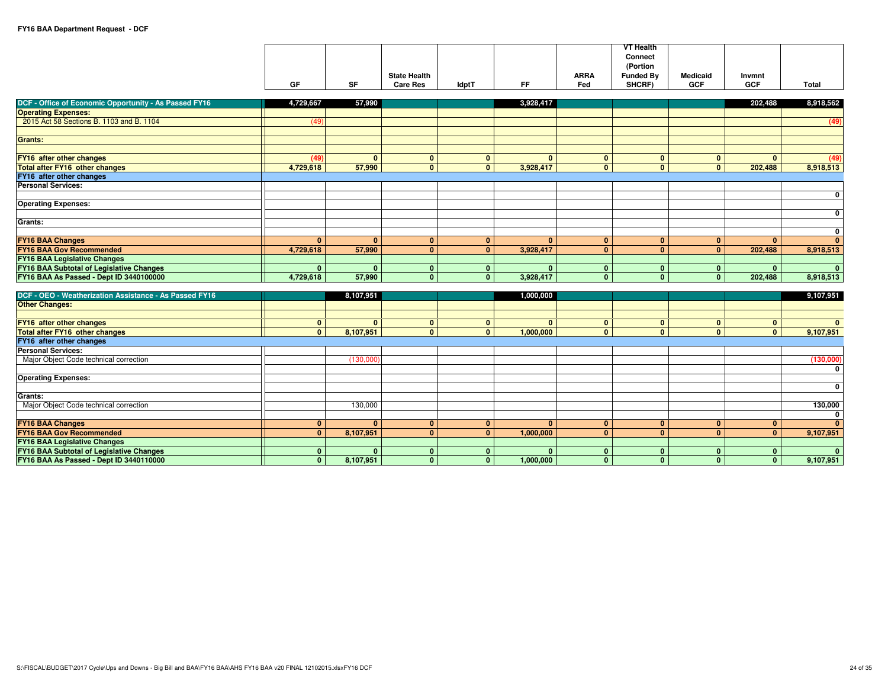|                                                                                        |                                |              |                              |                              |                           |                                | <b>VT Health</b><br>Connect    |                              |                             |              |
|----------------------------------------------------------------------------------------|--------------------------------|--------------|------------------------------|------------------------------|---------------------------|--------------------------------|--------------------------------|------------------------------|-----------------------------|--------------|
|                                                                                        |                                |              |                              |                              |                           |                                | (Portion                       |                              |                             |              |
|                                                                                        |                                |              | <b>State Health</b>          |                              |                           | <b>ARRA</b>                    | <b>Funded By</b>               | <b>Medicaid</b>              | Invmnt                      |              |
|                                                                                        | GF                             | <b>SF</b>    | <b>Care Res</b>              | ldptT                        | FF.                       | Fed                            | SHCRF)                         | <b>GCF</b>                   | <b>GCF</b>                  | Total        |
| DCF - Office of Economic Opportunity - As Passed FY16                                  | 4,729,667                      | 57,990       |                              |                              | 3,928,417                 |                                |                                |                              | 202,488                     | 8,918,562    |
| <b>Operating Expenses:</b>                                                             |                                |              |                              |                              |                           |                                |                                |                              |                             |              |
| 2015 Act 58 Sections B. 1103 and B. 1104                                               | (49)                           |              |                              |                              |                           |                                |                                |                              |                             | (49)         |
|                                                                                        |                                |              |                              |                              |                           |                                |                                |                              |                             |              |
| <b>Grants:</b>                                                                         |                                |              |                              |                              |                           |                                |                                |                              |                             |              |
|                                                                                        |                                |              |                              |                              |                           |                                |                                |                              |                             |              |
| FY16 after other changes                                                               | (49)                           | $\mathbf{0}$ | $\mathbf{0}$                 | $\mathbf{0}$                 | $\mathbf{0}$              | $\mathbf{0}$                   | $\mathbf{0}$                   | $\mathbf{0}$                 | $\mathbf{0}$                | (49)         |
| <b>Total after FY16 other changes</b>                                                  | 4,729,618                      | 57,990       | $\mathbf{0}$                 | $\mathbf{0}$                 | 3,928,417                 | $\mathbf{0}$                   | $\mathbf{0}$                   | $\mathbf{0}$                 | 202,488                     | 8,918,513    |
| FY16 after other changes                                                               |                                |              |                              |                              |                           |                                |                                |                              |                             |              |
| <b>Personal Services:</b>                                                              |                                |              |                              |                              |                           |                                |                                |                              |                             |              |
|                                                                                        |                                |              |                              |                              |                           |                                |                                |                              |                             | 0            |
| <b>Operating Expenses:</b>                                                             |                                |              |                              |                              |                           |                                |                                |                              |                             |              |
|                                                                                        |                                |              |                              |                              |                           |                                |                                |                              |                             | 0            |
| Grants:                                                                                |                                |              |                              |                              |                           |                                |                                |                              |                             |              |
|                                                                                        |                                |              |                              |                              |                           |                                |                                |                              |                             | 0            |
| <b>FY16 BAA Changes</b>                                                                | $\mathbf{0}$                   | $\mathbf{0}$ | $\mathbf{0}$                 | $\mathbf{0}$                 | $\mathbf{0}$              | $\mathbf{0}$                   | $\mathbf{0}$                   | $\mathbf{0}$                 | $\mathbf{0}$                | $\mathbf{0}$ |
| <b>FY16 BAA Gov Recommended</b>                                                        | 4,729,618                      | 57,990       | $\mathbf{0}$                 | $\mathbf{0}$                 | 3,928,417                 | $\overline{0}$                 | $\mathbf{0}$                   | $\mathbf{0}$                 | 202,488                     | 8,918,513    |
| <b>FY16 BAA Legislative Changes</b><br><b>FY16 BAA Subtotal of Legislative Changes</b> | $\mathbf{0}$                   | $\mathbf{0}$ | $\mathbf{0}$                 | $\mathbf{0}$                 | $\mathbf{0}$              | $\mathbf{0}$                   | $\mathbf{0}$                   | $\mathbf{0}$                 | $\mathbf{0}$                | $\mathbf{0}$ |
| FY16 BAA As Passed - Dept ID 3440100000                                                | 4,729,618                      | 57,990       | $\mathbf{0}$                 | $\mathbf{0}$                 | 3,928,417                 | $\overline{0}$                 | $\mathbf{0}$                   | $\mathbf{0}$                 | 202,488                     | 8,918,513    |
|                                                                                        |                                |              |                              |                              |                           |                                |                                |                              |                             |              |
| DCF - OEO - Weatherization Assistance - As Passed FY16                                 |                                | 8,107,951    |                              |                              | 1,000,000                 |                                |                                |                              |                             | 9,107,951    |
| <b>Other Changes:</b>                                                                  |                                |              |                              |                              |                           |                                |                                |                              |                             |              |
|                                                                                        |                                |              |                              |                              |                           |                                |                                |                              |                             |              |
| FY16 after other changes                                                               | $\mathbf{0}$                   | $\mathbf{0}$ | $\mathbf{0}$                 | $\mathbf 0$                  | $\mathbf{0}$              | $\mathbf{0}$                   | $\mathbf{0}$                   | $\mathbf{0}$                 | $\mathbf 0$                 | $\mathbf{0}$ |
| <b>Total after FY16 other changes</b>                                                  | $\mathbf{0}$                   | 8,107,951    | $\mathbf{0}$                 | $\mathbf{0}$                 | 1,000,000                 | $\mathbf{0}$                   | $\mathbf{0}$                   | $\mathbf{0}$                 | $\mathbf{0}$                | 9,107,951    |
| FY16 after other changes                                                               |                                |              |                              |                              |                           |                                |                                |                              |                             |              |
| <b>Personal Services:</b>                                                              |                                |              |                              |                              |                           |                                |                                |                              |                             |              |
| Major Object Code technical correction                                                 |                                | (130,000)    |                              |                              |                           |                                |                                |                              |                             | (130,000)    |
|                                                                                        |                                |              |                              |                              |                           |                                |                                |                              |                             | 0            |
| <b>Operating Expenses:</b>                                                             |                                |              |                              |                              |                           |                                |                                |                              |                             |              |
|                                                                                        |                                |              |                              |                              |                           |                                |                                |                              |                             | $\mathbf 0$  |
| Grants:                                                                                |                                |              |                              |                              |                           |                                |                                |                              |                             |              |
| Major Object Code technical correction                                                 |                                | 130,000      |                              |                              |                           |                                |                                |                              |                             | 130,000      |
|                                                                                        |                                |              |                              |                              |                           |                                |                                |                              |                             | $\mathbf 0$  |
| <b>FY16 BAA Changes</b>                                                                | $\mathbf{0}$<br>$\overline{0}$ | $\mathbf{0}$ | $\mathbf{0}$                 | $\mathbf{0}$                 | $\mathbf{0}$              | $\mathbf{0}$<br>$\overline{0}$ | $\mathbf{0}$<br>$\overline{0}$ | $\mathbf{0}$                 | $\mathbf{0}$                | $\mathbf{0}$ |
| <b>FY16 BAA Gov Recommended</b>                                                        |                                | 8,107,951    | $\overline{0}$               | $\mathbf{0}$                 | 1,000,000                 |                                |                                | $\mathbf{0}$                 | $\mathbf{0}$                | 9,107,951    |
| <b>FY16 BAA Legislative Changes</b><br><b>FY16 BAA Subtotal of Legislative Changes</b> | $\mathbf{0}$                   | $\mathbf{0}$ |                              |                              |                           | $\mathbf{0}$                   |                                |                              |                             | $\mathbf{0}$ |
| FY16 BAA As Passed - Dept ID 3440110000                                                | $\bullet$                      | 8,107,951    | $\mathbf{0}$<br>$\mathbf{0}$ | $\mathbf{0}$<br>$\mathbf{0}$ | $\mathbf{0}$<br>1,000,000 | $\overline{0}$                 | $\mathbf{0}$<br>$\overline{0}$ | $\mathbf{0}$<br>$\mathbf{0}$ | $\mathbf 0$<br>$\mathbf{0}$ | 9,107,951    |
|                                                                                        |                                |              |                              |                              |                           |                                |                                |                              |                             |              |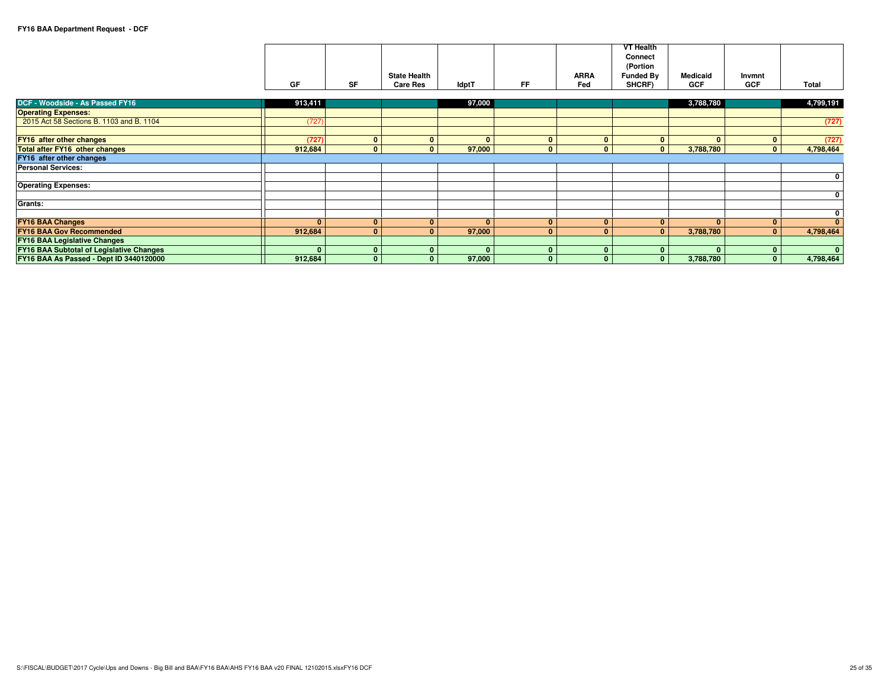|                                          |              |              |                     |              |              |              | <b>VT Health</b>        |                 |              |              |
|------------------------------------------|--------------|--------------|---------------------|--------------|--------------|--------------|-------------------------|-----------------|--------------|--------------|
|                                          |              |              |                     |              |              |              | Connect                 |                 |              |              |
|                                          |              |              |                     |              |              |              | (Portion                |                 |              |              |
|                                          |              |              | <b>State Health</b> |              |              | <b>ARRA</b>  | <b>Funded By</b>        | <b>Medicaid</b> | Invmnt       |              |
|                                          | GF           | SF           | <b>Care Res</b>     | <b>IdptT</b> | <b>FF</b>    | Fed          | SHCRF)                  | GCF             | <b>GCF</b>   | Total        |
|                                          |              |              |                     |              |              |              |                         |                 |              |              |
| <b>DCF - Woodside - As Passed FY16</b>   | 913,411      |              |                     | 97,000       |              |              |                         | 3,788,780       |              | 4,799,191    |
| <b>Operating Expenses:</b>               |              |              |                     |              |              |              |                         |                 |              |              |
| 2015 Act 58 Sections B. 1103 and B. 1104 | (727)        |              |                     |              |              |              |                         |                 |              | (727)        |
|                                          |              |              |                     |              |              |              |                         |                 |              |              |
| FY16 after other changes                 | (727)        | $\mathbf{0}$ | $\mathbf{0}$        | $\mathbf{0}$ | $\bf{0}$     | $\mathbf{0}$ | $\mathbf{0}$            | $\mathbf{0}$    |              | (727)        |
| Total after FY16 other changes           | 912,684      | $\mathbf{0}$ | $\mathbf{0}$        | 97,000       | $\mathbf{0}$ | $\Omega$     | $\mathbf{0}$            | 3,788,780       | $\mathbf{0}$ | 4,798,464    |
| FY16 after other changes                 |              |              |                     |              |              |              |                         |                 |              |              |
| <b>Personal Services:</b>                |              |              |                     |              |              |              |                         |                 |              |              |
|                                          |              |              |                     |              |              |              |                         |                 |              | 0            |
| <b>Operating Expenses:</b>               |              |              |                     |              |              |              |                         |                 |              |              |
|                                          |              |              |                     |              |              |              |                         |                 |              | 0            |
| <b>Grants:</b>                           |              |              |                     |              |              |              |                         |                 |              |              |
|                                          |              |              |                     |              |              |              |                         |                 |              | 0            |
| <b>FY16 BAA Changes</b>                  | $\mathbf{0}$ | $\mathbf{0}$ | $\mathbf{0}$        | $\mathbf{0}$ | $\mathbf{0}$ | $\mathbf{0}$ | $\mathbf{0}$            | $\mathbf{0}$    | $\Omega$     | $\mathbf{0}$ |
| <b>FY16 BAA Gov Recommended</b>          | 912,684      | $\mathbf{0}$ | $\mathbf{0}$        | 97,000       | $\mathbf{0}$ | $\mathbf{0}$ | $\mathbf{0}$            | 3,788,780       | $\mathbf{0}$ | 4,798,464    |
| <b>FY16 BAA Legislative Changes</b>      |              |              |                     |              |              |              |                         |                 |              |              |
| FY16 BAA Subtotal of Legislative Changes | $\Omega$     | $\mathbf{0}$ | $\mathbf{0}$        | $\mathbf{0}$ | $\mathbf{0}$ | $\mathbf{0}$ | $\mathbf{0}$            | $\mathbf{0}$    |              | $\mathbf{0}$ |
| FY16 BAA As Passed - Dept ID 3440120000  | 912,684      | $\mathbf{0}$ | $\Omega$            | 97,000       | $\bf{0}$     | $\mathbf{0}$ | $\overline{\mathbf{0}}$ | 3,788,780       | $\Omega$     | 4,798,464    |
|                                          |              |              |                     |              |              |              |                         |                 |              |              |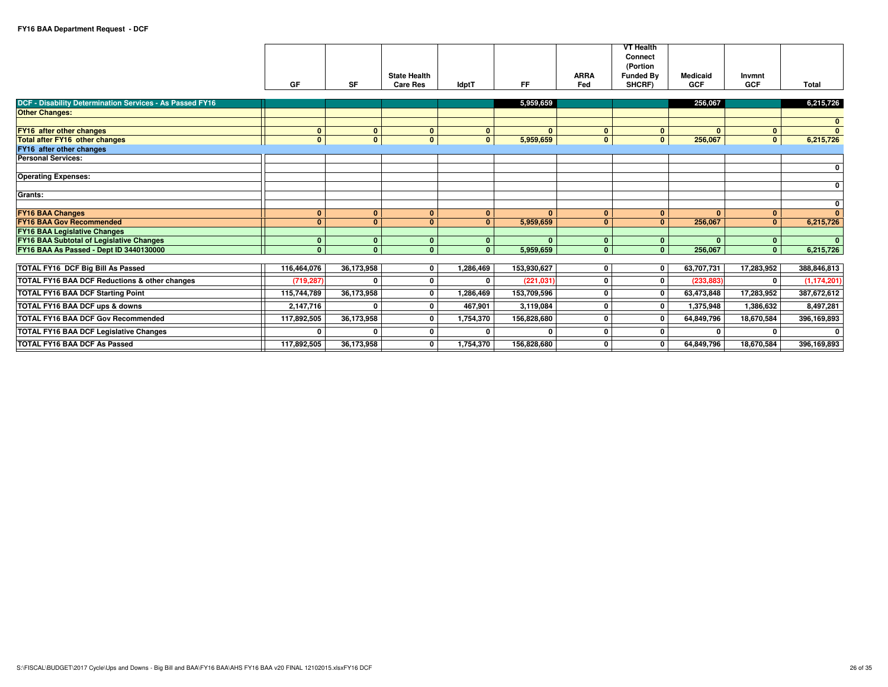|                                                                 | GF           | SF             | <b>State Health</b><br><b>Care Res</b> | <b>IdptT</b> | <b>FF</b>    | <b>ARRA</b><br>Fed | <b>VT Health</b><br>Connect<br>(Portion<br><b>Funded Bv</b><br>SHCRF) | <b>Medicaid</b><br><b>GCF</b> | Invmnt<br><b>GCF</b> | Total                   |
|-----------------------------------------------------------------|--------------|----------------|----------------------------------------|--------------|--------------|--------------------|-----------------------------------------------------------------------|-------------------------------|----------------------|-------------------------|
| <b>DCF - Disability Determination Services - As Passed FY16</b> |              |                |                                        |              | 5,959,659    |                    |                                                                       | 256,067                       |                      | 6,215,726               |
| <b>Other Changes:</b>                                           |              |                |                                        |              |              |                    |                                                                       |                               |                      |                         |
|                                                                 |              |                |                                        |              |              |                    |                                                                       |                               |                      | $\mathbf{0}$            |
| FY16 after other changes                                        | $\mathbf{0}$ | $\mathbf{0}$   | $\mathbf{0}$                           | $\mathbf{0}$ | $\Omega$     | $\mathbf{0}$       | $\mathbf{0}$                                                          | $\mathbf{0}$                  | $\mathbf{0}$         | $\mathbf{0}$            |
| <b>Total after FY16 other changes</b>                           | $\mathbf{0}$ | $\bullet$      | $\mathbf{0}$                           | $\mathbf{0}$ | 5,959,659    | $\mathbf{0}$       | $\mathbf{0}$                                                          | 256,067                       | $\mathbf{0}$         | 6,215,726               |
| FY16 after other changes<br><b>Personal Services:</b>           |              |                |                                        |              |              |                    |                                                                       |                               |                      |                         |
|                                                                 |              |                |                                        |              |              |                    |                                                                       |                               |                      | $\mathbf{0}$            |
| <b>Operating Expenses:</b>                                      |              |                |                                        |              |              |                    |                                                                       |                               |                      |                         |
|                                                                 |              |                |                                        |              |              |                    |                                                                       |                               |                      | $\mathbf{0}$            |
| Grants:                                                         |              |                |                                        |              |              |                    |                                                                       |                               |                      |                         |
|                                                                 |              |                |                                        |              |              |                    |                                                                       |                               |                      | $\mathbf{0}$            |
| <b>FY16 BAA Changes</b>                                         | $\mathbf{0}$ | $\mathbf{0}$   | $\mathbf{0}$                           | $\mathbf{0}$ | $\Omega$     | $\mathbf{0}$       | $\mathbf{0}$                                                          | $\mathbf{0}$                  | $\mathbf{0}$         | $\overline{0}$          |
| <b>FY16 BAA Gov Recommended</b>                                 | $\Omega$     | $\mathbf{0}$   | $\Omega$                               | $\mathbf{0}$ | 5,959,659    | $\Omega$           | $\mathbf{0}$                                                          | 256,067                       | $\mathbf{0}$         | 6,215,726               |
| <b>FY16 BAA Legislative Changes</b>                             |              |                |                                        |              |              |                    |                                                                       |                               |                      |                         |
| <b>FY16 BAA Subtotal of Legislative Changes</b>                 | $\mathbf{0}$ | $\mathbf{0}$   | $\mathbf{0}$                           | $\mathbf{0}$ | $\mathbf{0}$ | $\mathbf{0}$       | $\mathbf{0}$                                                          | $\mathbf{0}$                  | $\bf{0}$             | $\mathbf{0}$            |
| FY16 BAA As Passed - Dept ID 3440130000                         | $\Omega$     | $\overline{0}$ | $\Omega$                               | $\mathbf{0}$ | 5.959.659    | $\Omega$           | $\mathbf{0}$                                                          | 256.067                       | $\mathbf{0}$         | 6,215,726               |
| TOTAL FY16 DCF Big Bill As Passed                               | 116,464,076  | 36,173,958     | 0                                      | 1,286,469    | 153,930,627  | 0                  | 0                                                                     | 63,707,731                    | 17,283,952           | 388,846,813             |
| TOTAL FY16 BAA DCF Reductions & other changes                   | (719, 287)   | $\mathbf{0}$   | 0                                      | $\Omega$     | (221, 031)   | 0                  | 0                                                                     | (233.883)                     | 0                    | (1, 174, 201)           |
| <b>TOTAL FY16 BAA DCF Starting Point</b>                        | 115,744,789  | 36,173,958     | 0                                      | 1,286,469    | 153,709,596  | 0                  | 0                                                                     | 63,473,848                    | 17,283,952           | 387,672,612             |
| TOTAL FY16 BAA DCF ups & downs                                  | 2,147,716    | $\mathbf{0}$   | 0                                      | 467,901      | 3,119,084    | $\mathbf 0$        | 0                                                                     | 1,375,948                     | 1,386,632            | 8,497,281               |
| <b>TOTAL FY16 BAA DCF Gov Recommended</b>                       | 117,892,505  | 36,173,958     | 0                                      | 1,754,370    | 156,828,680  | $\mathbf{0}$       | 0                                                                     | 64,849,796                    | 18,670,584           | 396,169,893             |
| TOTAL FY16 BAA DCF Legislative Changes                          | 0            | $\mathbf{0}$   | 0                                      | $\mathbf{0}$ | n            | 0                  | 0                                                                     | $\mathbf{0}$                  | $\Omega$             | $\overline{\mathbf{0}}$ |
| TOTAL FY16 BAA DCF As Passed                                    | 117,892,505  | 36,173,958     | 0                                      | 1,754,370    | 156,828,680  | 0                  | $\Omega$                                                              | 64,849,796                    | 18,670,584           | 396,169,893             |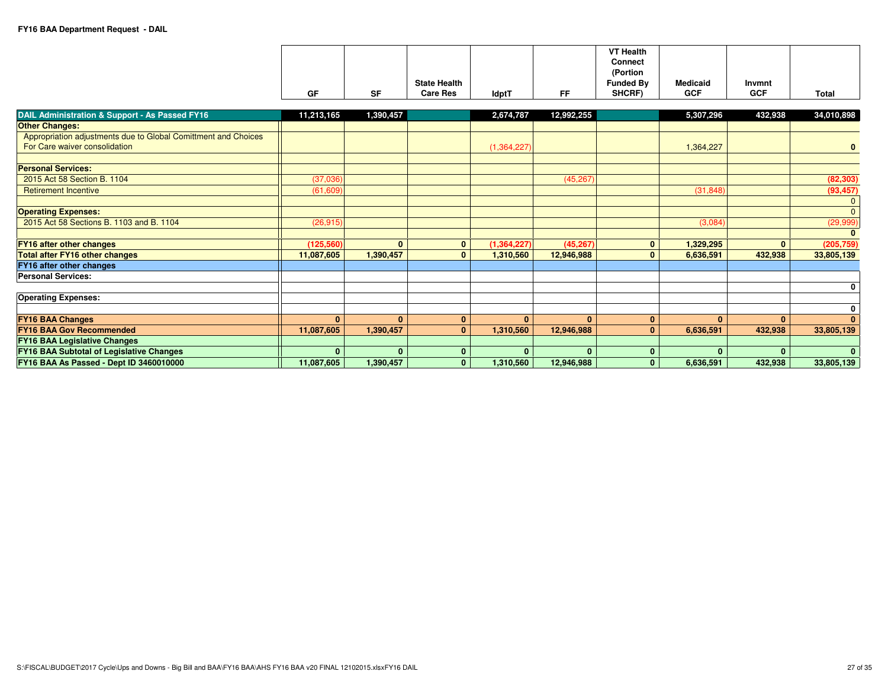| GF         | <b>SF</b> | <b>State Health</b><br><b>Care Res</b> | <b>IdptT</b> | FF         | <b>VT Health</b><br>Connect<br>(Portion<br><b>Funded By</b><br>SHCRF) | <b>Medicaid</b><br><b>GCF</b> | Invmnt<br><b>GCF</b> | Total      |
|------------|-----------|----------------------------------------|--------------|------------|-----------------------------------------------------------------------|-------------------------------|----------------------|------------|
| 11.213.165 | 1.390.457 |                                        | 2.674.787    | 12.992.255 |                                                                       | 5.307.296                     | 432.938              | 34.010.898 |

| <b>DAIL Administration &amp; Support - As Passed FY16</b>      | 11,213,165   | 1,390,457    |          | 2,674,787     | 12,992,255   |          | 5,307,296 | 432,938      | 34,010,898   |
|----------------------------------------------------------------|--------------|--------------|----------|---------------|--------------|----------|-----------|--------------|--------------|
| <b>Other Changes:</b>                                          |              |              |          |               |              |          |           |              |              |
| Appropriation adjustments due to Global Comittment and Choices |              |              |          |               |              |          |           |              |              |
| For Care waiver consolidation                                  |              |              |          | (1,364,227)   |              |          | 1,364,227 |              | $\bf{0}$     |
|                                                                |              |              |          |               |              |          |           |              |              |
| <b>Personal Services:</b>                                      |              |              |          |               |              |          |           |              |              |
| 2015 Act 58 Section B, 1104                                    | (37,036)     |              |          |               | (45, 267)    |          |           |              | (82, 303)    |
| <b>Retirement Incentive</b>                                    | (61,609)     |              |          |               |              |          | (31, 848) |              | (93, 457)    |
|                                                                |              |              |          |               |              |          |           |              |              |
| <b>Operating Expenses:</b>                                     |              |              |          |               |              |          |           |              | $\mathbf{0}$ |
| 2015 Act 58 Sections B. 1103 and B. 1104                       | (26, 915)    |              |          |               |              |          | (3,084)   |              | (29,999)     |
|                                                                |              |              |          |               |              |          |           |              |              |
| <b>FY16 after other changes</b>                                | (125, 560)   | $\mathbf{0}$ | $\bf{0}$ | (1, 364, 227) | (45, 267)    | $\bf{0}$ | 1,329,295 | $\mathbf{0}$ | (205, 759)   |
| <b>Total after FY16 other changes</b>                          | 11,087,605   | 1,390,457    | $\Omega$ | 1,310,560     | 12,946,988   | $\Omega$ | 6,636,591 | 432,938      | 33,805,139   |
| <b>FY16 after other changes</b>                                |              |              |          |               |              |          |           |              |              |
| <b>Personal Services:</b>                                      |              |              |          |               |              |          |           |              |              |
|                                                                |              |              |          |               |              |          |           |              | 0            |
| <b>Operating Expenses:</b>                                     |              |              |          |               |              |          |           |              |              |
|                                                                |              |              |          |               |              |          |           |              | 0            |
| <b>FY16 BAA Changes</b>                                        | $\mathbf{0}$ | $\mathbf{0}$ | $\bf{0}$ | $\mathbf{0}$  | $\mathbf{0}$ | $\bf{0}$ | $\Omega$  | $\mathbf{0}$ | $\mathbf{0}$ |
| <b>FY16 BAA Gov Recommended</b>                                | 11,087,605   | 1,390,457    | $\Omega$ | 1,310,560     | 12,946,988   | $\bf{0}$ | 6,636,591 | 432,938      | 33,805,139   |
| <b>FY16 BAA Legislative Changes</b>                            |              |              |          |               |              |          |           |              |              |
| <b>FY16 BAA Subtotal of Legislative Changes</b>                | $\mathbf{0}$ | $\mathbf{0}$ | $\bf{0}$ | $\bf{0}$      | $\mathbf{0}$ | $\bf{0}$ |           | $\bf{0}$     | $\bf{0}$     |
| FY16 BAA As Passed - Dept ID 3460010000                        | 11,087,605   | 1,390,457    | $\Omega$ | 1,310,560     | 12,946,988   | $\bf{0}$ | 6,636,591 | 432,938      | 33,805,139   |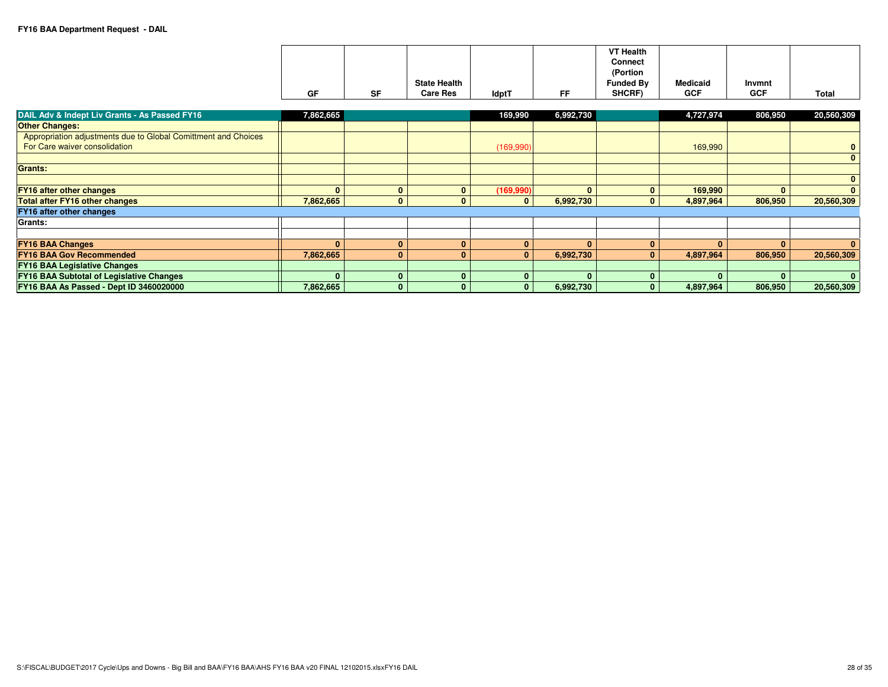|                                                                                                 | GF           | <b>SF</b>    | <b>State Health</b><br><b>Care Res</b> | <b>IdptT</b> | <b>FF</b>    | <b>VT Health</b><br><b>Connect</b><br>(Portion<br><b>Funded By</b><br>SHCRF) | <b>Medicaid</b><br><b>GCF</b> | Invmnt<br><b>GCF</b> | <b>Total</b>         |
|-------------------------------------------------------------------------------------------------|--------------|--------------|----------------------------------------|--------------|--------------|------------------------------------------------------------------------------|-------------------------------|----------------------|----------------------|
| DAIL Adv & Indept Liv Grants - As Passed FY16                                                   | 7,862,665    |              |                                        | 169,990      | 6,992,730    |                                                                              | 4,727,974                     | 806,950              | 20,560,309           |
| <b>Other Changes:</b>                                                                           |              |              |                                        |              |              |                                                                              |                               |                      |                      |
| Appropriation adjustments due to Global Comittment and Choices<br>For Care waiver consolidation |              |              |                                        | (169,990)    |              |                                                                              | 169,990                       |                      | $\bf{0}$<br>$\bf{0}$ |
| <b>Grants:</b>                                                                                  |              |              |                                        |              |              |                                                                              |                               |                      |                      |
|                                                                                                 |              |              |                                        |              |              |                                                                              |                               |                      | $\bf{0}$             |
| <b>FY16 after other changes</b>                                                                 | $\Omega$     | $\mathbf{0}$ | $\mathbf{0}$                           | (169, 990)   | $\bf{0}$     | $\bf{0}$                                                                     | 169,990                       | $\mathbf{0}$         | $\bf{0}$             |
| <b>Total after FY16 other changes</b>                                                           | 7,862,665    | $\mathbf{0}$ | $\Omega$                               | $\mathbf{0}$ | 6,992,730    | $\bf{0}$                                                                     | 4,897,964                     | 806,950              | 20,560,309           |
| <b>FY16 after other changes</b>                                                                 |              |              |                                        |              |              |                                                                              |                               |                      |                      |
| <b>Grants:</b>                                                                                  |              |              |                                        |              |              |                                                                              |                               |                      |                      |
|                                                                                                 |              |              |                                        |              |              |                                                                              |                               |                      |                      |
| <b>FY16 BAA Changes</b>                                                                         | $\mathbf{0}$ | $\mathbf{0}$ | $\mathbf{0}$                           | $\mathbf{0}$ | $\mathbf{0}$ | $\Omega$                                                                     | $\Omega$                      | $\mathbf{0}$         | $\bf{0}$             |
| <b>FY16 BAA Gov Recommended</b>                                                                 | 7,862,665    | $\mathbf{0}$ | $\Omega$                               | $\bf{0}$     | 6,992,730    | $\bf{0}$                                                                     | 4,897,964                     | 806,950              | 20,560,309           |
| <b>FY16 BAA Legislative Changes</b>                                                             |              |              |                                        |              |              |                                                                              |                               |                      |                      |
| <b>FY16 BAA Subtotal of Legislative Changes</b>                                                 | $\mathbf{0}$ | $\mathbf{0}$ |                                        | $\mathbf{0}$ | $\mathbf{0}$ | $\Omega$                                                                     | $\Omega$                      | $\mathbf{0}$         | $\bf{0}$             |
| FY16 BAA As Passed - Dept ID 3460020000                                                         | 7,862,665    | $\mathbf{0}$ | U                                      | $\Omega$     | 6,992,730    | $\mathbf{0}$                                                                 | 4,897,964                     | 806,950              | 20,560,309           |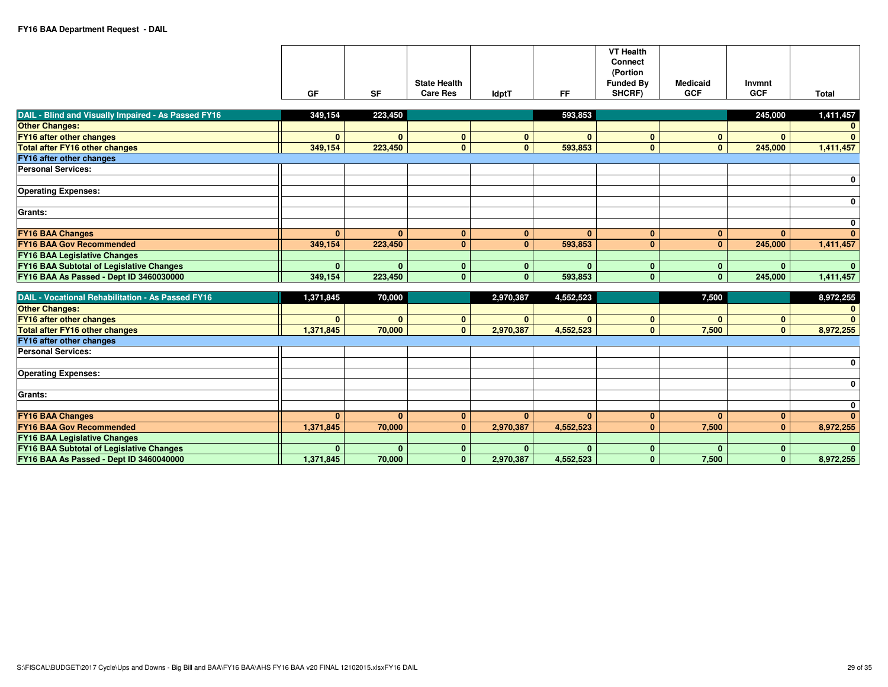|    |    | <b>State Health</b> |              |    | <b>VT Health</b><br><b>Connect</b><br>(Portion<br><b>Funded By</b> | <b>Medicaid</b> | Invmnt     |              |
|----|----|---------------------|--------------|----|--------------------------------------------------------------------|-----------------|------------|--------------|
|    |    |                     |              |    |                                                                    |                 |            |              |
| GF | SF | <b>Care Res</b>     | <b>IdptT</b> | FF | SHCRF)                                                             | <b>GCF</b>      | <b>GCF</b> | <b>Total</b> |

| DAIL - Blind and Visually Impaired - As Passed FY16 | 349,154 | 223,450  |          |          | 593,853      |          |              | 245,000      | 1,411,457    |
|-----------------------------------------------------|---------|----------|----------|----------|--------------|----------|--------------|--------------|--------------|
| <b>Other Changes:</b>                               |         |          |          |          |              |          |              |              | $\bf{0}$     |
| <b>FY16 after other changes</b>                     |         | $\bf{0}$ | $\bf{0}$ | n        | $\Omega$     | $\Omega$ | $\bf{0}$     | $\mathbf{0}$ | $\mathbf{0}$ |
| <b>Total after FY16 other changes</b>               | 349,154 | 223,450  | 0        |          | 593,853      |          | $\bf{0}$     | 245,000      | 1,411,457    |
| FY16 after other changes                            |         |          |          |          |              |          |              |              |              |
| <b>Personal Services:</b>                           |         |          |          |          |              |          |              |              |              |
|                                                     |         |          |          |          |              |          |              |              | $\bf{0}$     |
| <b>Operating Expenses:</b>                          |         |          |          |          |              |          |              |              |              |
|                                                     |         |          |          |          |              |          |              |              | $\bf{0}$     |
| Grants:                                             |         |          |          |          |              |          |              |              |              |
|                                                     |         |          |          |          |              |          |              |              | $\mathbf 0$  |
| <b>FY16 BAA Changes</b>                             |         | $\bf{0}$ | $\bf{0}$ | $\Omega$ | <sup>n</sup> | $\bf{0}$ | $\mathbf{0}$ | $\bf{0}$     | $\mathbf{0}$ |
| <b>FY16 BAA Gov Recommended</b>                     | 349,154 | 223,450  | $\bf{0}$ | $\Omega$ | 593,853      | $\bf{0}$ | $\mathbf{0}$ | 245,000      | 1,411,457    |
| <b>FY16 BAA Legislative Changes</b>                 |         |          |          |          |              |          |              |              |              |
| <b>FY16 BAA Subtotal of Legislative Changes</b>     |         |          | $\Omega$ | n.       |              | $\Omega$ | $\mathbf{0}$ | $\Omega$     | $\mathbf{0}$ |
| FY16 BAA As Passed - Dept ID 3460030000             | 349,154 | 223,450  | $\bf{0}$ |          | 593,853      | $\bf{0}$ | $\mathbf{0}$ | 245,000      | 1,411,457    |
|                                                     |         |          |          |          |              |          |              |              |              |

| <b>DAIL - Vocational Rehabilitation - As Passed FY16</b> | 1,371,845    | 70,000       |          | 2,970,387 | 4,552,523 |             | 7,500    |   | 8,972,255 |
|----------------------------------------------------------|--------------|--------------|----------|-----------|-----------|-------------|----------|---|-----------|
| <b>Other Changes:</b>                                    |              |              |          |           |           |             |          |   |           |
| <b>FY16 after other changes</b>                          | $\Omega$     | $\bf{0}$     |          |           |           | n           | $\Omega$ |   |           |
| <b>Total after FY16 other changes</b>                    | 1,371,845    | 70,000       | $\bf{0}$ | 2,970,387 | 4,552,523 | 0           | 7,500    | v | 8,972,255 |
| <b>FY16 after other changes</b>                          |              |              |          |           |           |             |          |   |           |
| <b>Personal Services:</b>                                |              |              |          |           |           |             |          |   |           |
|                                                          |              |              |          |           |           |             |          |   |           |
| <b>Operating Expenses:</b>                               |              |              |          |           |           |             |          |   |           |
|                                                          |              |              |          |           |           |             |          |   | 0         |
| Grants:                                                  |              |              |          |           |           |             |          |   |           |
|                                                          |              |              |          |           |           |             |          |   | 0         |
| <b>FY16 BAA Changes</b>                                  | $\mathbf{0}$ | $\mathbf{0}$ |          |           |           | $\mathbf 0$ | $\bf{0}$ |   |           |
| <b>FY16 BAA Gov Recommended</b>                          | 1,371,845    | 70,000       |          | 2,970,387 | 4,552,523 | $\bf{0}$    | 7,500    | 0 | 8,972,255 |
| <b>FY16 BAA Legislative Changes</b>                      |              |              |          |           |           |             |          |   |           |
| <b>FY16 BAA Subtotal of Legislative Changes</b>          | $\mathbf{0}$ | $\Omega$     |          |           |           |             |          |   |           |
| FY16 BAA As Passed - Dept ID 3460040000                  | 1,371,845    | 70,000       |          | 2,970,387 | 4,552,523 | 0           | 7,500    |   | 8,972,255 |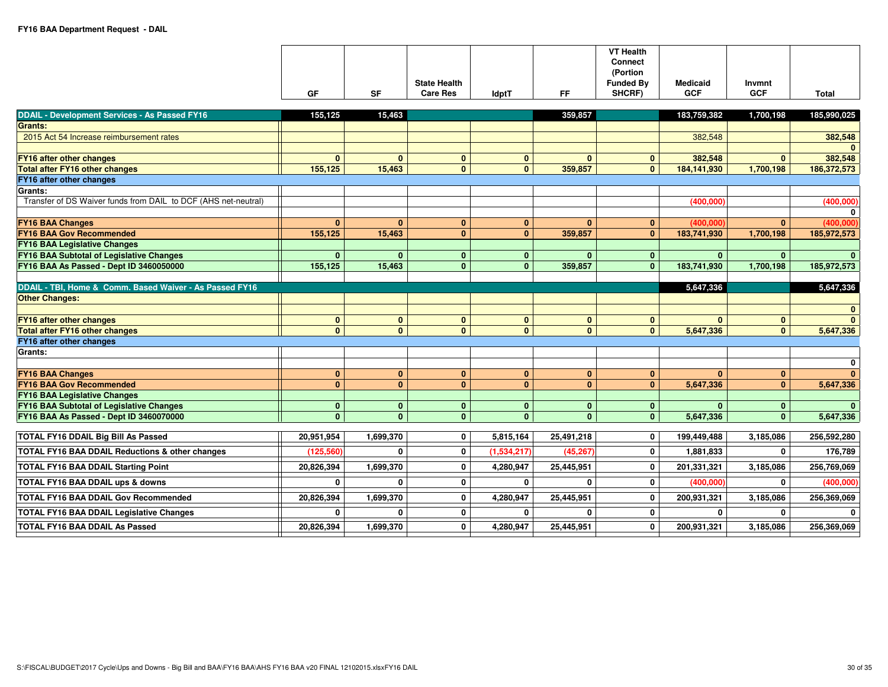|                                                                                          | GF                         | <b>SF</b>                 | <b>State Health</b><br><b>Care Res</b> | <b>IdptT</b>              | FF.             | <b>VT Health</b><br><b>Connect</b><br>(Portion<br><b>Funded By</b><br>SHCRF) | <b>Medicaid</b><br><b>GCF</b> | Invmnt<br><b>GCF</b>  | <b>Total</b>                              |
|------------------------------------------------------------------------------------------|----------------------------|---------------------------|----------------------------------------|---------------------------|-----------------|------------------------------------------------------------------------------|-------------------------------|-----------------------|-------------------------------------------|
|                                                                                          |                            |                           |                                        |                           |                 |                                                                              |                               |                       |                                           |
| <b>DDAIL - Development Services - As Passed FY16</b>                                     | 155,125                    | 15,463                    |                                        |                           | 359,857         |                                                                              | 183,759,382                   | 1,700,198             | 185,990,025                               |
| <b>Grants:</b>                                                                           |                            |                           |                                        |                           |                 |                                                                              |                               |                       |                                           |
| 2015 Act 54 Increase reimbursement rates                                                 |                            |                           |                                        |                           |                 |                                                                              | 382,548                       |                       | 382,548                                   |
|                                                                                          |                            |                           |                                        |                           |                 |                                                                              |                               |                       | $\Omega$                                  |
| FY16 after other changes                                                                 | $\bf{0}$                   | $\bf{0}$                  | $\mathbf{0}$                           | $\mathbf{0}$              | $\mathbf{0}$    | $\bf{0}$                                                                     | 382,548                       | $\mathbf{0}$          | 382,548                                   |
| <b>Total after FY16 other changes</b>                                                    | 155,125                    | 15,463                    | $\mathbf{0}$                           | $\mathbf{0}$              | 359,857         | $\bf{0}$                                                                     | 184,141,930                   | 1,700,198             | 186,372,573                               |
| FY16 after other changes                                                                 |                            |                           |                                        |                           |                 |                                                                              |                               |                       |                                           |
| Grants:<br>Transfer of DS Waiver funds from DAIL to DCF (AHS net-neutral)                |                            |                           |                                        |                           |                 |                                                                              |                               |                       | (400, 000)                                |
|                                                                                          |                            |                           |                                        |                           |                 |                                                                              | (400,000)                     |                       | 0                                         |
| <b>FY16 BAA Changes</b>                                                                  | $\bf{0}$                   | $\mathbf{0}$              | $\mathbf{0}$                           | $\mathbf{0}$              | $\mathbf{0}$    | $\mathbf{0}$                                                                 | (400.000)                     | $\mathbf{0}$          | (400.000)                                 |
| <b>FY16 BAA Gov Recommended</b>                                                          | 155,125                    | 15,463                    | $\mathbf{0}$                           | $\mathbf{0}$              | 359,857         | $\bf{0}$                                                                     | 183,741,930                   | 1,700,198             | 185,972,573                               |
| <b>FY16 BAA Legislative Changes</b>                                                      |                            |                           |                                        |                           |                 |                                                                              |                               |                       |                                           |
| FY16 BAA Subtotal of Legislative Changes                                                 | $\mathbf{0}$               | $\mathbf{0}$              | $\mathbf{0}$                           | $\mathbf{0}$              | $\mathbf{0}$    | $\mathbf{0}$                                                                 | $\bf{0}$                      | $\mathbf{0}$          | $\bf{0}$                                  |
| FY16 BAA As Passed - Dept ID 3460050000                                                  | 155,125                    | 15,463                    | $\mathbf{0}$                           | $\mathbf{0}$              | 359,857         | $\mathbf{0}$                                                                 | 183,741,930                   | 1,700,198             | 185,972,573                               |
|                                                                                          |                            |                           |                                        |                           |                 |                                                                              |                               |                       |                                           |
| DDAIL - TBI, Home & Comm. Based Waiver - As Passed FY16                                  |                            |                           |                                        |                           |                 |                                                                              | 5,647,336                     |                       | 5,647,336                                 |
| <b>Other Changes:</b>                                                                    |                            |                           |                                        |                           |                 |                                                                              |                               |                       |                                           |
|                                                                                          |                            |                           |                                        |                           |                 |                                                                              |                               |                       | $\mathbf{0}$                              |
| <b>FY16 after other changes</b>                                                          | $\bf{0}$                   | $\mathbf{0}$              | $\mathbf{0}$                           | $\mathbf{0}$              | $\mathbf{0}$    | $\bf{0}$                                                                     | $\Omega$                      | $\mathbf{0}$          | $\mathbf{0}$                              |
| <b>Total after FY16 other changes</b>                                                    | $\mathbf{0}$               | $\overline{0}$            | $\mathbf{0}$                           | $\mathbf{0}$              | $\mathbf{0}$    | $\mathbf{0}$                                                                 | 5,647,336                     | $\mathbf{0}$          | 5,647,336                                 |
| FY16 after other changes                                                                 |                            |                           |                                        |                           |                 |                                                                              |                               |                       |                                           |
| <b>Grants:</b>                                                                           |                            |                           |                                        |                           |                 |                                                                              |                               |                       |                                           |
|                                                                                          |                            |                           |                                        |                           |                 |                                                                              |                               |                       |                                           |
|                                                                                          |                            |                           |                                        |                           |                 |                                                                              |                               |                       | $\bf{0}$                                  |
| <b>FY16 BAA Changes</b>                                                                  | $\bf{0}$                   | $\mathbf{0}$              | $\mathbf{0}$                           | $\mathbf{0}$              | $\mathbf{0}$    | $\mathbf{0}$                                                                 | $\mathbf{0}$                  | $\mathbf{0}$          | $\mathbf{0}$                              |
| <b>FY16 BAA Gov Recommended</b>                                                          | $\bf{0}$                   | $\mathbf{0}$              | $\mathbf{0}$                           | $\mathbf{0}$              | $\mathbf{0}$    | $\bf{0}$                                                                     | 5,647,336                     | $\mathbf{0}$          | 5,647,336                                 |
| <b>FY16 BAA Legislative Changes</b>                                                      |                            |                           |                                        |                           |                 |                                                                              |                               |                       |                                           |
| FY16 BAA Subtotal of Legislative Changes                                                 | $\bf{0}$                   | $\mathbf{0}$              | $\mathbf{0}$                           | $\mathbf{0}$              | $\mathbf{0}$    | $\bf{0}$                                                                     | $\Omega$                      | $\mathbf{0}$          | $\mathbf{0}$                              |
| FY16 BAA As Passed - Dept ID 3460070000                                                  | $\mathbf{0}$               | $\mathbf{0}$              | $\mathbf{0}$                           | $\mathbf{0}$              | $\mathbf{0}$    | $\bf{0}$                                                                     | 5,647,336                     | $\mathbf{0}$          | 5,647,336                                 |
| <b>TOTAL FY16 DDAIL Big Bill As Passed</b>                                               | 20,951,954                 | 1,699,370                 | $\mathbf 0$                            | 5,815,164                 | 25,491,218      | $\mathbf 0$                                                                  | 199,449,488                   | 3,185,086             | 256,592,280                               |
| <b>TOTAL FY16 BAA DDAIL Reductions &amp; other changes</b>                               | (125, 560)                 | $\mathbf{0}$              | $\mathbf{0}$                           | (1,534,217)               | (45, 267)       | $\mathbf 0$                                                                  | 1,881,833                     | $\mathbf 0$           | 176,789                                   |
| <b>TOTAL FY16 BAA DDAIL Starting Point</b>                                               | 20,826,394                 | 1,699,370                 | $\mathbf 0$                            | 4,280,947                 | 25,445,951      | $\bf{0}$                                                                     | 201,331,321                   | 3,185,086             | 256,769,069                               |
| TOTAL FY16 BAA DDAIL ups & downs                                                         | $\mathbf 0$                | $\mathbf{0}$              | $\mathbf 0$                            | $\mathbf{0}$              | 0               | $\mathbf 0$                                                                  | (400,000)                     | $\mathbf{0}$          |                                           |
| <b>TOTAL FY16 BAA DDAIL Gov Recommended</b>                                              | 20,826,394                 | 1,699,370                 | $\mathbf 0$                            | 4,280,947                 | 25,445,951      | $\bf{0}$                                                                     | 200,931,321                   | 3,185,086             | 256,369,069                               |
| <b>TOTAL FY16 BAA DDAIL Legislative Changes</b><br><b>TOTAL FY16 BAA DDAIL As Passed</b> | $\mathbf{0}$<br>20,826,394 | $\mathbf{0}$<br>1,699,370 | $\mathbf{0}$<br>0                      | $\mathbf{0}$<br>4,280,947 | 0<br>25,445,951 | $\mathbf 0$<br>0                                                             | $\mathbf{0}$<br>200,931,321   | $\bf{0}$<br>3,185,086 | (400, 000)<br>$\mathbf{0}$<br>256,369,069 |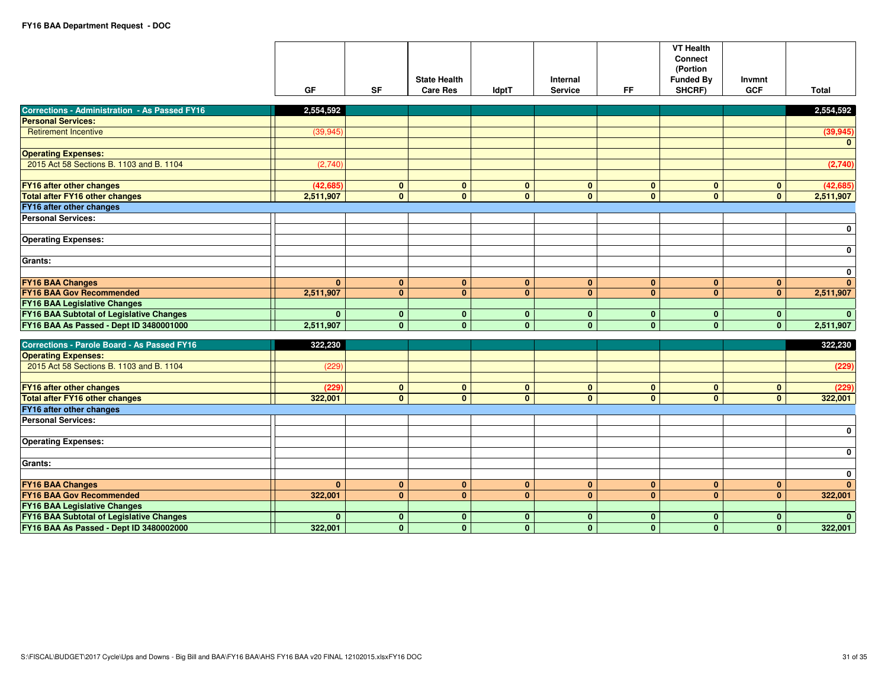|                                                      | <b>GF</b>    | <b>SF</b>      | <b>State Health</b><br><b>Care Res</b> | <b>IdptT</b>   | Internal<br><b>Service</b> | FF.            | <b>VT Health</b><br><b>Connect</b><br>(Portion<br><b>Funded By</b><br>SHCRF) | Invmnt<br><b>GCF</b> | <b>Total</b>              |
|------------------------------------------------------|--------------|----------------|----------------------------------------|----------------|----------------------------|----------------|------------------------------------------------------------------------------|----------------------|---------------------------|
| <b>Corrections - Administration - As Passed FY16</b> | 2,554,592    |                |                                        |                |                            |                |                                                                              |                      | 2,554,592                 |
| <b>Personal Services:</b>                            |              |                |                                        |                |                            |                |                                                                              |                      |                           |
| <b>Retirement Incentive</b>                          | (39, 945)    |                |                                        |                |                            |                |                                                                              |                      | (39, 945)<br>$\mathbf{0}$ |
| <b>Operating Expenses:</b>                           |              |                |                                        |                |                            |                |                                                                              |                      |                           |
| 2015 Act 58 Sections B. 1103 and B. 1104             | (2,740)      |                |                                        |                |                            |                |                                                                              |                      | (2,740)                   |
| <b>FY16 after other changes</b>                      | (42, 685)    | $\mathbf{0}$   | $\mathbf{0}$                           | $\mathbf{0}$   | $\mathbf{0}$               | $\mathbf{0}$   | $\mathbf{0}$                                                                 | $\mathbf{0}$         | (42, 685)                 |
| <b>Total after FY16 other changes</b>                | 2,511,907    | $\mathbf{0}$   | $\mathbf{0}$                           | $\mathbf{0}$   | $\mathbf{0}$               | $\mathbf{0}$   | $\mathbf{0}$                                                                 | $\mathbf{0}$         | 2,511,907                 |
| FY16 after other changes                             |              |                |                                        |                |                            |                |                                                                              |                      |                           |
| <b>Personal Services:</b>                            |              |                |                                        |                |                            |                |                                                                              |                      |                           |
| <b>Operating Expenses:</b>                           |              |                |                                        |                |                            |                |                                                                              |                      | $\mathbf 0$               |
| <b>Grants:</b>                                       |              |                |                                        |                |                            |                |                                                                              |                      | $\mathbf 0$               |
|                                                      |              |                |                                        |                |                            |                |                                                                              |                      | $\mathbf 0$               |
| <b>FY16 BAA Changes</b>                              | $\mathbf{0}$ | $\mathbf{0}$   | $\mathbf{0}$                           | $\mathbf{0}$   | $\mathbf{0}$               | $\mathbf{0}$   | $\mathbf{0}$                                                                 | $\mathbf{0}$         | $\mathbf{0}$              |
| <b>FY16 BAA Gov Recommended</b>                      | 2,511,907    | $\overline{0}$ | $\overline{0}$                         | $\overline{0}$ | $\overline{0}$             | $\overline{0}$ | $\overline{0}$                                                               | $\overline{0}$       | 2,511,907                 |
| <b>FY16 BAA Legislative Changes</b>                  |              |                |                                        |                |                            |                |                                                                              |                      |                           |
| FY16 BAA Subtotal of Legislative Changes             | $\mathbf{0}$ | $\mathbf{0}$   | $\mathbf{0}$                           | $\mathbf{0}$   | $\mathbf{0}$               | $\mathbf{0}$   | $\mathbf{0}$                                                                 | $\mathbf{0}$         | $\mathbf{0}$              |
| FY16 BAA As Passed - Dept ID 3480001000              | 2,511,907    | $\mathbf{0}$   | $\mathbf{0}$                           | $\mathbf{0}$   | $\mathbf{0}$               | $\mathbf{0}$   | $\mathbf{0}$                                                                 | $\mathbf{0}$         | 2,511,907                 |
| <b>Corrections - Parole Board - As Passed FY16</b>   | 322,230      |                |                                        |                |                            |                |                                                                              |                      | 322,230                   |
| <b>Operating Expenses:</b>                           |              |                |                                        |                |                            |                |                                                                              |                      |                           |
| 2015 Act 58 Sections B. 1103 and B. 1104             | (229)        |                |                                        |                |                            |                |                                                                              |                      | (229)                     |
| FY16 after other changes                             | (229)        | $\mathbf{0}$   | $\mathbf{0}$                           | $\mathbf{0}$   | $\mathbf{0}$               | $\mathbf{0}$   | $\mathbf{0}$                                                                 | $\mathbf{0}$         | (229)                     |
| <b>Total after FY16 other changes</b>                | 322,001      | $\mathbf{0}$   | $\mathbf{0}$                           | $\mathbf{0}$   | $\mathbf{0}$               | $\mathbf{0}$   | $\mathbf{0}$                                                                 | $\overline{0}$       | 322,001                   |
| FY16 after other changes                             |              |                |                                        |                |                            |                |                                                                              |                      |                           |
| <b>Personal Services:</b>                            |              |                |                                        |                |                            |                |                                                                              |                      |                           |
|                                                      |              |                |                                        |                |                            |                |                                                                              |                      | $\mathbf 0$               |
| <b>Operating Expenses:</b>                           |              |                |                                        |                |                            |                |                                                                              |                      |                           |
| Grants:                                              |              |                |                                        |                |                            |                |                                                                              |                      | $\mathbf 0$               |
|                                                      |              |                |                                        |                |                            |                |                                                                              |                      | $\mathbf 0$               |
| <b>FY16 BAA Changes</b>                              | $\mathbf{0}$ | $\mathbf{0}$   | $\mathbf{0}$                           | $\mathbf{0}$   | $\mathbf{0}$               | $\mathbf{0}$   | $\bf{0}$                                                                     | $\mathbf{0}$         | $\mathbf{0}$              |
| <b>FY16 BAA Gov Recommended</b>                      | 322,001      | $\mathbf{0}$   | $\mathbf{0}$                           | $\mathbf{0}$   | $\mathbf{0}$               | $\mathbf{0}$   | $\mathbf{0}$                                                                 | $\mathbf{0}$         | 322,001                   |
| <b>FY16 BAA Legislative Changes</b>                  |              |                |                                        |                |                            |                |                                                                              |                      |                           |
| <b>FY16 BAA Subtotal of Legislative Changes</b>      | $\bf{0}$     | $\mathbf{0}$   | $\mathbf{0}$                           | $\mathbf{0}$   | $\bf{0}$                   | $\mathbf{0}$   | $\mathbf{0}$                                                                 | $\mathbf{0}$         | $\mathbf{0}$              |
| FY16 BAA As Passed - Dept ID 3480002000              | 322,001      | $\mathbf{0}$   | $\mathbf{0}$                           | $\mathbf{0}$   | $\mathbf{0}$               | $\mathbf{0}$   | $\mathbf{0}$                                                                 | $\mathbf{0}$         | 322,001                   |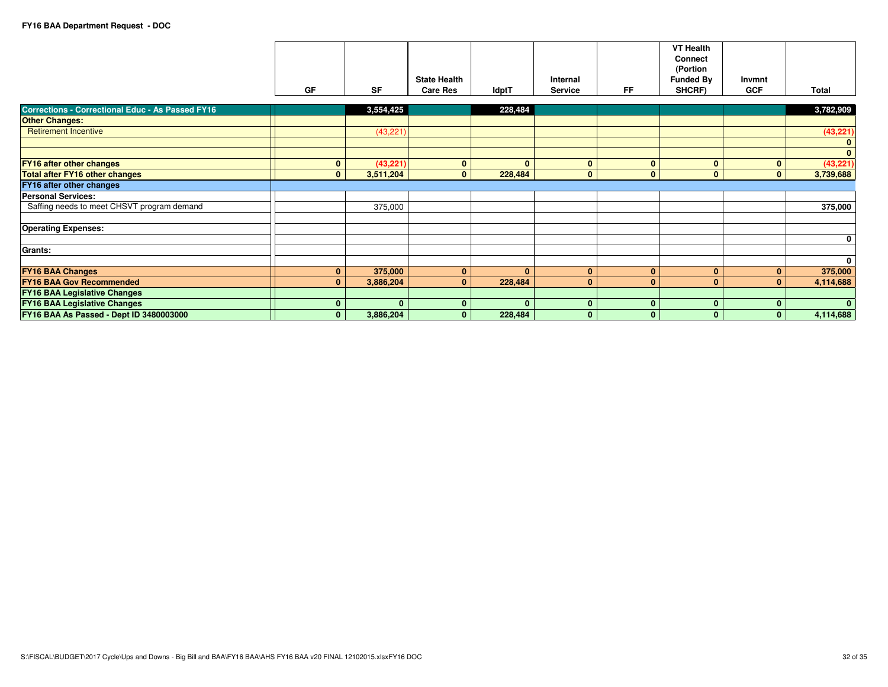|                                                         | <b>GF</b>    | <b>SF</b>    | <b>State Health</b><br><b>Care Res</b> | ldptT        | Internal<br><b>Service</b> | <b>FF</b>    | <b>VT Health</b><br><b>Connect</b><br>(Portion<br><b>Funded By</b><br>SHCRF) | Invmnt<br><b>GCF</b> | Total        |
|---------------------------------------------------------|--------------|--------------|----------------------------------------|--------------|----------------------------|--------------|------------------------------------------------------------------------------|----------------------|--------------|
|                                                         |              |              |                                        |              |                            |              |                                                                              |                      |              |
| <b>Corrections - Correctional Educ - As Passed FY16</b> |              | 3,554,425    |                                        | 228,484      |                            |              |                                                                              |                      | 3,782,909    |
| <b>Other Changes:</b>                                   |              |              |                                        |              |                            |              |                                                                              |                      |              |
| <b>Retirement Incentive</b>                             |              | (43, 221)    |                                        |              |                            |              |                                                                              |                      | (43, 221)    |
|                                                         |              |              |                                        |              |                            |              |                                                                              |                      | $\bf{0}$     |
|                                                         |              |              |                                        |              |                            |              |                                                                              |                      | $\mathbf{0}$ |
| <b>FY16 after other changes</b>                         | $\bf{0}$     | (43, 221)    | $\bf{0}$                               | $\mathbf{0}$ | $\mathbf{0}$               | $\bf{0}$     | $\mathbf{0}$                                                                 | $\mathbf{0}$         | (43, 221)    |
| <b>Total after FY16 other changes</b>                   | $\mathbf{0}$ | 3,511,204    | $\mathbf{0}$                           | 228,484      | $\mathbf{0}$               | $\mathbf{0}$ | $\mathbf{0}$                                                                 | $\mathbf{0}$         | 3,739,688    |
| <b>FY16 after other changes</b>                         |              |              |                                        |              |                            |              |                                                                              |                      |              |
| <b>Personal Services:</b>                               |              |              |                                        |              |                            |              |                                                                              |                      |              |
| Saffing needs to meet CHSVT program demand              |              | 375,000      |                                        |              |                            |              |                                                                              |                      | 375,000      |
|                                                         |              |              |                                        |              |                            |              |                                                                              |                      |              |
| <b>Operating Expenses:</b>                              |              |              |                                        |              |                            |              |                                                                              |                      |              |
|                                                         |              |              |                                        |              |                            |              |                                                                              |                      | $\mathbf 0$  |
| Grants:                                                 |              |              |                                        |              |                            |              |                                                                              |                      |              |
|                                                         |              |              |                                        |              |                            |              |                                                                              |                      | $\mathbf 0$  |
| <b>FY16 BAA Changes</b>                                 | $\mathbf{0}$ | 375,000      | $\mathbf{0}$                           | $\mathbf{0}$ | $\mathbf{0}$               | $\bf{0}$     | $\mathbf{0}$                                                                 | $\mathbf{0}$         | 375,000      |
| <b>FY16 BAA Gov Recommended</b>                         | $\mathbf{0}$ | 3,886,204    | $\Omega$                               | 228,484      | $\mathbf{0}$               | $\mathbf{0}$ | $\bf{0}$                                                                     | $\mathbf{0}$         | 4,114,688    |
| <b>FY16 BAA Legislative Changes</b>                     |              |              |                                        |              |                            |              |                                                                              |                      |              |
| <b>FY16 BAA Legislative Changes</b>                     | $\bf{0}$     | $\mathbf{0}$ | 0                                      | $\mathbf{0}$ | $\mathbf{0}$               | $\mathbf{0}$ | $\mathbf{0}$                                                                 | $\mathbf{0}$         | $\mathbf{0}$ |
| FY16 BAA As Passed - Dept ID 3480003000                 | $\mathbf{0}$ | 3,886,204    | $\Omega$                               | 228,484      | $\bf{0}$                   | $\mathbf{0}$ | $\bf{0}$                                                                     | $\mathbf{0}$         | 4,114,688    |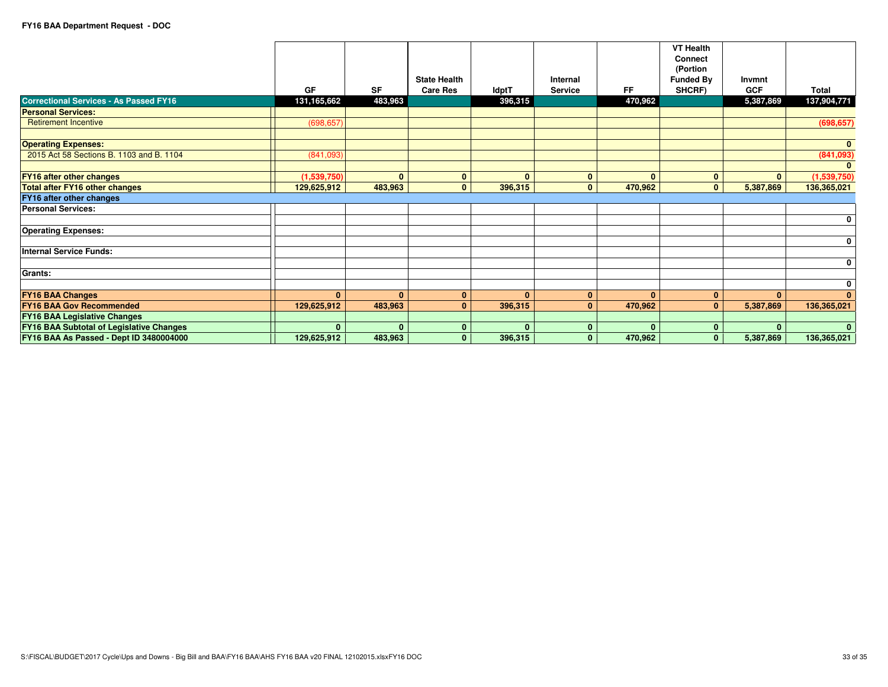| <b>Correctional Services - As Passed FY16</b>   | GF<br>131,165,662 | <b>SF</b><br>483,963 | <b>State Health</b><br><b>Care Res</b> | <b>IdptT</b><br>396,315 | Internal<br><b>Service</b> | FF.<br>470,962 | <b>VT Health</b><br><b>Connect</b><br>(Portion<br><b>Funded By</b><br>SHCRF) | Invmnt<br><b>GCF</b><br>5,387,869 | <b>Total</b><br>137,904,771 |
|-------------------------------------------------|-------------------|----------------------|----------------------------------------|-------------------------|----------------------------|----------------|------------------------------------------------------------------------------|-----------------------------------|-----------------------------|
| <b>Personal Services:</b>                       |                   |                      |                                        |                         |                            |                |                                                                              |                                   |                             |
| <b>Retirement Incentive</b>                     | (698, 657)        |                      |                                        |                         |                            |                |                                                                              |                                   | (698, 657)                  |
|                                                 |                   |                      |                                        |                         |                            |                |                                                                              |                                   |                             |
| <b>Operating Expenses:</b>                      |                   |                      |                                        |                         |                            |                |                                                                              |                                   | $\mathbf{0}$                |
| 2015 Act 58 Sections B. 1103 and B. 1104        | (841,093)         |                      |                                        |                         |                            |                |                                                                              |                                   | (841,093)                   |
|                                                 |                   |                      |                                        |                         |                            |                |                                                                              |                                   | $\mathbf{0}$                |
| <b>FY16 after other changes</b>                 | (1,539,750)       | $\Omega$             | $\bf{0}$                               | $\mathbf{0}$            | $\mathbf{0}$               | $\Omega$       | $\mathbf{0}$                                                                 | $\mathbf{0}$                      | (1,539,750)                 |
| <b>Total after FY16 other changes</b>           | 129,625,912       | 483,963              | $\mathbf{0}$                           | 396,315                 | $\mathbf{0}$               | 470,962        | $\mathbf{0}$                                                                 | 5,387,869                         | 136,365,021                 |
| <b>FY16 after other changes</b>                 |                   |                      |                                        |                         |                            |                |                                                                              |                                   |                             |
| <b>Personal Services:</b>                       |                   |                      |                                        |                         |                            |                |                                                                              |                                   |                             |
|                                                 |                   |                      |                                        |                         |                            |                |                                                                              |                                   | $\mathbf 0$                 |
| <b>Operating Expenses:</b>                      |                   |                      |                                        |                         |                            |                |                                                                              |                                   |                             |
|                                                 |                   |                      |                                        |                         |                            |                |                                                                              |                                   | $\mathbf 0$                 |
| <b>Internal Service Funds:</b>                  |                   |                      |                                        |                         |                            |                |                                                                              |                                   |                             |
|                                                 |                   |                      |                                        |                         |                            |                |                                                                              |                                   | $\mathbf 0$                 |
| Grants:                                         |                   |                      |                                        |                         |                            |                |                                                                              |                                   |                             |
|                                                 |                   |                      |                                        |                         |                            |                |                                                                              |                                   | $\mathbf 0$                 |
| <b>FY16 BAA Changes</b>                         | $\mathbf{0}$      | $\mathbf{0}$         | $\mathbf{0}$                           | $\mathbf{0}$            | $\mathbf{0}$               | $\Omega$       | $\mathbf{0}$                                                                 | $\mathbf{0}$                      | $\mathbf{0}$                |
| <b>FY16 BAA Gov Recommended</b>                 | 129,625,912       | 483,963              | 0                                      | 396,315                 | $\bf{0}$                   | 470,962        | $\mathbf{0}$                                                                 | 5,387,869                         | 136,365,021                 |
| <b>FY16 BAA Legislative Changes</b>             |                   |                      |                                        |                         |                            |                |                                                                              |                                   |                             |
| <b>FY16 BAA Subtotal of Legislative Changes</b> | $\mathbf{0}$      | $\mathbf{0}$         | $\Omega$                               | $\mathbf{0}$            | $\bf{0}$                   | $\Omega$       | $\mathbf{0}$                                                                 | $\mathbf{0}$                      | $\Omega$                    |
| FY16 BAA As Passed - Dept ID 3480004000         | 129,625,912       | 483,963              | $\mathbf{0}$                           | 396,315                 | $\mathbf{0}$               | 470,962        | $\mathbf{0}$                                                                 | 5,387,869                         | 136,365,021                 |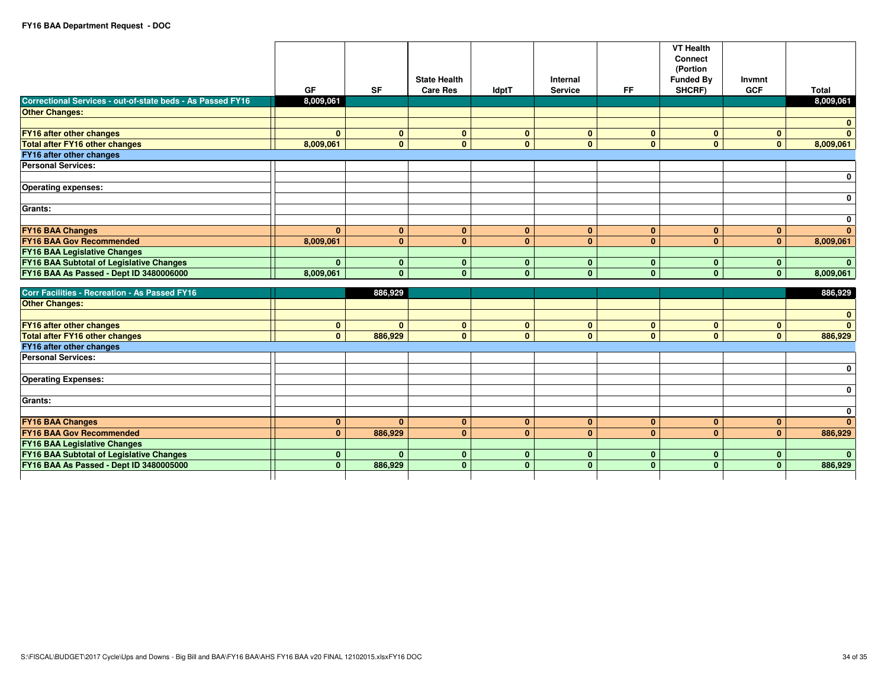|                                                            | GF                           | <b>SF</b>      | <b>State Health</b><br><b>Care Res</b> | <b>IdptT</b>                 | Internal<br><b>Service</b>   | <b>FF</b>                    | <b>VT Health</b><br><b>Connect</b><br>(Portion<br><b>Funded By</b><br>SHCRF) | Invmnt<br><b>GCF</b>         | <b>Total</b>            |
|------------------------------------------------------------|------------------------------|----------------|----------------------------------------|------------------------------|------------------------------|------------------------------|------------------------------------------------------------------------------|------------------------------|-------------------------|
| Correctional Services - out-of-state beds - As Passed FY16 | 8.009.061                    |                |                                        |                              |                              |                              |                                                                              |                              | 8,009,061               |
| <b>Other Changes:</b>                                      |                              |                |                                        |                              |                              |                              |                                                                              |                              |                         |
|                                                            |                              |                |                                        |                              |                              |                              |                                                                              |                              | $\mathbf{0}$            |
| FY16 after other changes                                   | $\mathbf{0}$                 | $\bf{0}$       | $\bf{0}$                               | $\mathbf{0}$                 | $\mathbf{0}$                 | $\bf{0}$                     | $\mathbf{0}$                                                                 | $\mathbf{0}$                 | $\overline{\mathbf{0}}$ |
| <b>Total after FY16 other changes</b>                      | 8,009,061                    | $\mathbf{0}$   | $\mathbf{0}$                           | $\mathbf{0}$                 | $\mathbf{0}$                 | $\mathbf{0}$                 | $\mathbf{0}$                                                                 | $\mathbf{0}$                 | 8,009,061               |
| FY16 after other changes                                   |                              |                |                                        |                              |                              |                              |                                                                              |                              |                         |
| <b>Personal Services:</b>                                  |                              |                |                                        |                              |                              |                              |                                                                              |                              |                         |
|                                                            |                              |                |                                        |                              |                              |                              |                                                                              |                              | $\mathbf 0$             |
| <b>Operating expenses:</b>                                 |                              |                |                                        |                              |                              |                              |                                                                              |                              |                         |
|                                                            |                              |                |                                        |                              |                              |                              |                                                                              |                              | $\pmb{0}$               |
| Grants:                                                    |                              |                |                                        |                              |                              |                              |                                                                              |                              |                         |
|                                                            |                              |                |                                        |                              |                              |                              |                                                                              |                              | $\mathbf 0$             |
| <b>FY16 BAA Changes</b>                                    | $\Omega$                     | $\mathbf{0}$   | $\mathbf{0}$                           | $\mathbf{0}$                 | $\mathbf{0}$                 | $\bf{0}$                     | $\mathbf{0}$                                                                 | $\mathbf{0}$                 | $\mathbf{0}$            |
| <b>FY16 BAA Gov Recommended</b>                            | 8,009,061                    | $\mathbf{0}$   | $\mathbf{0}$                           | $\mathbf{0}$                 | $\mathbf{0}$                 | $\mathbf{0}$                 | $\mathbf{0}$                                                                 | $\mathbf{0}$                 | 8,009,061               |
| <b>FY16 BAA Legislative Changes</b>                        |                              |                |                                        |                              |                              |                              |                                                                              |                              |                         |
| <b>FY16 BAA Subtotal of Legislative Changes</b>            | $\mathbf{0}$                 | $\bf{0}$       | $\bf{0}$                               | $\mathbf{0}$                 | $\mathbf{0}$                 | $\bf{0}$                     | $\mathbf{0}$                                                                 | $\mathbf{0}$                 | $\mathbf{0}$            |
| FY16 BAA As Passed - Dept ID 3480006000                    | 8,009,061                    | $\overline{0}$ | $\Omega$                               | $\mathbf{0}$                 | $\mathbf{0}$                 | $\mathbf{0}$                 | $\mathbf{0}$                                                                 | $\mathbf{0}$                 | 8,009,061               |
|                                                            |                              |                |                                        |                              |                              |                              |                                                                              |                              |                         |
| Corr Facilities - Recreation - As Passed FY16              |                              | 886.929        |                                        |                              |                              |                              |                                                                              |                              | 886,929                 |
| Other Changes:                                             |                              |                |                                        |                              |                              |                              |                                                                              |                              |                         |
|                                                            |                              |                |                                        |                              |                              |                              |                                                                              |                              | $\mathbf{0}$            |
| <b>FY16 after other changes</b>                            | $\mathbf{0}$                 | $\mathbf{0}$   | $\mathbf{0}$                           | $\mathbf{0}$                 | $\mathbf{0}$                 | $\mathbf{0}$                 | $\mathbf{0}$                                                                 | $\mathbf{0}$                 | $\overline{\mathbf{0}}$ |
| <b>Total after FY16 other changes</b>                      | $\mathbf{0}$                 | 886,929        | $\mathbf{0}$                           | $\mathbf{0}$                 | $\mathbf{0}$                 | $\mathbf{0}$                 | $\mathbf{0}$                                                                 | $\mathbf{0}$                 | 886,929                 |
| FY16 after other changes                                   |                              |                |                                        |                              |                              |                              |                                                                              |                              |                         |
| <b>Personal Services:</b>                                  |                              |                |                                        |                              |                              |                              |                                                                              |                              |                         |
|                                                            |                              |                |                                        |                              |                              |                              |                                                                              |                              | $\mathbf 0$             |
| <b>Operating Expenses:</b>                                 |                              |                |                                        |                              |                              |                              |                                                                              |                              |                         |
|                                                            |                              |                |                                        |                              |                              |                              |                                                                              |                              | $\pmb{0}$               |
| Grants:                                                    |                              |                |                                        |                              |                              |                              |                                                                              |                              | $\mathbf 0$             |
|                                                            |                              | $\mathbf{0}$   |                                        |                              |                              |                              |                                                                              |                              | $\mathbf{0}$            |
| <b>FY16 BAA Changes</b><br><b>FY16 BAA Gov Recommended</b> | $\mathbf{0}$<br>$\mathbf{0}$ | 886,929        | $\mathbf{0}$<br>$\mathbf{0}$           | $\mathbf{0}$<br>$\mathbf{0}$ | $\mathbf{0}$<br>$\mathbf{0}$ | $\mathbf{0}$<br>$\mathbf{0}$ | $\mathbf{0}$<br>$\mathbf{0}$                                                 | $\mathbf{0}$<br>$\mathbf{0}$ | 886,929                 |
| <b>FY16 BAA Legislative Changes</b>                        |                              |                |                                        |                              |                              |                              |                                                                              |                              |                         |
| <b>FY16 BAA Subtotal of Legislative Changes</b>            | $\bf{0}$                     | $\mathbf{0}$   | $\mathbf{0}$                           | $\mathbf{0}$                 | $\mathbf{0}$                 | $\bf{0}$                     | $\mathbf{0}$                                                                 | $\mathbf{0}$                 | $\mathbf{0}$            |
| FY16 BAA As Passed - Dept ID 3480005000                    | $\mathbf{0}$                 | 886,929        | $\bf{0}$                               | $\mathbf{0}$                 | $\mathbf{0}$                 | $\mathbf{0}$                 | $\mathbf{0}$                                                                 | $\mathbf{0}$                 | 886,929                 |
|                                                            |                              |                |                                        |                              |                              |                              |                                                                              |                              |                         |
|                                                            |                              |                |                                        |                              |                              |                              |                                                                              |                              |                         |